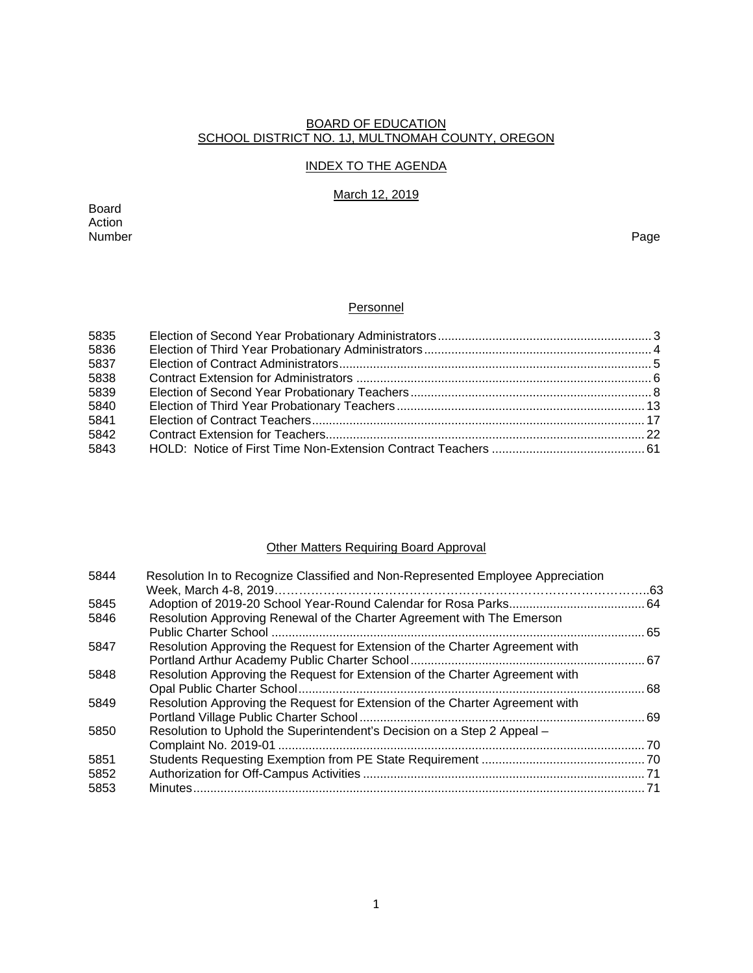#### BOARD OF EDUCATION SCHOOL DISTRICT NO. 1J, MULTNOMAH COUNTY, OREGON

### INDEX TO THE AGENDA

# March 12, 2019

Board Action<br>Number Number Page

# **Personnel**

| 5835 |  |
|------|--|
| 5836 |  |
| 5837 |  |
| 5838 |  |
| 5839 |  |
| 5840 |  |
| 5841 |  |
| 5842 |  |
| 5843 |  |
|      |  |

# Other Matters Requiring Board Approval

| Resolution In to Recognize Classified and Non-Represented Employee Appreciation |    |
|---------------------------------------------------------------------------------|----|
|                                                                                 |    |
|                                                                                 |    |
| Resolution Approving Renewal of the Charter Agreement with The Emerson          |    |
|                                                                                 | 65 |
| Resolution Approving the Request for Extension of the Charter Agreement with    |    |
|                                                                                 |    |
| Resolution Approving the Request for Extension of the Charter Agreement with    |    |
|                                                                                 |    |
| Resolution Approving the Request for Extension of the Charter Agreement with    |    |
|                                                                                 |    |
| Resolution to Uphold the Superintendent's Decision on a Step 2 Appeal -         |    |
|                                                                                 |    |
|                                                                                 |    |
|                                                                                 |    |
| Minutes                                                                         |    |
|                                                                                 |    |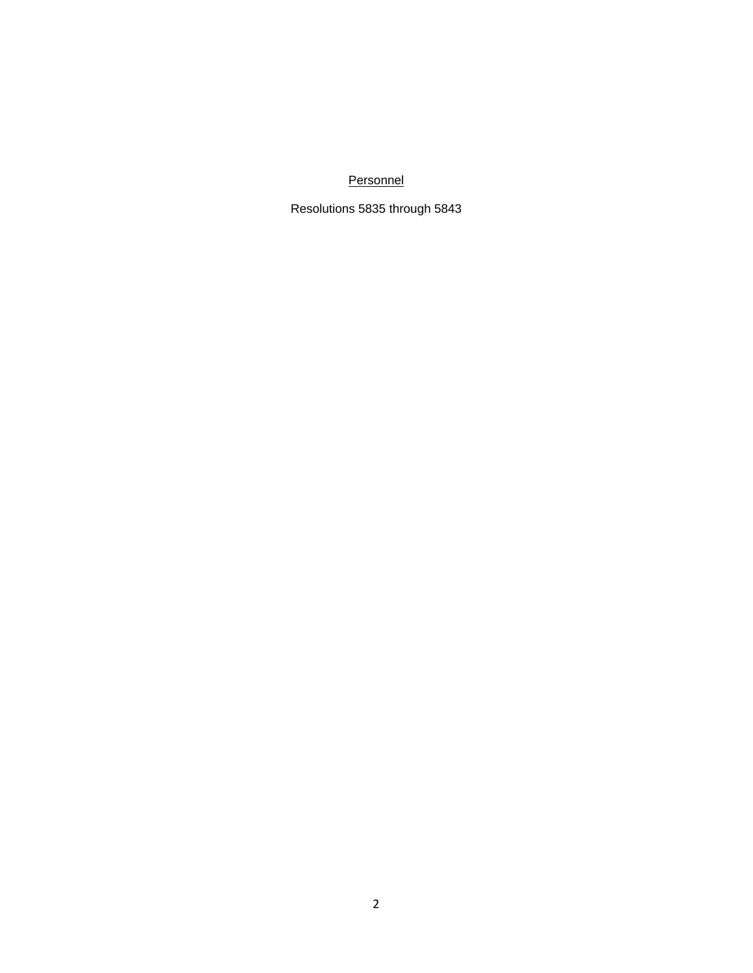**Personnel** 

Resolutions 5835 through 5843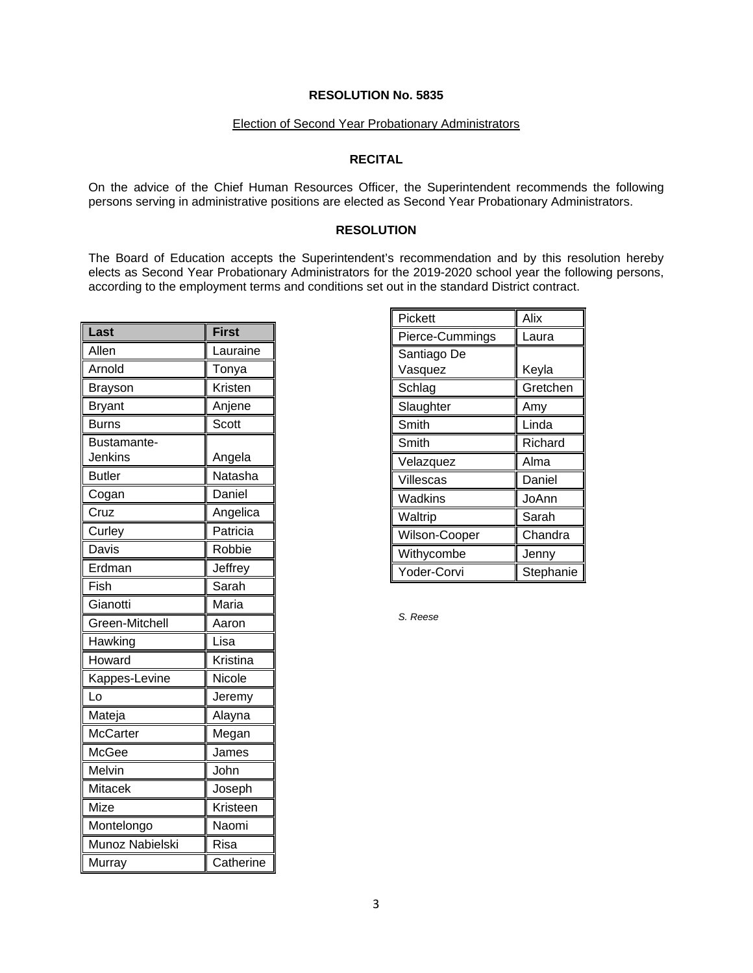### Election of Second Year Probationary Administrators

### **RECITAL**

On the advice of the Chief Human Resources Officer, the Superintendent recommends the following persons serving in administrative positions are elected as Second Year Probationary Administrators.

## **RESOLUTION**

The Board of Education accepts the Superintendent's recommendation and by this resolution hereby elects as Second Year Probationary Administrators for the 2019-2020 school year the following persons, according to the employment terms and conditions set out in the standard District contract.

| Last            | <b>First</b> |
|-----------------|--------------|
| Allen           | Lauraine     |
| Arnold          | Tonya        |
| Brayson         | Kristen      |
| <b>Bryant</b>   | Anjene       |
| Burns           | Scott        |
| Bustamante-     |              |
| Jenkins         | Angela       |
| <b>Butler</b>   | Natasha      |
| Cogan           | Daniel       |
| Cruz            | Angelica     |
| Curley          | Patricia     |
| Davis           | Robbie       |
| Erdman          | Jeffrey      |
| Fish            | Sarah        |
| Gianotti        | Maria        |
| Green-Mitchell  | Aaron        |
| Hawking         | Lisa         |
| Howard          | Kristina     |
| Kappes-Levine   | Nicole       |
| Lo              | Jeremy       |
| Mateja          | Alayna       |
| <b>McCarter</b> | Megan        |
| McGee           | James        |
| Melvin          | John         |
| <b>Mitacek</b>  | Joseph       |
| Mize            | Kristeen     |
| Montelongo      | Naomi        |
| Munoz Nabielski | Risa         |
| Murray          | Catherine    |

| Pickett         | Alix      |
|-----------------|-----------|
| Pierce-Cummings | Laura     |
| Santiago De     |           |
| Vasquez         | Keyla     |
| Schlag          | Gretchen  |
| Slaughter       | Amy       |
| Smith           | Linda     |
| Smith           | Richard   |
| Velazquez       | Alma      |
| Villescas       | Daniel    |
| Wadkins         | JoAnn     |
| Waltrip         | Sarah     |
| Wilson-Cooper   | Chandra   |
| Withycombe      | Jenny     |
| Yoder-Corvi     | Stephanie |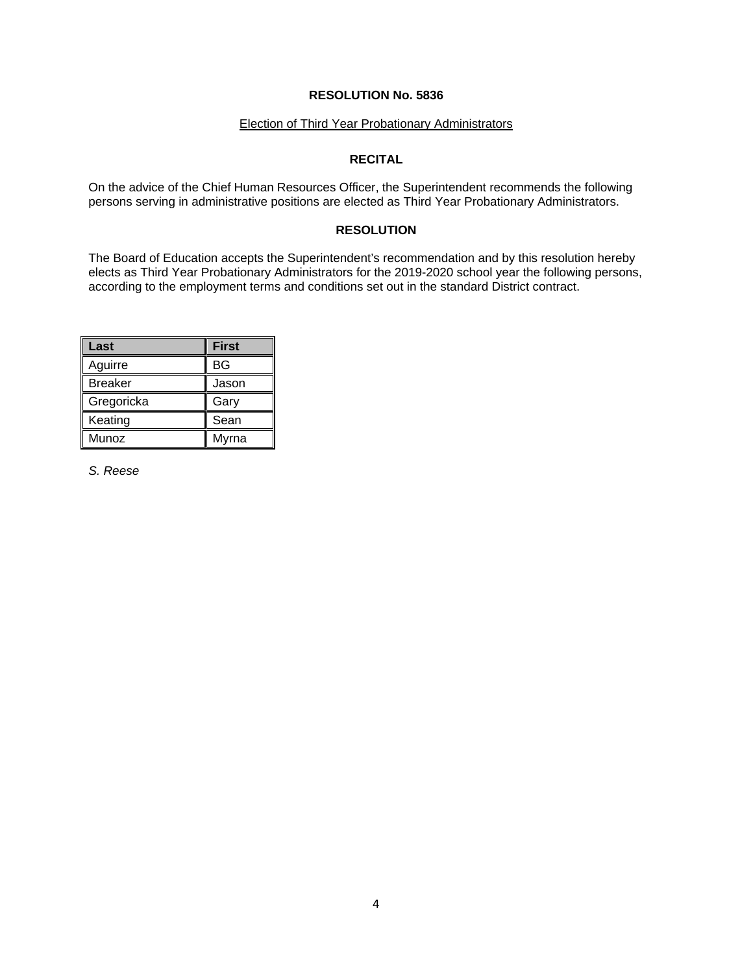### Election of Third Year Probationary Administrators

### **RECITAL**

On the advice of the Chief Human Resources Officer, the Superintendent recommends the following persons serving in administrative positions are elected as Third Year Probationary Administrators.

## **RESOLUTION**

The Board of Education accepts the Superintendent's recommendation and by this resolution hereby elects as Third Year Probationary Administrators for the 2019-2020 school year the following persons, according to the employment terms and conditions set out in the standard District contract.

| Last           | <b>First</b> |
|----------------|--------------|
| Aguirre        | <b>BG</b>    |
| <b>Breaker</b> | Jason        |
| Gregoricka     | Gary         |
| Keating        | Sean         |
| Munoz          | Myrna        |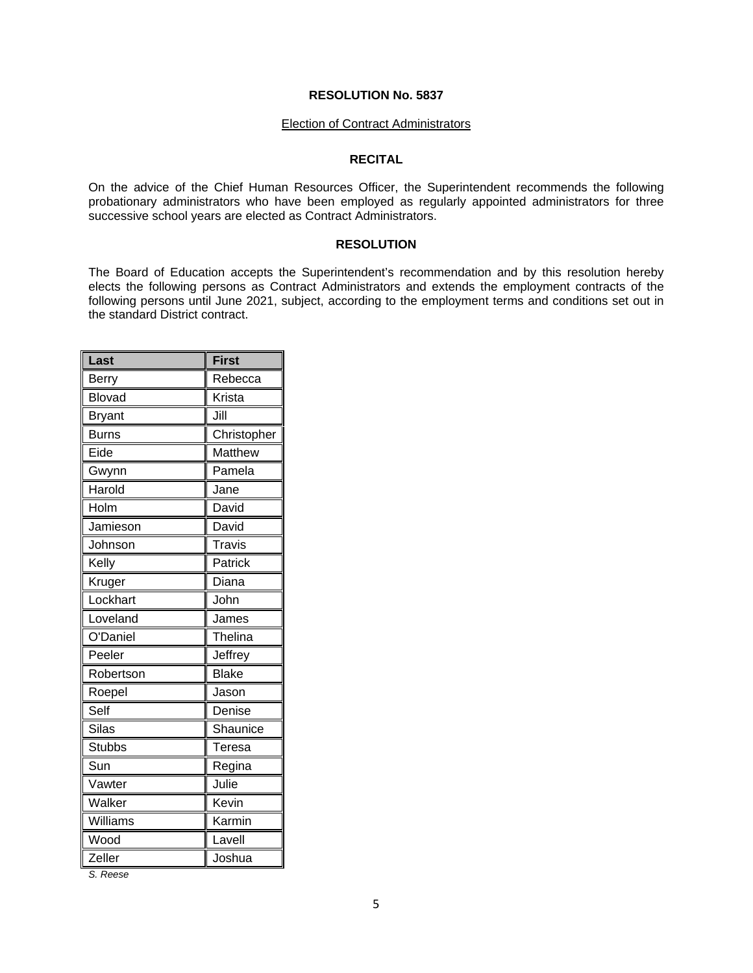#### Election of Contract Administrators

#### **RECITAL**

On the advice of the Chief Human Resources Officer, the Superintendent recommends the following probationary administrators who have been employed as regularly appointed administrators for three successive school years are elected as Contract Administrators.

#### **RESOLUTION**

The Board of Education accepts the Superintendent's recommendation and by this resolution hereby elects the following persons as Contract Administrators and extends the employment contracts of the following persons until June 2021, subject, according to the employment terms and conditions set out in the standard District contract.

| Last          | <b>First</b>  |
|---------------|---------------|
| <b>Berry</b>  | Rebecca       |
| <b>Blovad</b> | Krista        |
| <b>Bryant</b> | Jill          |
| <b>Burns</b>  | Christopher   |
| Eide          | Matthew       |
| Gwynn         | Pamela        |
| Harold        | Jane          |
| Holm          | David         |
| Jamieson      | David         |
| Johnson       | <b>Travis</b> |
| Kelly         | Patrick       |
| Kruger        | Diana         |
| Lockhart      | John          |
| Loveland      | James         |
| O'Daniel      | Thelina       |
| Peeler        | Jeffrey       |
| Robertson     | <b>Blake</b>  |
| Roepel        | Jason         |
| Self          | Denise        |
| <b>Silas</b>  | Shaunice      |
| <b>Stubbs</b> | Teresa        |
| Sun           | Regina        |
| Vawter        | Julie         |
| Walker        | Kevin         |
| Williams      | Karmin        |
| Wood          | Lavell        |
| Zeller        | Joshua        |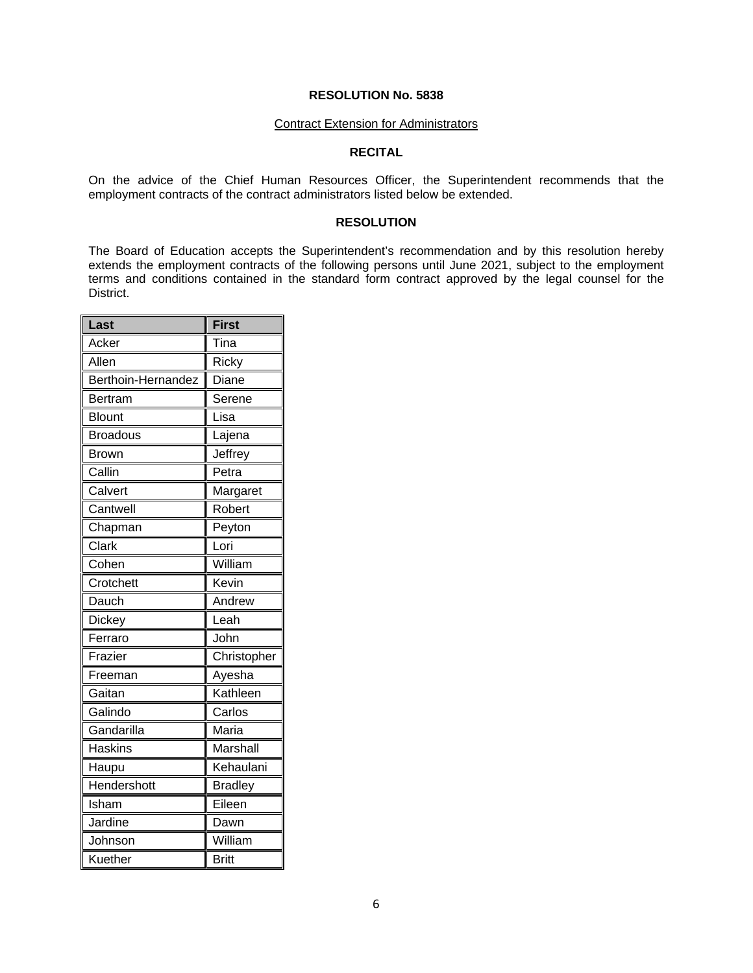#### Contract Extension for Administrators

### **RECITAL**

On the advice of the Chief Human Resources Officer, the Superintendent recommends that the employment contracts of the contract administrators listed below be extended.

#### **RESOLUTION**

The Board of Education accepts the Superintendent's recommendation and by this resolution hereby extends the employment contracts of the following persons until June 2021, subject to the employment terms and conditions contained in the standard form contract approved by the legal counsel for the District.

| Last               | <b>First</b>   |
|--------------------|----------------|
| Acker              | Tina           |
| Allen              | Ricky          |
| Berthoin-Hernandez | Diane          |
| Bertram            | Serene         |
| <b>Blount</b>      | Lisa           |
| <b>Broadous</b>    | Lajena         |
| <b>Brown</b>       | Jeffrey        |
| Callin             | Petra          |
| Calvert            | Margaret       |
| Cantwell           | Robert         |
| Chapman            | Peyton         |
| Clark              | Lori           |
| Cohen              | William        |
| Crotchett          | Kevin          |
| Dauch              | Andrew         |
| Dickey             | Leah           |
| Ferraro            | John           |
| Frazier            | Christopher    |
| Freeman            | Ayesha         |
| Gaitan             | Kathleen       |
| Galindo            | Carlos         |
| Gandarilla         | Maria          |
| <b>Haskins</b>     | Marshall       |
| Haupu              | Kehaulani      |
| Hendershott        | <b>Bradley</b> |
| Isham              | Eileen         |
| Jardine            | Dawn           |
| Johnson            | William        |
| Kuether            | <b>Britt</b>   |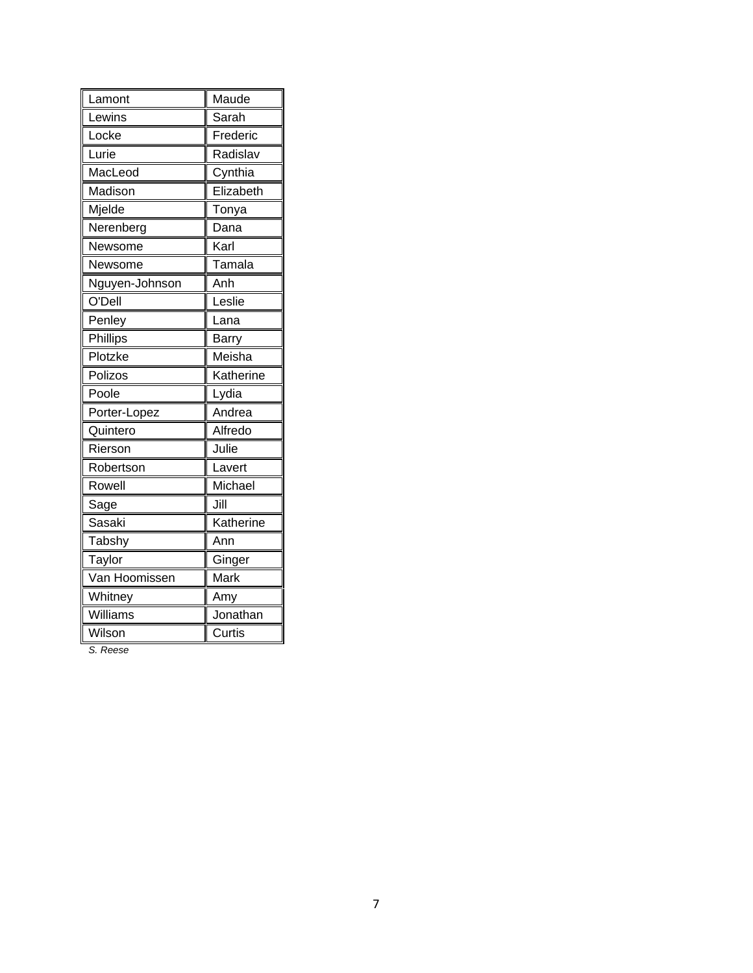| Lamont         | Maude     |
|----------------|-----------|
| Lewins         | Sarah     |
| Locke          | Frederic  |
| Lurie          | Radislav  |
| MacLeod        | Cynthia   |
| Madison        | Elizabeth |
| Mjelde         | Tonya     |
| Nerenberg      | Dana      |
| Newsome        | Karl      |
| Newsome        | Tamala    |
| Nguyen-Johnson | Anh       |
| O'Dell         | Leslie    |
| Penley         | Lana      |
| Phillips       | Barry     |
| Plotzke        | Meisha    |
| Polizos        | Katherine |
| Poole          | Lydia     |
| Porter-Lopez   | Andrea    |
| Quintero       | Alfredo   |
| Rierson        | Julie     |
| Robertson      | Lavert    |
| Rowell         | Michael   |
| Sage           | Jill      |
| Sasaki         | Katherine |
| Tabshy         | Ann       |
| Taylor         | Ginger    |
| Van Hoomissen  | Mark      |
| Whitney        | Amy       |
| Williams       | Jonathan  |
| Wilson         | Curtis    |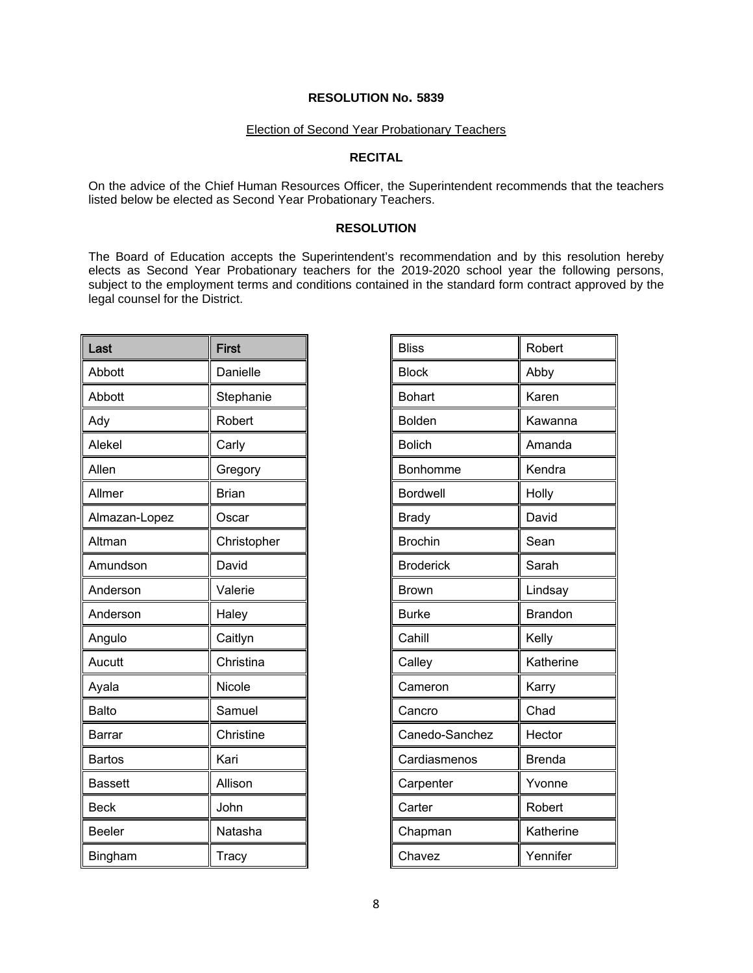## Election of Second Year Probationary Teachers

### **RECITAL**

On the advice of the Chief Human Resources Officer, the Superintendent recommends that the teachers listed below be elected as Second Year Probationary Teachers.

#### **RESOLUTION**

The Board of Education accepts the Superintendent's recommendation and by this resolution hereby elects as Second Year Probationary teachers for the 2019-2020 school year the following persons, subject to the employment terms and conditions contained in the standard form contract approved by the legal counsel for the District.

| Last          | <b>First</b> |
|---------------|--------------|
| Abbott        | Danielle     |
| Abbott        | Stephanie    |
| Ady           | Robert       |
| Alekel        | Carly        |
| Allen         | Gregory      |
| Allmer        | <b>Brian</b> |
| Almazan-Lopez | Oscar        |
| Altman        | Christopher  |
| Amundson      | David        |
| Anderson      | Valerie      |
| Anderson      | Haley        |
| Angulo        | Caitlyn      |
| Aucutt        | Christina    |
| Ayala         | Nicole       |
| <b>Balto</b>  | Samuel       |
| Barrar        | Christine    |
| <b>Bartos</b> | Kari         |
| Bassett       | Allison      |
| <b>Beck</b>   | John         |
| <b>Beeler</b> | Natasha      |
| Bingham       | Tracy        |

| <b>Bliss</b>     | Robert        |
|------------------|---------------|
| <b>Block</b>     | Abby          |
| <b>Bohart</b>    | Karen         |
| <b>Bolden</b>    | Kawanna       |
| <b>Bolich</b>    | Amanda        |
| Bonhomme         | Kendra        |
| <b>Bordwell</b>  | Holly         |
| <b>Brady</b>     | David         |
| <b>Brochin</b>   | Sean          |
| <b>Broderick</b> | Sarah         |
| <b>Brown</b>     | Lindsay       |
| <b>Burke</b>     | Brandon       |
| Cahill           | Kelly         |
| Calley           | Katherine     |
| Cameron          | Karry         |
| Cancro           | Chad          |
| Canedo-Sanchez   | Hector        |
| Cardiasmenos     | <b>Brenda</b> |
| Carpenter        | Yvonne        |
| Carter           | Robert        |
| Chapman          | Katherine     |
| Chavez           | Yennifer      |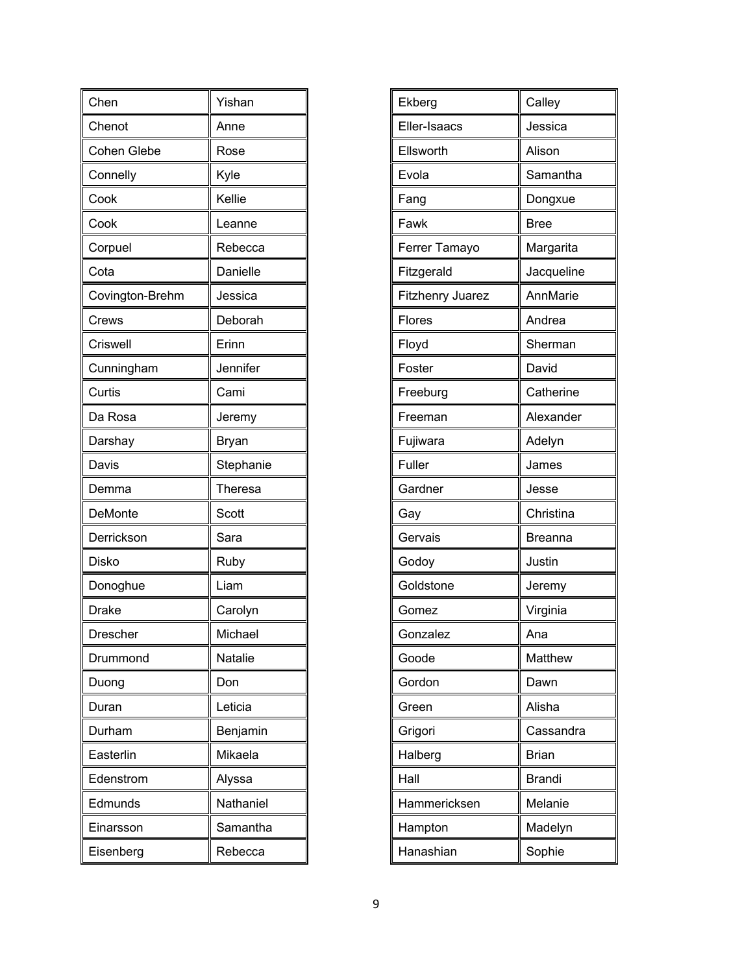| Chen            | Yishan    |
|-----------------|-----------|
| Chenot          | Anne      |
| Cohen Glebe     | Rose      |
| Connelly        | Kyle      |
| Cook            | Kellie    |
| Cook            | Leanne    |
| Corpuel         | Rebecca   |
| Cota            | Danielle  |
| Covington-Brehm | Jessica   |
| Crews           | Deborah   |
| Criswell        | Erinn     |
| Cunningham      | Jennifer  |
| Curtis          | Cami      |
| Da Rosa         | Jeremy    |
| Darshay         | Bryan     |
| Davis           | Stephanie |
| Demma           | Theresa   |
| DeMonte         | Scott     |
| Derrickson      | Sara      |
| <b>Disko</b>    | Ruby      |
| Donoghue        | Liam      |
| <b>Drake</b>    | Carolyn   |
| Drescher        | Michael   |
| Drummond        | Natalie   |
| Duong           | Don       |
| Duran           | Leticia   |
| Durham          | Benjamin  |
| Easterlin       | Mikaela   |
| Edenstrom       | Alyssa    |
| Edmunds         | Nathaniel |
| Einarsson       | Samantha  |
| Eisenberg       | Rebecca   |

| Ekberg           | Calley        |
|------------------|---------------|
| Eller-Isaacs     | Jessica       |
| Ellsworth        | Alison        |
| Evola            | Samantha      |
| Fang             | Dongxue       |
| Fawk             | <b>Bree</b>   |
| Ferrer Tamayo    | Margarita     |
| Fitzgerald       | Jacqueline    |
| Fitzhenry Juarez | AnnMarie      |
| Flores           | Andrea        |
| Floyd            | Sherman       |
| Foster           | David         |
| Freeburg         | Catherine     |
| Freeman          | Alexander     |
| Fujiwara         | Adelyn        |
| Fuller           | James         |
| Gardner          | Jesse         |
| Gay              | Christina     |
| Gervais          | Breanna       |
| Godoy            | Justin        |
| Goldstone        | Jeremy        |
| Gomez            | Virginia      |
| Gonzalez         | Ana           |
| Goode            | Matthew       |
| Gordon           | Dawn          |
| Green            | Alisha        |
| Grigori          | Cassandra     |
| Halberg          | <b>Brian</b>  |
| Hall             | <b>Brandi</b> |
| Hammericksen     | Melanie       |
| Hampton          | Madelyn       |
| Hanashian        | Sophie        |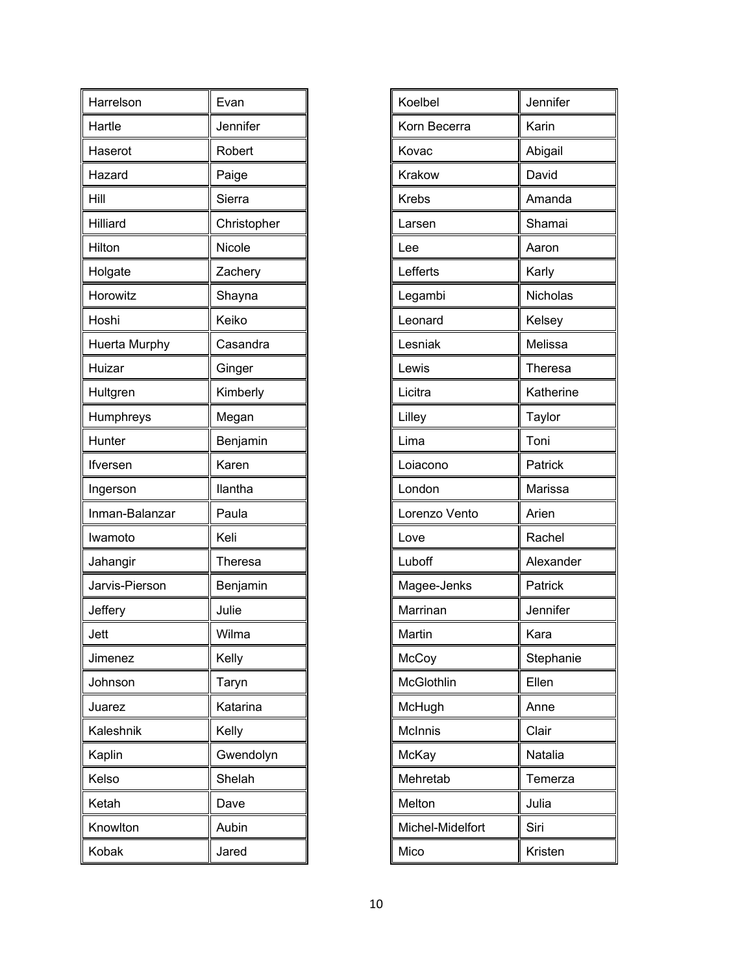| Harrelson      | Evan           |
|----------------|----------------|
| Hartle         | Jennifer       |
| Haserot        | Robert         |
| Hazard         | Paige          |
| Hill           | Sierra         |
| Hilliard       | Christopher    |
| Hilton         | Nicole         |
| Holgate        | Zachery        |
| Horowitz       | Shayna         |
| Hoshi          | Keiko          |
| Huerta Murphy  | Casandra       |
| Huizar         | Ginger         |
| Hultgren       | Kimberly       |
| Humphreys      | Megan          |
| Hunter         | Benjamin       |
| lfversen       | Karen          |
| Ingerson       | llantha        |
| Inman-Balanzar | Paula          |
| Iwamoto        | Keli           |
| Jahangir       | <b>Theresa</b> |
| Jarvis-Pierson | Benjamin       |
| Jeffery        | Julie          |
| Jett           | Wilma          |
| Jimenez        | Kelly          |
| Johnson        | Taryn          |
| Juarez         | Katarina       |
| Kaleshnik      | Kelly          |
| Kaplin         | Gwendolyn      |
| Kelso          | Shelah         |
| Ketah          | Dave           |
| Knowlton       | Aubin          |
|                |                |

| Koelbel          | Jennifer  |
|------------------|-----------|
| Korn Becerra     | Karin     |
| Kovac            | Abigail   |
| Krakow           | David     |
| <b>Krebs</b>     | Amanda    |
| Larsen           | Shamai    |
| Lee              | Aaron     |
| Lefferts         | Karly     |
| Legambi          | Nicholas  |
| Leonard          | Kelsey    |
| Lesniak          | Melissa   |
| Lewis            | Theresa   |
| Licitra          | Katherine |
| Lilley           | Taylor    |
| Lima             | Toni      |
| Loiacono         | Patrick   |
| London           | Marissa   |
| Lorenzo Vento    | Arien     |
| Love             | Rachel    |
| Luboff           | Alexander |
| Magee-Jenks      | Patrick   |
| Marrinan         | Jennifer  |
| Martin           | Kara      |
| McCoy            | Stephanie |
| McGlothlin       | Ellen     |
| McHugh           | Anne      |
| McInnis          | Clair     |
| McKay            | Natalia   |
| Mehretab         | Temerza   |
| Melton           | Julia     |
| Michel-Midelfort | Siri      |
| Mico             | Kristen   |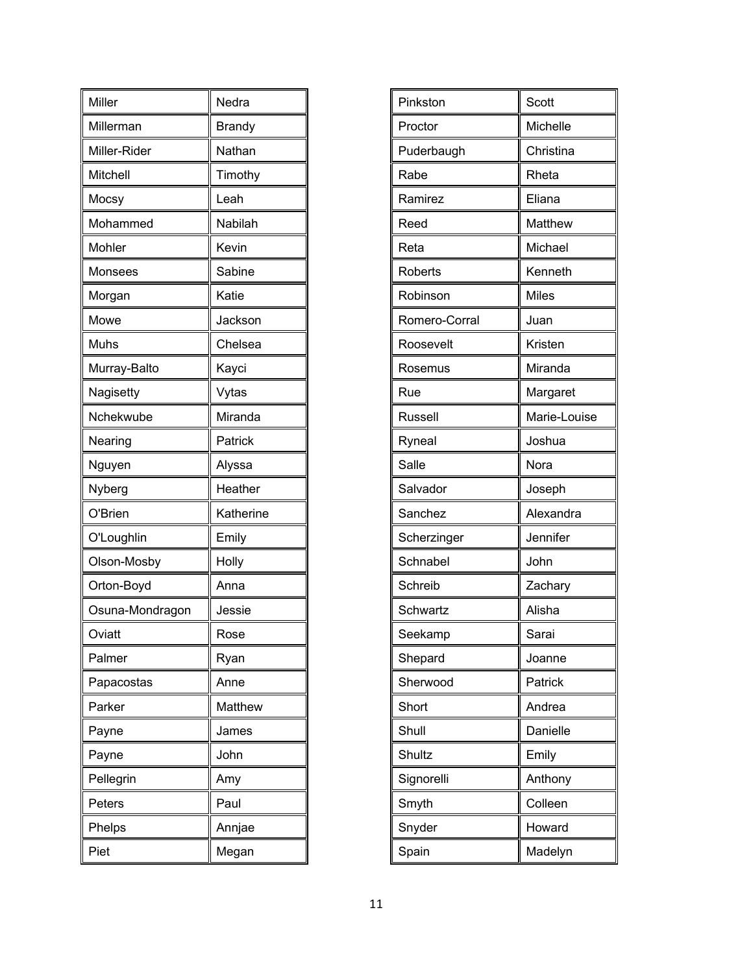| Miller          | Nedra         |
|-----------------|---------------|
| Millerman       | <b>Brandy</b> |
| Miller-Rider    | Nathan        |
| Mitchell        | Timothy       |
| Mocsy           | Leah          |
| Mohammed        | Nabilah       |
| Mohler          | Kevin         |
| Monsees         | Sabine        |
| Morgan          | Katie         |
| Mowe            | Jackson       |
| Muhs            | Chelsea       |
| Murray-Balto    | Kayci         |
| Nagisetty       | Vytas         |
| Nchekwube       | Miranda       |
| Nearing         | Patrick       |
| Nguyen          | Alyssa        |
|                 |               |
| Nyberg          | Heather       |
| O'Brien         | Katherine     |
| O'Loughlin      | Emily         |
| Olson-Mosby     | Holly         |
| Orton-Boyd      | Anna          |
| Osuna-Mondragon | Jessie        |
| Oviatt          | Rose          |
| Palmer          | Ryan          |
| Papacostas      | Anne          |
| Parker          | Matthew       |
| Payne           | James         |
| Payne           | John          |
| Pellegrin       | Amy           |
| Peters          | Paul          |
| Phelps          | Annjae        |

| Pinkston       | Scott        |
|----------------|--------------|
| Proctor        | Michelle     |
| Puderbaugh     | Christina    |
| Rabe           | Rheta        |
| Ramirez        | Eliana       |
| Reed           | Matthew      |
| Reta           | Michael      |
| <b>Roberts</b> | Kenneth      |
| Robinson       | <b>Miles</b> |
| Romero-Corral  | Juan         |
| Roosevelt      | Kristen      |
| Rosemus        | Miranda      |
| Rue            | Margaret     |
| <b>Russell</b> | Marie-Louise |
| Ryneal         | Joshua       |
| Salle          | Nora         |
| Salvador       | Joseph       |
| Sanchez        | Alexandra    |
| Scherzinger    | Jennifer     |
| Schnabel       | John         |
| Schreib        | Zachary      |
| Schwartz       | Alisha       |
| Seekamp        | Sarai        |
| Shepard        | Joanne       |
| Sherwood       | Patrick      |
| Short          | Andrea       |
| Shull          | Danielle     |
| Shultz         | Emily        |
| Signorelli     | Anthony      |
| Smyth          | Colleen      |
| Snyder         | Howard       |
| Spain          | Madelyn      |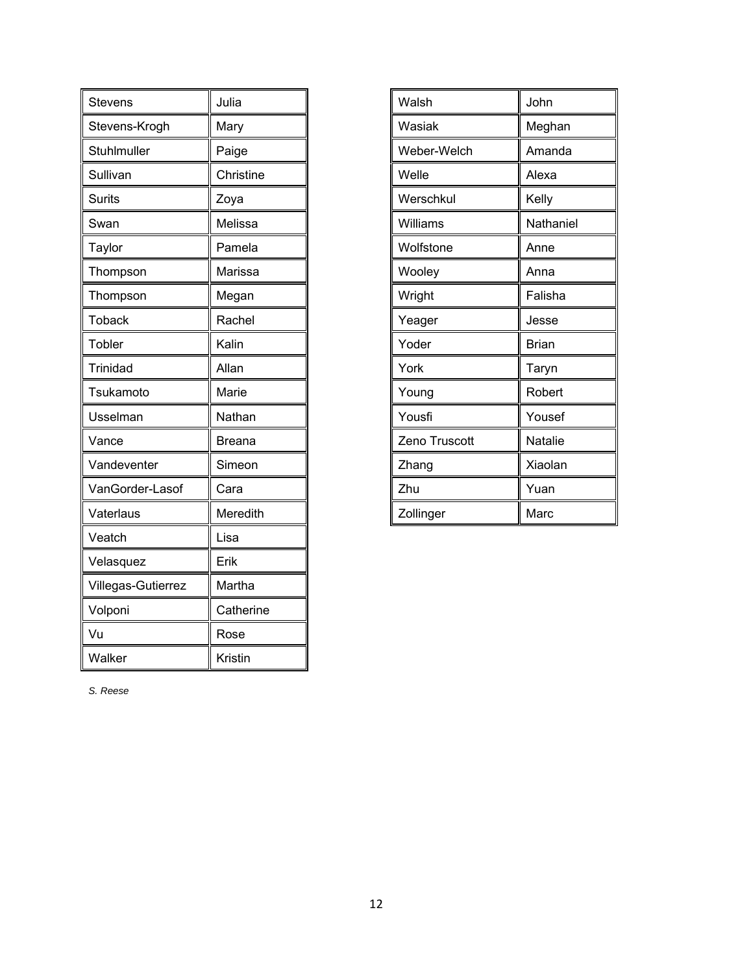| Stevens            | Julia     |
|--------------------|-----------|
| Stevens-Krogh      | Mary      |
| Stuhlmuller        | Paige     |
| Sullivan           | Christine |
| <b>Surits</b>      | Zoya      |
| Swan               | Melissa   |
| Taylor             | Pamela    |
| Thompson           | Marissa   |
| Thompson           | Megan     |
| <b>Toback</b>      | Rachel    |
| Tobler             | Kalin     |
| <b>Trinidad</b>    | Allan     |
| Tsukamoto          | Marie     |
| Usselman           | Nathan    |
| Vance              | Breana    |
| Vandeventer        | Simeon    |
| VanGorder-Lasof    | Cara      |
| Vaterlaus          | Meredith  |
| Veatch             | Lisa      |
| Velasquez          | Erik      |
| Villegas-Gutierrez | Martha    |
| Volponi            | Catherine |
| Vu                 | Rose      |
| Walker             | Kristin   |

| Walsh         | John         |
|---------------|--------------|
| Wasiak        | Meghan       |
| Weber-Welch   | Amanda       |
| Welle         | Alexa        |
| Werschkul     | Kelly        |
| Williams      | Nathaniel    |
| Wolfstone     | Anne         |
| Wooley        | Anna         |
| Wright        | Falisha      |
| Yeager        | Jesse        |
| Yoder         | <b>Brian</b> |
| York          | Taryn        |
| Young         | Robert       |
| Yousfi        | Yousef       |
| Zeno Truscott | Natalie      |
| Zhang         | Xiaolan      |
| Zhu           | Yuan         |
| Zollinger     | Marc         |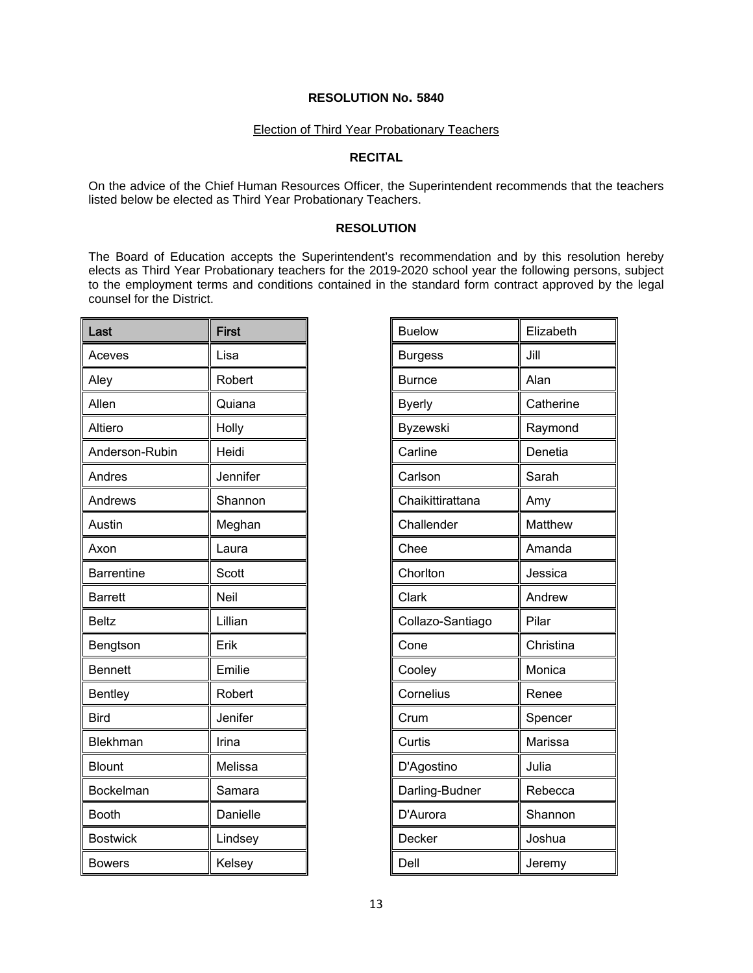#### Election of Third Year Probationary Teachers

### **RECITAL**

On the advice of the Chief Human Resources Officer, the Superintendent recommends that the teachers listed below be elected as Third Year Probationary Teachers.

### **RESOLUTION**

The Board of Education accepts the Superintendent's recommendation and by this resolution hereby elects as Third Year Probationary teachers for the 2019-2020 school year the following persons, subject to the employment terms and conditions contained in the standard form contract approved by the legal counsel for the District.

| Last              | <b>First</b> |
|-------------------|--------------|
| Aceves            | Lisa         |
| Aley              | Robert       |
| Allen             | Quiana       |
| Altiero           | Holly        |
| Anderson-Rubin    | Heidi        |
| Andres            | Jennifer     |
| Andrews           | Shannon      |
| Austin            | Meghan       |
| Axon              | Laura        |
| <b>Barrentine</b> | Scott        |
| <b>Barrett</b>    | Neil         |
| <b>Beltz</b>      | Lillian      |
| Bengtson          | Erik         |
| <b>Bennett</b>    | Emilie       |
| Bentley           | Robert       |
| <b>Bird</b>       | Jenifer      |
| Blekhman          | Irina        |
| <b>Blount</b>     | Melissa      |
| Bockelman         | Samara       |
| <b>Booth</b>      | Danielle     |
| <b>Bostwick</b>   | Lindsey      |
| <b>Bowers</b>     | Kelsey       |

| <b>Buelow</b>    | Elizabeth |
|------------------|-----------|
| <b>Burgess</b>   | Jill      |
| <b>Burnce</b>    | Alan      |
| <b>Byerly</b>    | Catherine |
| Byzewski         | Raymond   |
| Carline          | Denetia   |
| Carlson          | Sarah     |
| Chaikittirattana | Amy       |
| Challender       | Matthew   |
| Chee             | Amanda    |
| Chorlton         | Jessica   |
| Clark            | Andrew    |
| Collazo-Santiago | Pilar     |
| Cone             | Christina |
| Cooley           | Monica    |
| Cornelius        | Renee     |
| Crum             | Spencer   |
| Curtis           | Marissa   |
| D'Agostino       | Julia     |
| Darling-Budner   | Rebecca   |
| D'Aurora         | Shannon   |
| Decker           | Joshua    |
| Dell             | Jeremy    |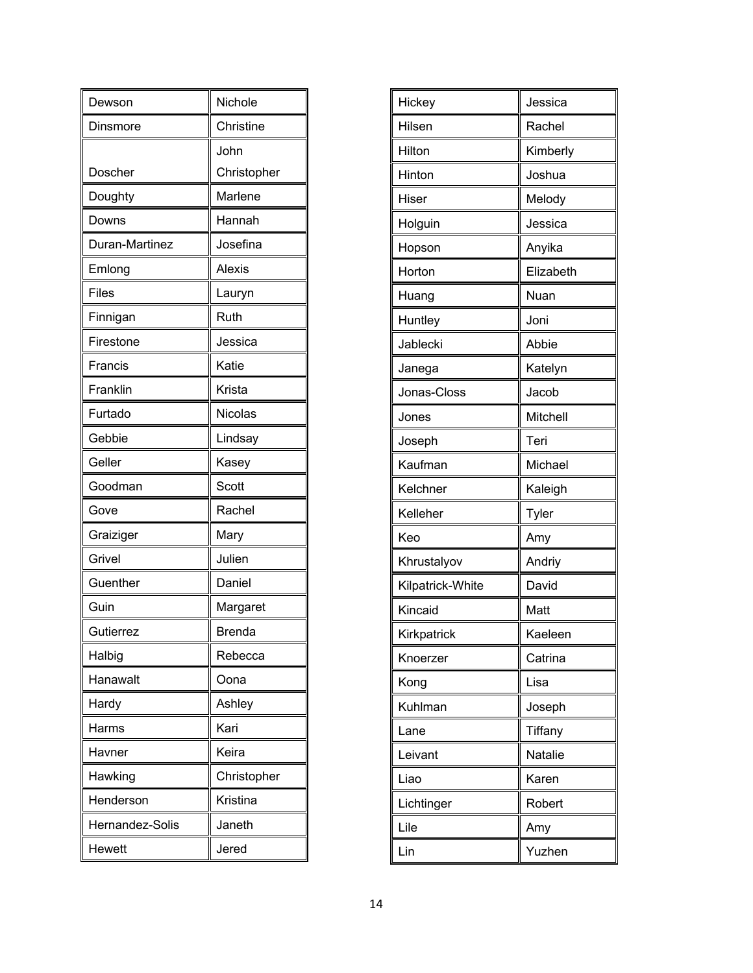| Dewson          | Nichole       |
|-----------------|---------------|
| Dinsmore        | Christine     |
|                 | John          |
| Doscher         | Christopher   |
| Doughty         | Marlene       |
| Downs           | Hannah        |
| Duran-Martinez  | Josefina      |
| Emlong          | <b>Alexis</b> |
| <b>Files</b>    | Lauryn        |
| Finnigan        | Ruth          |
| Firestone       | Jessica       |
| Francis         | Katie         |
| Franklin        | Krista        |
| Furtado         | Nicolas       |
| Gebbie          | Lindsay       |
| Geller          | Kasey         |
| Goodman         | Scott         |
| Gove            | Rachel        |
| Graiziger       | Mary          |
| Grivel          | Julien        |
| Guenther        | Daniel        |
| Guin            | Margaret      |
| Gutierrez       | <b>Brenda</b> |
| Halbig          | Rebecca       |
| Hanawalt        | Oona          |
| Hardy           | Ashley        |
| Harms           | Kari          |
| Havner          | Keira         |
| Hawking         | Christopher   |
| Henderson       | Kristina      |
| Hernandez-Solis | Janeth        |
| Hewett          | Jered         |

| Hickey           | Jessica   |
|------------------|-----------|
| Hilsen           | Rachel    |
| Hilton           | Kimberly  |
| Hinton           | Joshua    |
| Hiser            | Melody    |
| Holguin          | Jessica   |
| Hopson           | Anyika    |
| Horton           | Elizabeth |
| Huang            | Nuan      |
| Huntley          | Joni      |
| Jablecki         | Abbie     |
| Janega           | Katelyn   |
| Jonas-Closs      | Jacob     |
| Jones            | Mitchell  |
| Joseph           | Teri      |
| Kaufman          | Michael   |
| Kelchner         | Kaleigh   |
| Kelleher         | Tyler     |
| Keo              | Amy       |
| Khrustalyov      | Andriy    |
| Kilpatrick-White | David     |
| Kincaid          | Matt      |
| Kirkpatrick      | Kaeleen   |
| Knoerzer         | Catrina   |
| Kong             | Lisa      |
| Kuhlman          | Joseph    |
| Lane             | Tiffany   |
| Leivant          | Natalie   |
| Liao             | Karen     |
| Lichtinger       | Robert    |
| Lile             | Amy       |
| Lin              | Yuzhen    |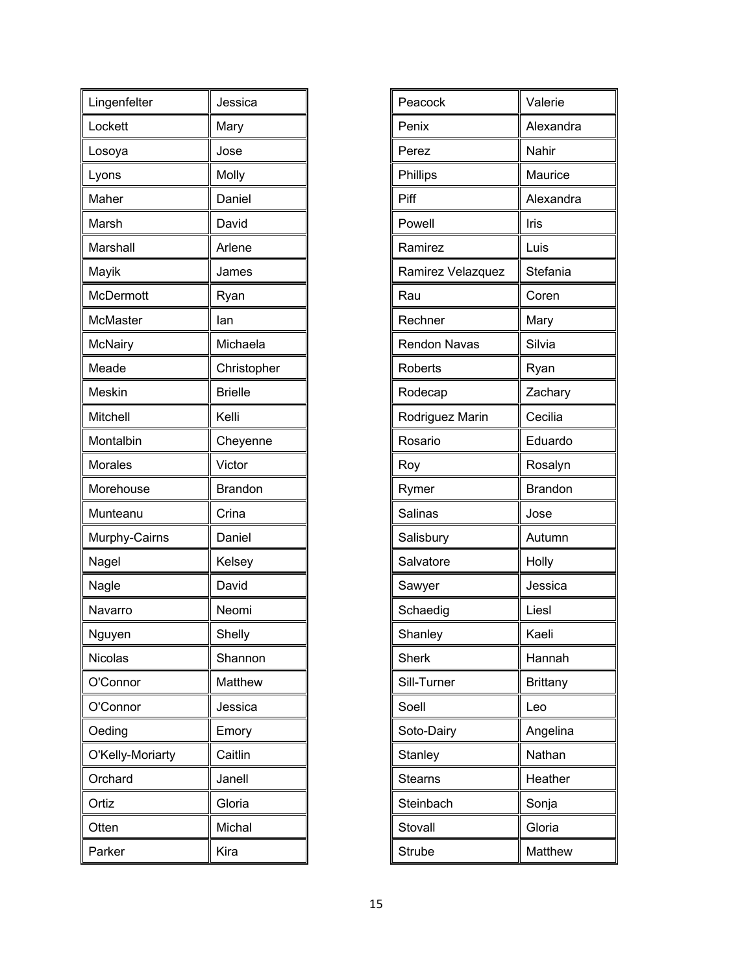| Lingenfelter     | Jessica        |
|------------------|----------------|
| Lockett          | Mary           |
| Losoya           | Jose           |
| Lyons            | Molly          |
| Maher            | Daniel         |
| Marsh            | David          |
| Marshall         | Arlene         |
| Mayik            | James          |
| McDermott        | Ryan           |
| <b>McMaster</b>  | lan            |
| McNairy          | Michaela       |
| Meade            | Christopher    |
| Meskin           | <b>Brielle</b> |
| Mitchell         | Kelli          |
| Montalbin        | Cheyenne       |
| <b>Morales</b>   | Victor         |
| Morehouse        | <b>Brandon</b> |
| Munteanu         | Crina          |
| Murphy-Cairns    | Daniel         |
| Nagel            | Kelsey         |
| Nagle            | David          |
| Navarro          | Neomi          |
| Nguyen           | Shelly         |
| <b>Nicolas</b>   | Shannon        |
| O'Connor         | Matthew        |
| O'Connor         | Jessica        |
| Oeding           | Emory          |
| O'Kelly-Moriarty | Caitlin        |
| Orchard          | Janell         |
| Ortiz            | Gloria         |
| Otten            | Michal         |
| Parker           | Kira           |

| Peacock             | Valerie         |
|---------------------|-----------------|
| Penix               | Alexandra       |
| Perez               | Nahir           |
| Phillips            | Maurice         |
| Piff                | Alexandra       |
| Powell              | Iris            |
| Ramirez             | Luis            |
| Ramirez Velazquez   | Stefania        |
| Rau                 | Coren           |
| Rechner             | Mary            |
| <b>Rendon Navas</b> | Silvia          |
| Roberts             | Ryan            |
| Rodecap             | Zachary         |
| Rodriguez Marin     | Cecilia         |
| Rosario             | Eduardo         |
| Roy                 | Rosalyn         |
| Rymer               | <b>Brandon</b>  |
| Salinas             | Jose            |
| Salisbury           | Autumn          |
| Salvatore           | Holly           |
| Sawyer              | Jessica         |
| Schaedig            | Liesl           |
| Shanley             | Kaeli           |
| <b>Sherk</b>        | Hannah          |
| Sill-Turner         | <b>Brittany</b> |
| Soell               | Leo             |
| Soto-Dairy          | Angelina        |
| Stanley             | Nathan          |
| <b>Stearns</b>      | Heather         |
| Steinbach           | Sonja           |
| Stovall             | Gloria          |
| Strube              | Matthew         |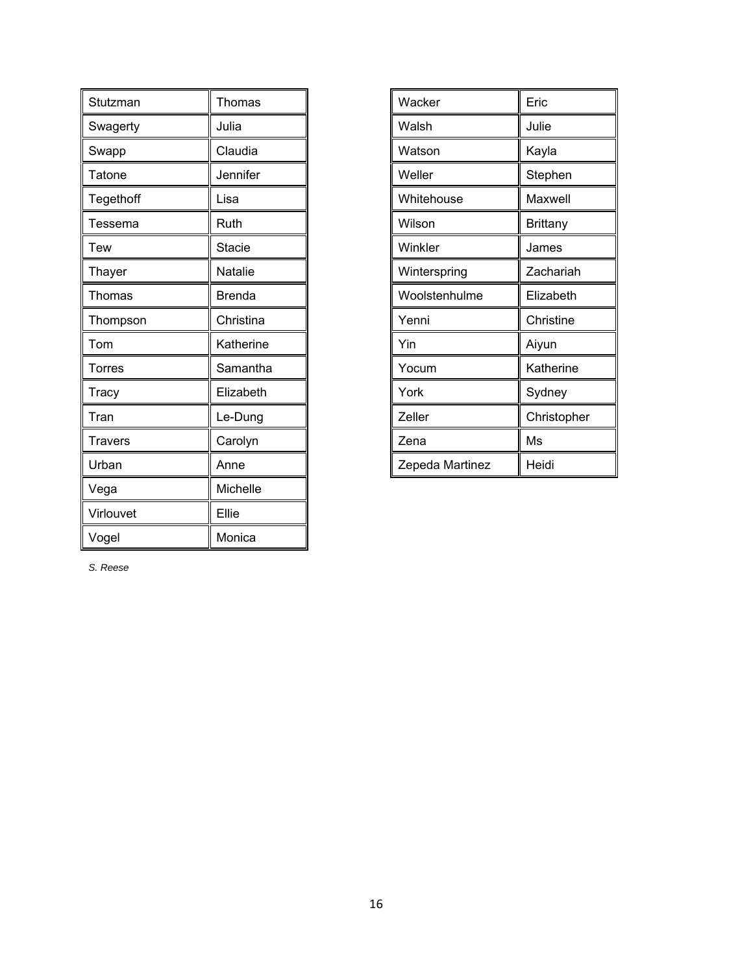| Stutzman      | Thomas        |
|---------------|---------------|
| Swagerty      | Julia         |
| Swapp         | Claudia       |
| Tatone        | Jennifer      |
| Tegethoff     | Lisa          |
| Tessema       | Ruth          |
| Tew           | <b>Stacie</b> |
| Thayer        | Natalie       |
| <b>Thomas</b> | <b>Brenda</b> |
| Thompson      | Christina     |
| Tom           | Katherine     |
| Torres        | Samantha      |
| Tracy         | Elizabeth     |
| Tran          | Le-Dung       |
| Travers       | Carolyn       |
| Urban         | Anne          |
| Vega          | Michelle      |
| Virlouvet     | Ellie         |
| Vogel         | Monica        |

| Wacker          | Eric        |
|-----------------|-------------|
| Walsh           | Julie       |
| Watson          | Kayla       |
| Weller          | Stephen     |
| Whitehouse      | Maxwell     |
| Wilson          | Brittany    |
| Winkler         | James       |
| Winterspring    | Zachariah   |
| Woolstenhulme   | Elizabeth   |
| Yenni           | Christine   |
| Yin             | Aiyun       |
| Yocum           | Katherine   |
| York            | Sydney      |
| Zeller          | Christopher |
| Zena            | Ms          |
| Zepeda Martinez | Heidi       |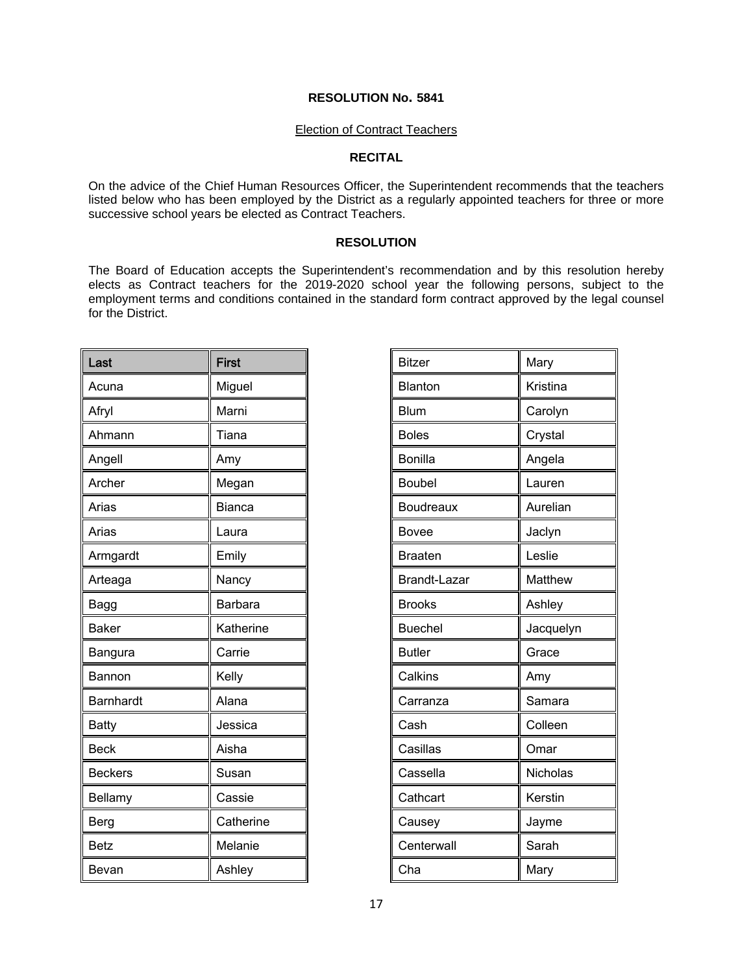#### Election of Contract Teachers

### **RECITAL**

On the advice of the Chief Human Resources Officer, the Superintendent recommends that the teachers listed below who has been employed by the District as a regularly appointed teachers for three or more successive school years be elected as Contract Teachers.

#### **RESOLUTION**

The Board of Education accepts the Superintendent's recommendation and by this resolution hereby elects as Contract teachers for the 2019-2020 school year the following persons, subject to the employment terms and conditions contained in the standard form contract approved by the legal counsel for the District.

| Last           | <b>First</b>  |
|----------------|---------------|
| Acuna          | Miguel        |
| Afryl          | Marni         |
| Ahmann         | Tiana         |
| Angell         | Amy           |
| Archer         | Megan         |
| Arias          | <b>Bianca</b> |
| Arias          | Laura         |
| Armgardt       | Emily         |
| Arteaga        | Nancy         |
| Bagg           | Barbara       |
| <b>Baker</b>   | Katherine     |
| Bangura        | Carrie        |
| Bannon         | Kelly         |
| Barnhardt      | Alana         |
| <b>Batty</b>   | Jessica       |
| <b>Beck</b>    | Aisha         |
| <b>Beckers</b> | Susan         |
| Bellamy        | Cassie        |
| Berg           | Catherine     |
| <b>Betz</b>    | Melanie       |
| Bevan          | Ashley        |

| <b>Bitzer</b>       | Mary      |
|---------------------|-----------|
| Blanton             | Kristina  |
| <b>Blum</b>         | Carolyn   |
| <b>Boles</b>        | Crystal   |
| <b>Bonilla</b>      | Angela    |
| <b>Boubel</b>       | Lauren    |
| <b>Boudreaux</b>    | Aurelian  |
| <b>Bovee</b>        | Jaclyn    |
| <b>Braaten</b>      | Leslie    |
| <b>Brandt-Lazar</b> | Matthew   |
| <b>Brooks</b>       | Ashley    |
| <b>Buechel</b>      | Jacquelyn |
| <b>Butler</b>       | Grace     |
| Calkins             | Amy       |
| Carranza            | Samara    |
| Cash                | Colleen   |
| Casillas            | Omar      |
| Cassella            | Nicholas  |
| Cathcart            | Kerstin   |
| Causey              | Jayme     |
| Centerwall          | Sarah     |
| Cha                 | Mary      |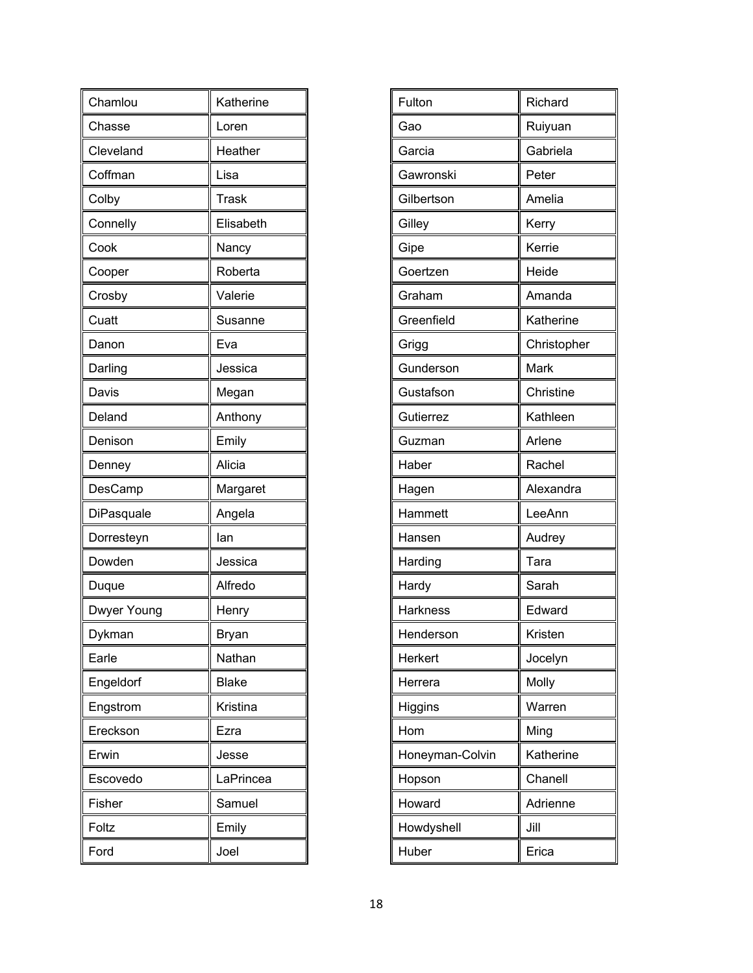| Chamlou     | Katherine    |
|-------------|--------------|
| Chasse      | Loren        |
| Cleveland   | Heather      |
| Coffman     | Lisa         |
| Colby       | <b>Trask</b> |
| Connelly    | Elisabeth    |
| Cook        | Nancy        |
| Cooper      | Roberta      |
| Crosby      | Valerie      |
| Cuatt       | Susanne      |
| Danon       | Eva          |
| Darling     | Jessica      |
| Davis       | Megan        |
| Deland      | Anthony      |
| Denison     | Emily        |
| Denney      | Alicia       |
|             |              |
| DesCamp     | Margaret     |
| DiPasquale  | Angela       |
| Dorresteyn  | lan          |
| Dowden      | Jessica      |
| Duque       | Alfredo      |
| Dwyer Young | Henry        |
| Dykman      | Bryan        |
| Earle       | Nathan       |
| Engeldorf   | <b>Blake</b> |
| Engstrom    | Kristina     |
| Ereckson    | Ezra         |
| Erwin       | Jesse        |
| Escovedo    | LaPrincea    |
| Fisher      | Samuel       |
| Foltz       | Emily        |

| Fulton          | Richard     |
|-----------------|-------------|
| Gao             | Ruiyuan     |
| Garcia          | Gabriela    |
| Gawronski       | Peter       |
| Gilbertson      | Amelia      |
| Gilley          | Kerry       |
| Gipe            | Kerrie      |
| Goertzen        | Heide       |
| Graham          | Amanda      |
| Greenfield      | Katherine   |
| Grigg           | Christopher |
| Gunderson       | Mark        |
| Gustafson       | Christine   |
| Gutierrez       | Kathleen    |
| Guzman          | Arlene      |
| Haber           | Rachel      |
| Hagen           | Alexandra   |
| Hammett         | LeeAnn      |
| Hansen          | Audrey      |
| Harding         | Tara        |
| Hardy           | Sarah       |
| <b>Harkness</b> | Edward      |
| Henderson       | Kristen     |
| Herkert         | Jocelyn     |
| Herrera         | Molly       |
| Higgins         | Warren      |
| Hom             | Ming        |
| Honeyman-Colvin | Katherine   |
| Hopson          | Chanell     |
| Howard          | Adrienne    |
| Howdyshell      | Jill        |
| Huber           | Erica       |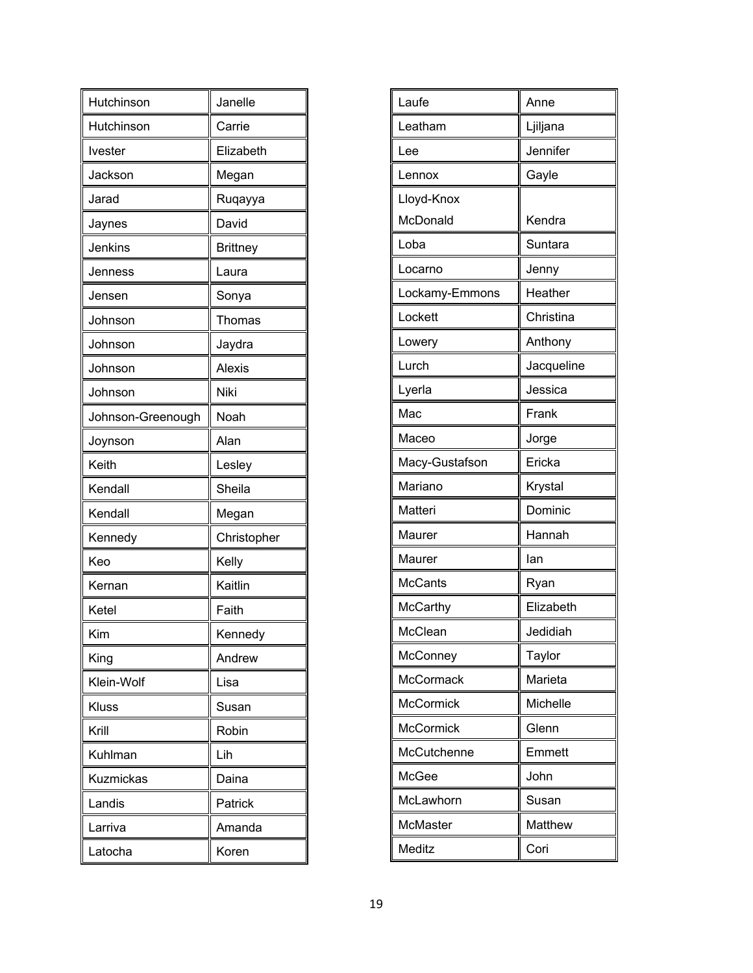| Hutchinson        | Janelle         |
|-------------------|-----------------|
| Hutchinson        | Carrie          |
| Ivester           | Elizabeth       |
| Jackson           | Megan           |
| Jarad             | Ruqayya         |
| Jaynes            | David           |
| Jenkins           | <b>Brittney</b> |
| Jenness           | Laura           |
| Jensen            | Sonya           |
| Johnson           | Thomas          |
| Johnson           | Jaydra          |
| Johnson           | <b>Alexis</b>   |
| Johnson           | Niki            |
| Johnson-Greenough | Noah            |
| Joynson           | Alan            |
| Keith             | Lesley          |
| Kendall           | Sheila          |
| Kendall           | Megan           |
| Kennedy           | Christopher     |
| Keo               | Kelly           |
| Kernan            | Kaitlin         |
| Ketel             | Faith           |
| Kim               | Kennedy         |
| King              | Andrew          |
| Klein-Wolf        | Lisa            |
| Kluss             | Susan           |
| Krill             | Robin           |
| Kuhlman           | Lih             |
| <b>Kuzmickas</b>  | Daina           |
| Landis            | Patrick         |
|                   |                 |
| Larriva           | Amanda          |

| Laufe            | Anne       |
|------------------|------------|
| Leatham          | Ljiljana   |
| Lee              | Jennifer   |
| Lennox           | Gayle      |
| Lloyd-Knox       |            |
| McDonald         | Kendra     |
| Loba             | Suntara    |
| Locarno          | Jenny      |
| Lockamy-Emmons   | Heather    |
| Lockett          | Christina  |
| Lowery           | Anthony    |
| Lurch            | Jacqueline |
| Lyerla           | Jessica    |
| Mac              | Frank      |
| Maceo            | Jorge      |
| Macy-Gustafson   | Ericka     |
| Mariano          | Krystal    |
| Matteri          | Dominic    |
| Maurer           | Hannah     |
| Maurer           | lan        |
| <b>McCants</b>   | Ryan       |
| <b>McCarthy</b>  | Elizabeth  |
| McClean          | Jedidiah   |
| McConney         | Taylor     |
| <b>McCormack</b> | Marieta    |
| <b>McCormick</b> | Michelle   |
| McCormick        | Glenn      |
| McCutchenne      | Emmett     |
| McGee            | John       |
| McLawhorn        | Susan      |
| McMaster         | Matthew    |
| Meditz           | Cori       |
|                  |            |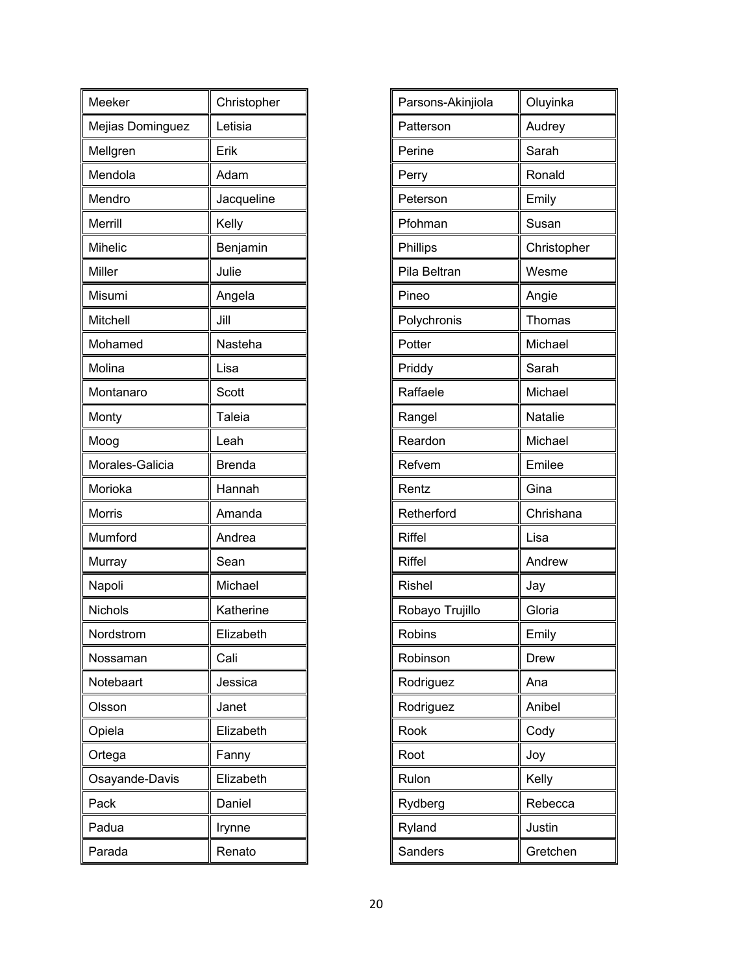| Meeker           | Christopher   |
|------------------|---------------|
| Mejias Dominguez | Letisia       |
| Mellgren         | Erik          |
| Mendola          | Adam          |
| Mendro           | Jacqueline    |
| Merrill          | Kelly         |
| <b>Mihelic</b>   | Benjamin      |
| Miller           | Julie         |
| Misumi           | Angela        |
| Mitchell         | Jill          |
| Mohamed          | Nasteha       |
| Molina           | Lisa          |
| Montanaro        | Scott         |
| Monty            | <b>Taleia</b> |
| Moog             | Leah          |
| Morales-Galicia  | <b>Brenda</b> |
| Morioka          | Hannah        |
| <b>Morris</b>    | Amanda        |
| Mumford          | Andrea        |
| Murray           | Sean          |
| Napoli           | Michael       |
| Nichols          | Katherine     |
| Nordstrom        | Elizabeth     |
| Nossaman         | Cali          |
| Notebaart        | Jessica       |
| Olsson           | Janet         |
| Opiela           | Elizabeth     |
| Ortega           | Fanny         |
| Osayande-Davis   | Elizabeth     |
| Pack             | Daniel        |
| Padua            | Irynne        |
| Parada           | Renato        |

| Parsons-Akinjiola | Oluyinka       |
|-------------------|----------------|
| Patterson         | Audrey         |
| Perine            | Sarah          |
| Perry             | Ronald         |
| Peterson          | Emily          |
| Pfohman           | Susan          |
| Phillips          | Christopher    |
| Pila Beltran      | Wesme          |
| Pineo             | Angie          |
| Polychronis       | Thomas         |
| Potter            | Michael        |
| Priddy            | Sarah          |
| Raffaele          | Michael        |
| Rangel            | <b>Natalie</b> |
| Reardon           | Michael        |
| Refvem            | Emilee         |
| Rentz             | Gina           |
| Retherford        | Chrishana      |
| <b>Riffel</b>     | Lisa           |
| <b>Riffel</b>     | Andrew         |
| <b>Rishel</b>     | Jay            |
| Robayo Trujillo   | Gloria         |
| Robins            | Emily          |
| Robinson          | Drew           |
| Rodriguez         | Ana            |
| Rodriguez         | Anibel         |
| Rook              | Cody           |
| Root              | Joy            |
| Rulon             | Kelly          |
| Rydberg           | Rebecca        |
| Ryland            | Justin         |
| Sanders           | Gretchen       |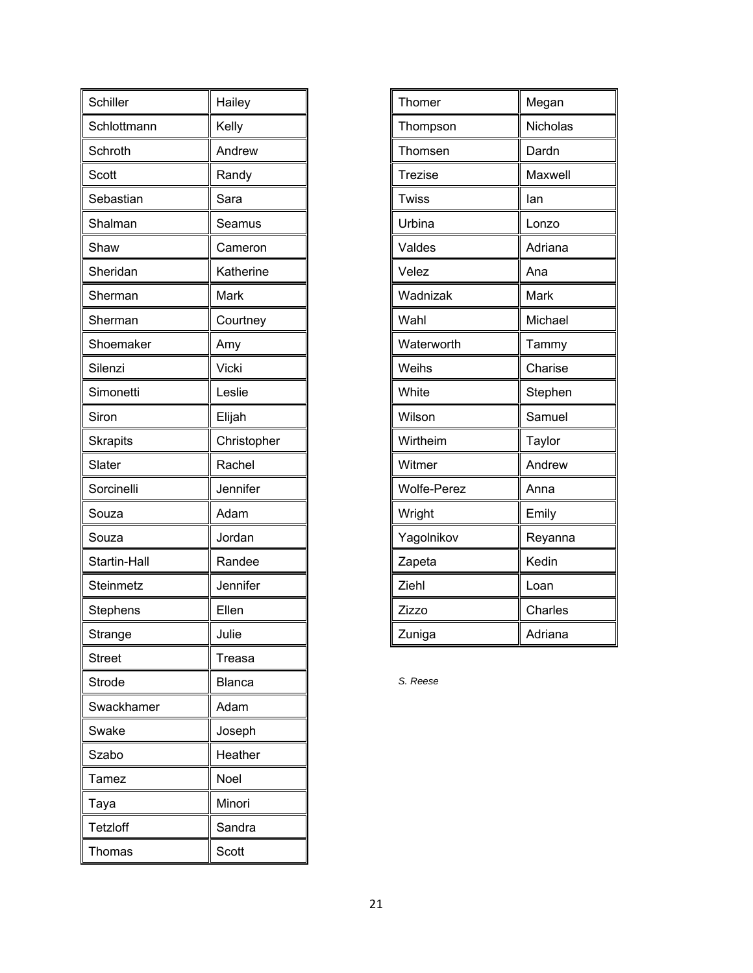| Schiller        | Hailey        |
|-----------------|---------------|
| Schlottmann     | Kelly         |
| Schroth         | Andrew        |
| Scott           | Randy         |
| Sebastian       | Sara          |
| Shalman         | Seamus        |
| Shaw            | Cameron       |
| Sheridan        | Katherine     |
| Sherman         | Mark          |
| Sherman         | Courtney      |
| Shoemaker       | Amy           |
| Silenzi         | Vicki         |
| Simonetti       | Leslie        |
| Siron           | Elijah        |
| <b>Skrapits</b> | Christopher   |
| Slater          | Rachel        |
| Sorcinelli      | Jennifer      |
| Souza           | Adam          |
| Souza           | Jordan        |
| Startin-Hall    | Randee        |
| Steinmetz       | Jennifer      |
| Stephens        | Ellen         |
| Strange         | Julie         |
| <b>Street</b>   | Treasa        |
| Strode          | <b>Blanca</b> |
| Swackhamer      | Adam          |
| Swake           | Joseph        |
| Szabo           | Heather       |
| Tamez           | Noel          |
| Taya            | Minori        |
| Tetzloff        | Sandra        |
| Thomas          | Scott         |

| Thomer             | Megan    |
|--------------------|----------|
| Thompson           | Nicholas |
| Thomsen            | Dardn    |
| <b>Trezise</b>     | Maxwell  |
| Twiss              | lan      |
| Urbina             | Lonzo    |
| Valdes             | Adriana  |
| Velez              | Ana      |
| Wadnizak           | Mark     |
| Wahl               | Michael  |
| Waterworth         | Tammy    |
| Weihs              | Charise  |
| White              | Stephen  |
| Wilson             | Samuel   |
| Wirtheim           | Taylor   |
| Witmer             | Andrew   |
| <b>Wolfe-Perez</b> | Anna     |
| Wright             | Emily    |
| Yagolnikov         | Reyanna  |
| Zapeta             | Kedin    |
| Ziehl              | Loan     |
| Zizzo              | Charles  |
| Zuniga             | Adriana  |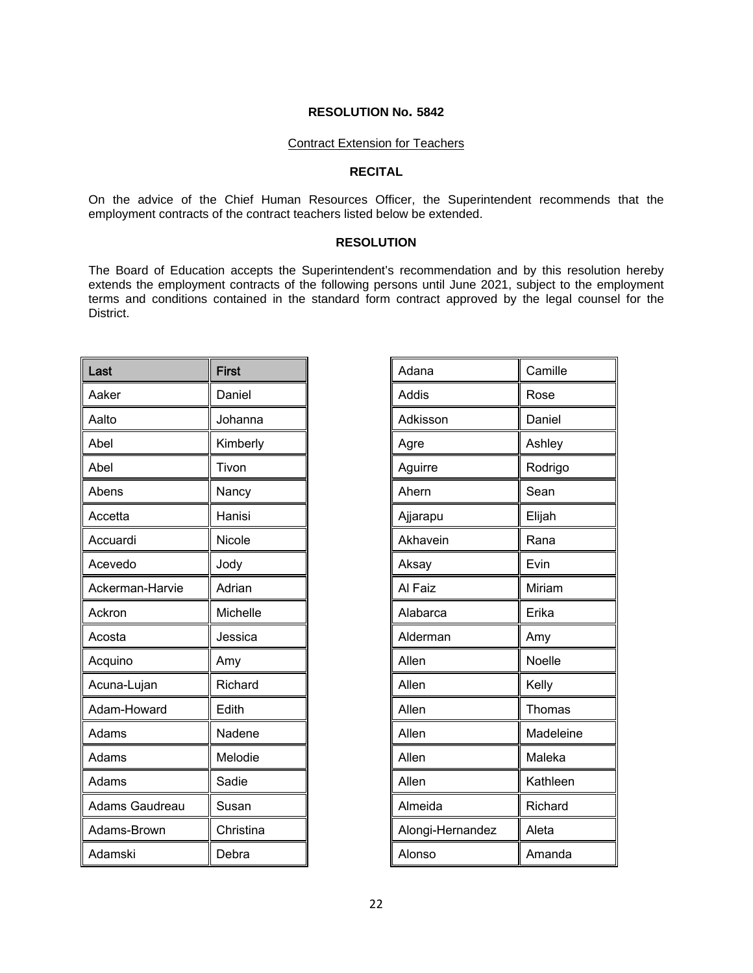#### Contract Extension for Teachers

#### **RECITAL**

On the advice of the Chief Human Resources Officer, the Superintendent recommends that the employment contracts of the contract teachers listed below be extended.

#### **RESOLUTION**

The Board of Education accepts the Superintendent's recommendation and by this resolution hereby extends the employment contracts of the following persons until June 2021, subject to the employment terms and conditions contained in the standard form contract approved by the legal counsel for the District.

| Last            | <b>First</b> |
|-----------------|--------------|
| Aaker           | Daniel       |
| Aalto           | Johanna      |
| Abel            | Kimberly     |
| Abel            | Tivon        |
| Abens           | Nancy        |
| Accetta         | Hanisi       |
| Accuardi        | Nicole       |
| Acevedo         | Jody         |
| Ackerman-Harvie | Adrian       |
| Ackron          | Michelle     |
| Acosta          | Jessica      |
| Acquino         | Amy          |
| Acuna-Lujan     | Richard      |
| Adam-Howard     | Edith        |
| Adams           | Nadene       |
| Adams           | Melodie      |
| Adams           | Sadie        |
| Adams Gaudreau  | Susan        |
| Adams-Brown     | Christina    |
| Adamski         | Debra        |

| Adana            | Camille   |
|------------------|-----------|
| Addis            | Rose      |
| Adkisson         | Daniel    |
| Agre             | Ashley    |
| Aguirre          | Rodrigo   |
| Ahern            | Sean      |
| Ajjarapu         | Elijah    |
| Akhavein         | Rana      |
| Aksay            | Evin      |
| Al Faiz          | Miriam    |
| Alabarca         | Erika     |
| Alderman         | Amy       |
| Allen            | Noelle    |
| Allen            | Kelly     |
| Allen            | Thomas    |
| Allen            | Madeleine |
| Allen            | Maleka    |
| Allen            | Kathleen  |
| Almeida          | Richard   |
| Alongi-Hernandez | Aleta     |
| Alonso           | Amanda    |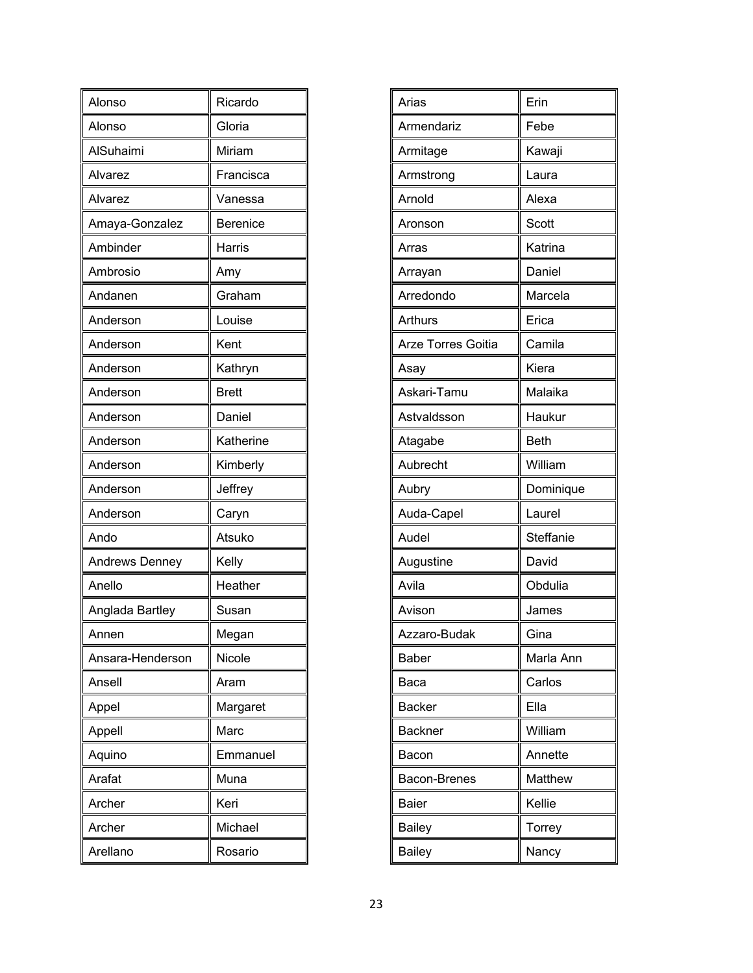| Alonso                | Ricardo         |
|-----------------------|-----------------|
| Alonso                | Gloria          |
| AlSuhaimi             | Miriam          |
| Alvarez               | Francisca       |
| Alvarez               | Vanessa         |
| Amaya-Gonzalez        | <b>Berenice</b> |
| Ambinder              | Harris          |
| Ambrosio              | Amy             |
| Andanen               | Graham          |
| Anderson              | Louise          |
| Anderson              | Kent            |
| Anderson              | Kathryn         |
| Anderson              | <b>Brett</b>    |
| Anderson              | Daniel          |
| Anderson              | Katherine       |
| Anderson              | Kimberly        |
| Anderson              | Jeffrey         |
| Anderson              | Caryn           |
| Ando                  | Atsuko          |
| <b>Andrews Denney</b> | Kelly           |
| Anello                | Heather         |
| Anglada Bartley       | Susan           |
| Annen                 | Megan           |
| Ansara-Henderson      | Nicole          |
| Ansell                | Aram            |
| Appel                 | Margaret        |
| Appell                | Marc            |
| Aquino                | Emmanuel        |
| Arafat                | Muna            |
| Archer                | Keri            |
| Archer                | Michael         |
| Arellano              | Rosario         |

| Arias              | Erin        |
|--------------------|-------------|
| Armendariz         | Febe        |
| Armitage           | Kawaji      |
| Armstrong          | Laura       |
| Arnold             | Alexa       |
| Aronson            | Scott       |
| Arras              | Katrina     |
| Arrayan            | Daniel      |
| Arredondo          | Marcela     |
| Arthurs            | Erica       |
| Arze Torres Goitia | Camila      |
| Asay               | Kiera       |
| Askari-Tamu        | Malaika     |
| Astvaldsson        | Haukur      |
| Atagabe            | <b>Beth</b> |
| Aubrecht           | William     |
| Aubry              | Dominique   |
| Auda-Capel         | Laurel      |
| Audel              | Steffanie   |
| Augustine          | David       |
| Avila              | Obdulia     |
| Avison             | James       |
| Azzaro-Budak       | Gina        |
| <b>Baber</b>       | Marla Ann   |
| Baca               | Carlos      |
| <b>Backer</b>      | Ella        |
| <b>Backner</b>     | William     |
| Bacon              | Annette     |
| Bacon-Brenes       | Matthew     |
| <b>Baier</b>       | Kellie      |
| <b>Bailey</b>      | Torrey      |
| <b>Bailey</b>      | Nancy       |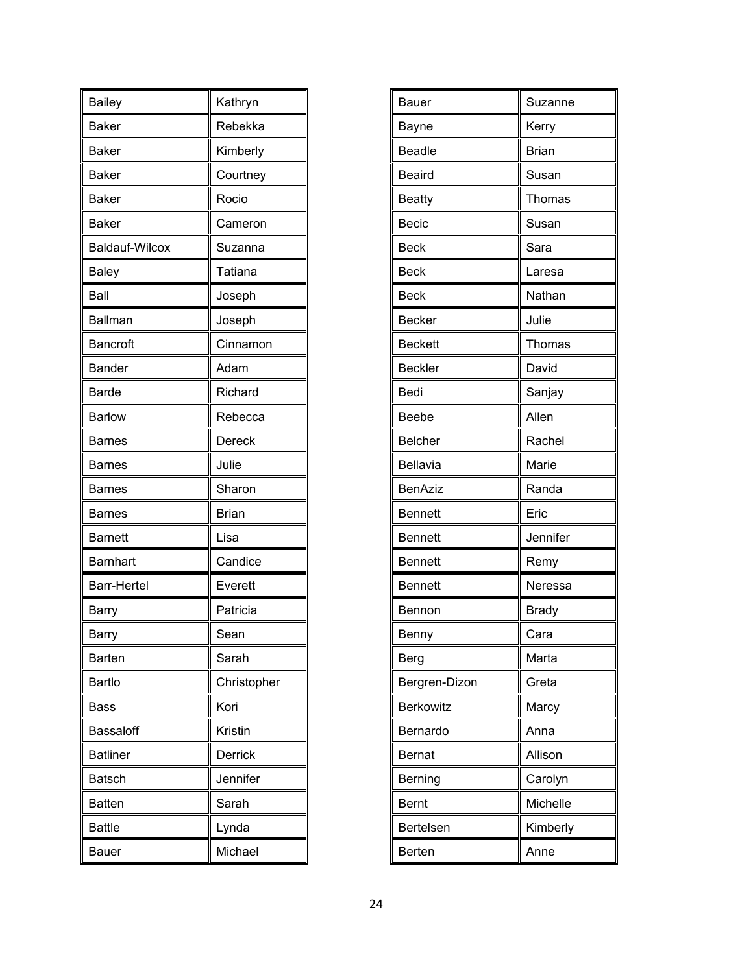| <b>Bailey</b>         | Kathryn        |
|-----------------------|----------------|
| <b>Baker</b>          | Rebekka        |
| <b>Baker</b>          | Kimberly       |
| <b>Baker</b>          | Courtney       |
| <b>Baker</b>          | Rocio          |
| <b>Baker</b>          | Cameron        |
| <b>Baldauf-Wilcox</b> | Suzanna        |
| <b>Baley</b>          | Tatiana        |
| Ball                  | Joseph         |
| Ballman               | Joseph         |
| <b>Bancroft</b>       | Cinnamon       |
| <b>Bander</b>         | Adam           |
| <b>Barde</b>          | Richard        |
| <b>Barlow</b>         | Rebecca        |
| <b>Barnes</b>         | Dereck         |
| Barnes                | Julie          |
| <b>Barnes</b>         | Sharon         |
| <b>Barnes</b>         | <b>Brian</b>   |
| <b>Barnett</b>        | Lisa           |
| <b>Barnhart</b>       | Candice        |
| <b>Barr-Hertel</b>    | Everett        |
| Barry                 | Patricia       |
| Barry                 | Sean           |
| Barten                | Sarah          |
| Bartlo                | Christopher    |
| Bass                  | Kori           |
| Bassaloff             | Kristin        |
| <b>Batliner</b>       | <b>Derrick</b> |
| <b>Batsch</b>         | Jennifer       |
| <b>Batten</b>         | Sarah          |
| <b>Battle</b>         | Lynda          |
| Bauer                 | Michael        |

| Bauer          | Suzanne      |
|----------------|--------------|
|                |              |
| Bayne          | Kerry        |
| <b>Beadle</b>  | <b>Brian</b> |
| <b>Beaird</b>  | Susan        |
| <b>Beatty</b>  | Thomas       |
| Becic          | Susan        |
| <b>Beck</b>    | Sara         |
| <b>Beck</b>    | Laresa       |
| <b>Beck</b>    | Nathan       |
| <b>Becker</b>  | Julie        |
| <b>Beckett</b> | Thomas       |
| <b>Beckler</b> | David        |
| Bedi           | Sanjay       |
| Beebe          | Allen        |
| <b>Belcher</b> | Rachel       |
| Bellavia       | Marie        |
| <b>BenAziz</b> | Randa        |
| <b>Bennett</b> | Eric         |
| <b>Bennett</b> | Jennifer     |
| <b>Bennett</b> | Remy         |
| <b>Bennett</b> | Neressa      |
| Bennon         | <b>Brady</b> |
| Benny          | Cara         |
| Berg           | Marta        |
| Bergren-Dizon  | Greta        |
| Berkowitz      | Marcy        |
| Bernardo       | Anna         |
| <b>Bernat</b>  | Allison      |
| Berning        | Carolyn      |
| <b>Bernt</b>   | Michelle     |
| Bertelsen      | Kimberly     |
| Berten         | Anne         |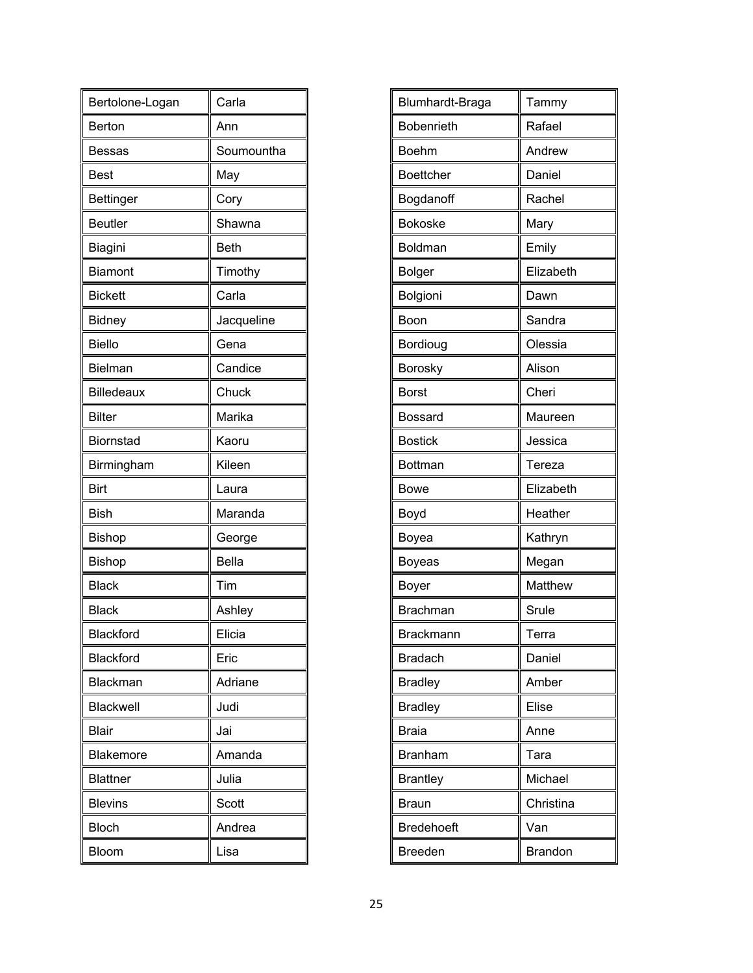| Bertolone-Logan   | Carla        |
|-------------------|--------------|
| Berton            | Ann          |
| <b>Bessas</b>     | Soumountha   |
| <b>Best</b>       | May          |
| <b>Bettinger</b>  | Cory         |
| <b>Beutler</b>    | Shawna       |
| Biagini           | <b>Beth</b>  |
| <b>Biamont</b>    | Timothy      |
| <b>Bickett</b>    | Carla        |
| <b>Bidney</b>     | Jacqueline   |
| <b>Biello</b>     | Gena         |
| Bielman           | Candice      |
| <b>Billedeaux</b> | Chuck        |
| <b>Bilter</b>     | Marika       |
| <b>Biornstad</b>  | Kaoru        |
| Birmingham        | Kileen       |
|                   |              |
| <b>Birt</b>       | Laura        |
| <b>Bish</b>       | Maranda      |
| <b>Bishop</b>     | George       |
| <b>Bishop</b>     | <b>Bella</b> |
| <b>Black</b>      | Tim          |
| <b>Black</b>      | Ashley       |
| Blackford         | Elicia       |
| Blackford         | Eric         |
| Blackman          | Adriane      |
| Blackwell         | Judi         |
| <b>Blair</b>      | Jai          |
| Blakemore         | Amanda       |
| <b>Blattner</b>   | Julia        |
| <b>Blevins</b>    | <b>Scott</b> |
| <b>Bloch</b>      | Andrea       |

| Tammy          |
|----------------|
| Rafael         |
| Andrew         |
| Daniel         |
| Rachel         |
| Mary           |
| Emily          |
| Elizabeth      |
| Dawn           |
| Sandra         |
| Olessia        |
| Alison         |
| Cheri          |
| Maureen        |
| Jessica        |
| Tereza         |
| Elizabeth      |
| Heather        |
| Kathryn        |
| Megan          |
| Matthew        |
| Srule          |
| Terra          |
| Daniel         |
| Amber          |
| Elise          |
| Anne           |
| Tara           |
| Michael        |
| Christina      |
| Van            |
| <b>Brandon</b> |
|                |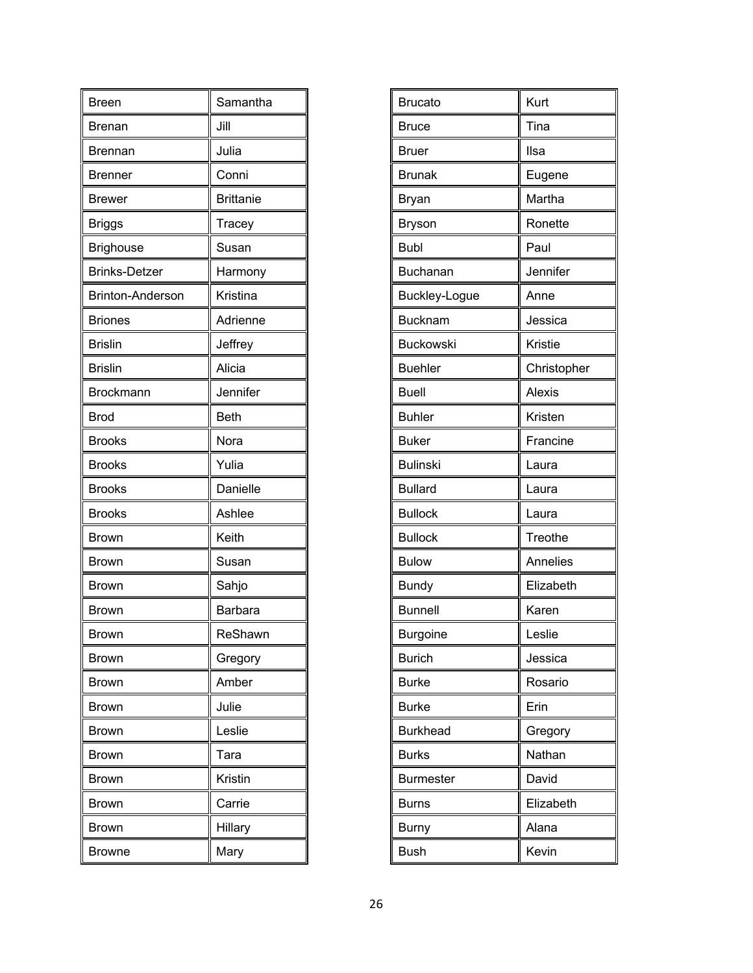| <b>Breen</b>            | Samantha         |
|-------------------------|------------------|
| Brenan                  | Jill             |
| Brennan                 | Julia            |
| <b>Brenner</b>          | Conni            |
| <b>Brewer</b>           | <b>Brittanie</b> |
| <b>Briggs</b>           | Tracey           |
| <b>Brighouse</b>        | Susan            |
| <b>Brinks-Detzer</b>    | Harmony          |
| <b>Brinton-Anderson</b> | Kristina         |
| <b>Briones</b>          | Adrienne         |
| <b>Brislin</b>          | Jeffrey          |
| <b>Brislin</b>          | Alicia           |
| Brockmann               | Jennifer         |
| <b>Brod</b>             | <b>Beth</b>      |
| <b>Brooks</b>           | Nora             |
| <b>Brooks</b>           | Yulia            |
| <b>Brooks</b>           | Danielle         |
| <b>Brooks</b>           | Ashlee           |
| Brown                   | Keith            |
| <b>Brown</b>            | Susan            |
| <b>Brown</b>            | Sahjo            |
| Brown                   | Barbara          |
| Brown                   | ReShawn          |
| <b>Brown</b>            | Gregory          |
| <b>Brown</b>            | Amber            |
| <b>Brown</b>            | Julie            |
| <b>Brown</b>            | Leslie           |
| Brown                   | Tara             |
| <b>Brown</b>            | Kristin          |
| Brown                   | Carrie           |
| <b>Brown</b>            | Hillary          |
| <b>Browne</b>           | Mary             |

| <b>Brucato</b>   | Kurt        |
|------------------|-------------|
| <b>Bruce</b>     | Tina        |
| <b>Bruer</b>     | Ilsa        |
| <b>Brunak</b>    | Eugene      |
| Bryan            | Martha      |
| <b>Bryson</b>    | Ronette     |
| <b>Bubl</b>      | Paul        |
| <b>Buchanan</b>  | Jennifer    |
| Buckley-Logue    | Anne        |
| <b>Bucknam</b>   | Jessica     |
| <b>Buckowski</b> | Kristie     |
| <b>Buehler</b>   | Christopher |
| <b>Buell</b>     | Alexis      |
| <b>Buhler</b>    | Kristen     |
| <b>Buker</b>     | Francine    |
| <b>Bulinski</b>  | Laura       |
| <b>Bullard</b>   | Laura       |
| <b>Bullock</b>   | Laura       |
| <b>Bullock</b>   | Treothe     |
| <b>Bulow</b>     | Annelies    |
| <b>Bundy</b>     | Elizabeth   |
| <b>Bunnell</b>   | Karen       |
| Burgoine         | Leslie      |
| <b>Burich</b>    | Jessica     |
| <b>Burke</b>     | Rosario     |
| <b>Burke</b>     | Erin        |
| <b>Burkhead</b>  | Gregory     |
| <b>Burks</b>     | Nathan      |
| <b>Burmester</b> | David       |
| <b>Burns</b>     | Elizabeth   |
| <b>Burny</b>     | Alana       |
| <b>Bush</b>      | Kevin       |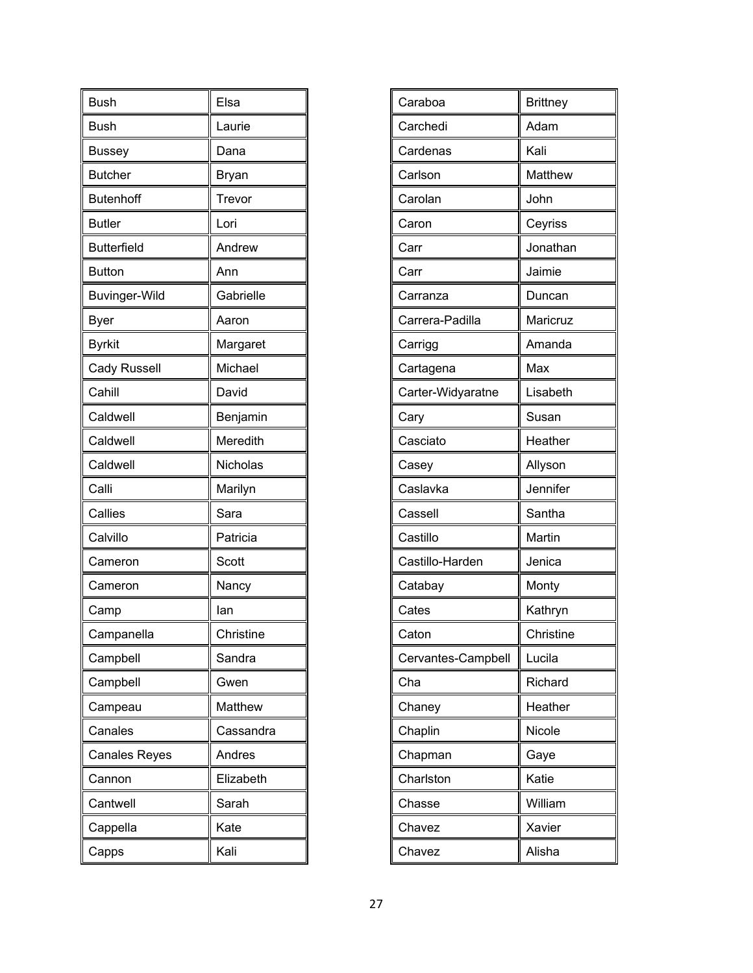| <b>Bush</b>          | Elsa      |
|----------------------|-----------|
| <b>Bush</b>          | Laurie    |
| <b>Bussey</b>        | Dana      |
| <b>Butcher</b>       | Bryan     |
| <b>Butenhoff</b>     | Trevor    |
| <b>Butler</b>        | Lori      |
| <b>Butterfield</b>   | Andrew    |
| <b>Button</b>        | Ann       |
| <b>Buvinger-Wild</b> | Gabrielle |
| Byer                 | Aaron     |
| <b>Byrkit</b>        | Margaret  |
| <b>Cady Russell</b>  | Michael   |
| Cahill               | David     |
| Caldwell             | Benjamin  |
| Caldwell             | Meredith  |
| Caldwell             | Nicholas  |
| Calli                | Marilyn   |
| Callies              | Sara      |
| Calvillo             | Patricia  |
| Cameron              | Scott     |
| Cameron              | Nancy     |
| Camp                 | lan       |
| Campanella           | Christine |
| Campbell             | Sandra    |
| Campbell             | Gwen      |
| Campeau              | Matthew   |
| Canales              | Cassandra |
| <b>Canales Reyes</b> | Andres    |
| Cannon               | Elizabeth |
| Cantwell             | Sarah     |
| Cappella             | Kate      |
| Capps                | Kali      |

| Caraboa            | <b>Brittney</b> |
|--------------------|-----------------|
| Carchedi           | Adam            |
| Cardenas           | Kali            |
| Carlson            | Matthew         |
| Carolan            | John            |
| Caron              | Ceyriss         |
| Carr               | Jonathan        |
| Carr               | Jaimie          |
| Carranza           | Duncan          |
| Carrera-Padilla    | Maricruz        |
| Carrigg            | Amanda          |
| Cartagena          | Max             |
| Carter-Widyaratne  | Lisabeth        |
| Cary               | Susan           |
| Casciato           | Heather         |
| Casey              | Allyson         |
| Caslavka           | Jennifer        |
| Cassell            | Santha          |
| Castillo           | Martin          |
| Castillo-Harden    | Jenica          |
| Catabay            | Monty           |
| Cates              | Kathryn         |
| Caton              | Christine       |
| Cervantes-Campbell | Lucila          |
| Cha                | Richard         |
| Chaney             | Heather         |
| Chaplin            | Nicole          |
| Chapman            | Gaye            |
| Charlston          | Katie           |
| Chasse             | William         |
| Chavez             | Xavier          |
| Chavez             | Alisha          |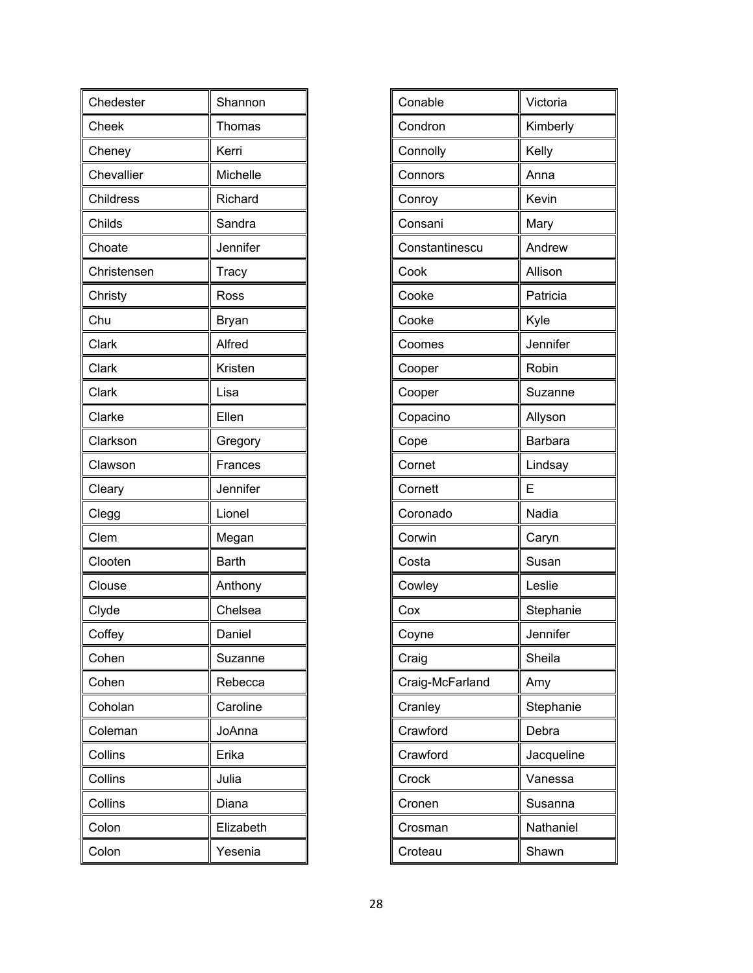| Chedester   | Shannon      |
|-------------|--------------|
| Cheek       | Thomas       |
| Cheney      | Kerri        |
| Chevallier  | Michelle     |
| Childress   | Richard      |
| Childs      | Sandra       |
| Choate      | Jennifer     |
| Christensen | Tracy        |
| Christy     | Ross         |
| Chu         | Bryan        |
| Clark       | Alfred       |
| Clark       | Kristen      |
| Clark       | Lisa         |
| Clarke      | Ellen        |
| Clarkson    | Gregory      |
| Clawson     | Frances      |
| Cleary      | Jennifer     |
| Clegg       | Lionel       |
| Clem        | Megan        |
| Clooten     | <b>Barth</b> |
| Clouse      | Anthony      |
| Clyde       | Chelsea      |
| Coffey      | Daniel       |
| Cohen       | Suzanne      |
| Cohen       | Rebecca      |
| Coholan     | Caroline     |
| Coleman     | JoAnna       |
| Collins     | Erika        |
| Collins     | Julia        |
| Collins     | Diana        |
| Colon       | Elizabeth    |
| Colon       | Yesenia      |

| Conable         | Victoria       |
|-----------------|----------------|
|                 |                |
| Condron         | Kimberly       |
| Connolly        | Kelly          |
| Connors         | Anna           |
| Conroy          | Kevin          |
| Consani         | Mary           |
| Constantinescu  | Andrew         |
| Cook            | Allison        |
| Cooke           | Patricia       |
| Cooke           | Kyle           |
| Coomes          | Jennifer       |
| Cooper          | Robin          |
| Cooper          | Suzanne        |
| Copacino        | Allyson        |
| Cope            | <b>Barbara</b> |
| Cornet          | Lindsay        |
| Cornett         | E              |
| Coronado        | Nadia          |
| Corwin          | Caryn          |
| Costa           | Susan          |
| Cowley          | Leslie         |
| Cox             | Stephanie      |
| Coyne           | Jennifer       |
| Craig           | Sheila         |
| Craig-McFarland | Amy            |
| Cranley         | Stephanie      |
| Crawford        | Debra          |
| Crawford        | Jacqueline     |
| Crock           | Vanessa        |
| Cronen          | Susanna        |
| Crosman         | Nathaniel      |
| Croteau         | Shawn          |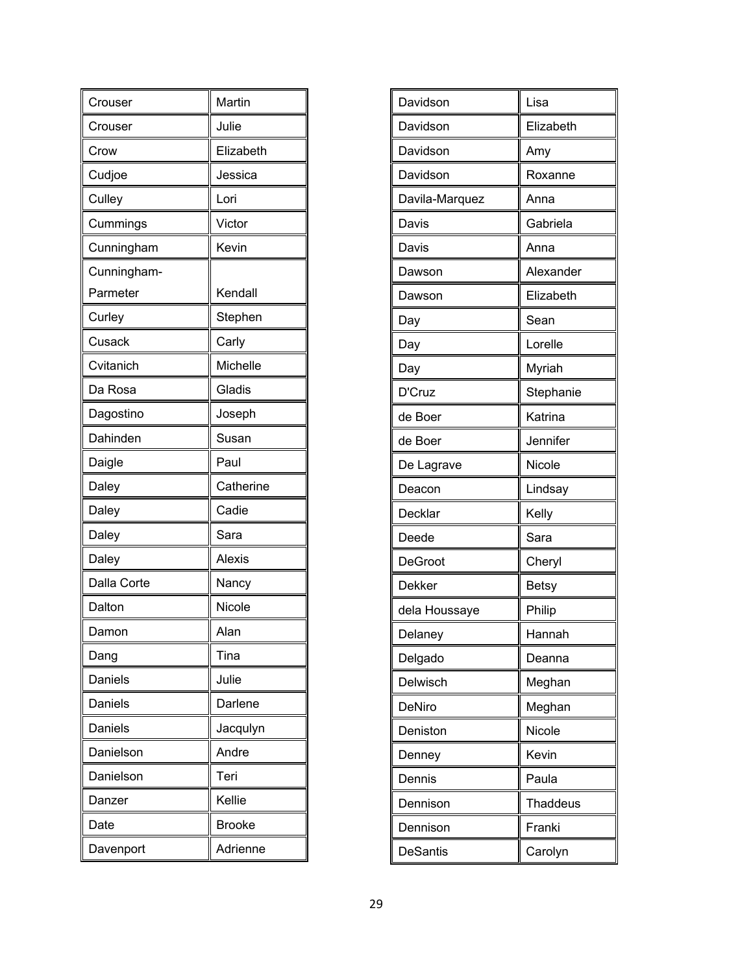| Crouser        | Martin        |
|----------------|---------------|
| Crouser        | Julie         |
| Crow           | Elizabeth     |
| Cudjoe         | Jessica       |
| Culley         | Lori          |
| Cummings       | Victor        |
| Cunningham     | Kevin         |
| Cunningham-    |               |
| Parmeter       | Kendall       |
| Curley         | Stephen       |
| Cusack         | Carly         |
| Cvitanich      | Michelle      |
| Da Rosa        | Gladis        |
| Dagostino      | Joseph        |
| Dahinden       | Susan         |
| Daigle         | Paul          |
| Daley          | Catherine     |
| Daley          | Cadie         |
| Daley          | Sara          |
| Daley          | <b>Alexis</b> |
| Dalla Corte    | Nancy         |
| Dalton         | Nicole        |
| Damon          | Alan          |
| Dang           | Tina          |
| Daniels        | Julie         |
| <b>Daniels</b> | Darlene       |
| Daniels        | Jacqulyn      |
| Danielson      | Andre         |
| Danielson      | Teri          |
| Danzer         | Kellie        |
| Date           | <b>Brooke</b> |
| Davenport      | Adrienne      |

| Davidson        | Lisa            |
|-----------------|-----------------|
| Davidson        | Elizabeth       |
| Davidson        | Amy             |
| Davidson        | Roxanne         |
| Davila-Marquez  | Anna            |
| Davis           | Gabriela        |
| Davis           | Anna            |
| Dawson          | Alexander       |
| Dawson          | Elizabeth       |
| Day             | Sean            |
| Day             | Lorelle         |
| Day             | Myriah          |
| D'Cruz          | Stephanie       |
| de Boer         | Katrina         |
| de Boer         | Jennifer        |
| De Lagrave      | Nicole          |
| Deacon          | Lindsay         |
| Decklar         | Kelly           |
| Deede           | Sara            |
| <b>DeGroot</b>  | Cheryl          |
| Dekker          | <b>Betsy</b>    |
| dela Houssaye   | Philip          |
| Delaney         | Hannah          |
| Delgado         | Deanna          |
| Delwisch        | Meghan          |
| DeNiro          | Meghan          |
| Deniston        | Nicole          |
| Denney          | Kevin           |
| Dennis          | Paula           |
| Dennison        | <b>Thaddeus</b> |
| Dennison        | Franki          |
| <b>DeSantis</b> | Carolyn         |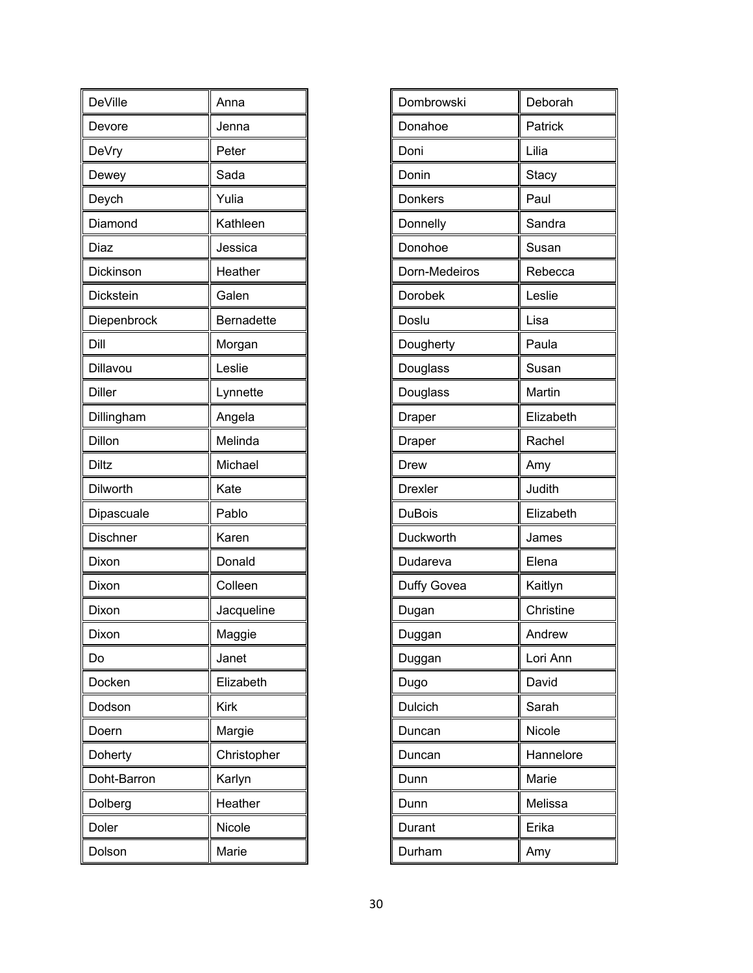| <b>DeVille</b> | Anna              |
|----------------|-------------------|
| Devore         | Jenna             |
| DeVry          | Peter             |
| Dewey          | Sada              |
| Deych          | Yulia             |
| Diamond        | Kathleen          |
| Diaz           | Jessica           |
| Dickinson      | Heather           |
| Dickstein      | Galen             |
| Diepenbrock    | <b>Bernadette</b> |
| Dill           | Morgan            |
| Dillavou       | Leslie            |
| <b>Diller</b>  | Lynnette          |
| Dillingham     | Angela            |
| Dillon         | Melinda           |
| Diltz          | Michael           |
| Dilworth       | Kate              |
| Dipascuale     | Pablo             |
| Dischner       | Karen             |
| Dixon          | Donald            |
| Dixon          | Colleen           |
| Dixon          | Jacqueline        |
| Dixon          | Maggie            |
| Do             | Janet             |
| Docken         | Elizabeth         |
| Dodson         | Kirk              |
| Doern          | Margie            |
| Doherty        | Christopher       |
| Doht-Barron    | Karlyn            |
| Dolberg        | Heather           |
| Doler          | Nicole            |
| Dolson         | Marie             |

| Dombrowski     | Deborah   |
|----------------|-----------|
| Donahoe        | Patrick   |
| Doni           | Lilia     |
| Donin          | Stacy     |
| Donkers        | Paul      |
| Donnelly       | Sandra    |
| Donohoe        | Susan     |
| Dorn-Medeiros  | Rebecca   |
| Dorobek        | Leslie    |
| Doslu          | Lisa      |
| Dougherty      | Paula     |
| Douglass       | Susan     |
| Douglass       | Martin    |
| Draper         | Elizabeth |
| Draper         | Rachel    |
| Drew           | Amy       |
| <b>Drexler</b> | Judith    |
| <b>DuBois</b>  | Elizabeth |
| Duckworth      | James     |
| Dudareva       | Elena     |
| Duffy Govea    | Kaitlyn   |
| Dugan          | Christine |
| Duggan         | Andrew    |
| Duggan         | Lori Ann  |
| Dugo           | David     |
| Dulcich        | Sarah     |
| Duncan         | Nicole    |
| Duncan         | Hannelore |
| Dunn           | Marie     |
| Dunn           | Melissa   |
| Durant         | Erika     |
| Durham         | Amy       |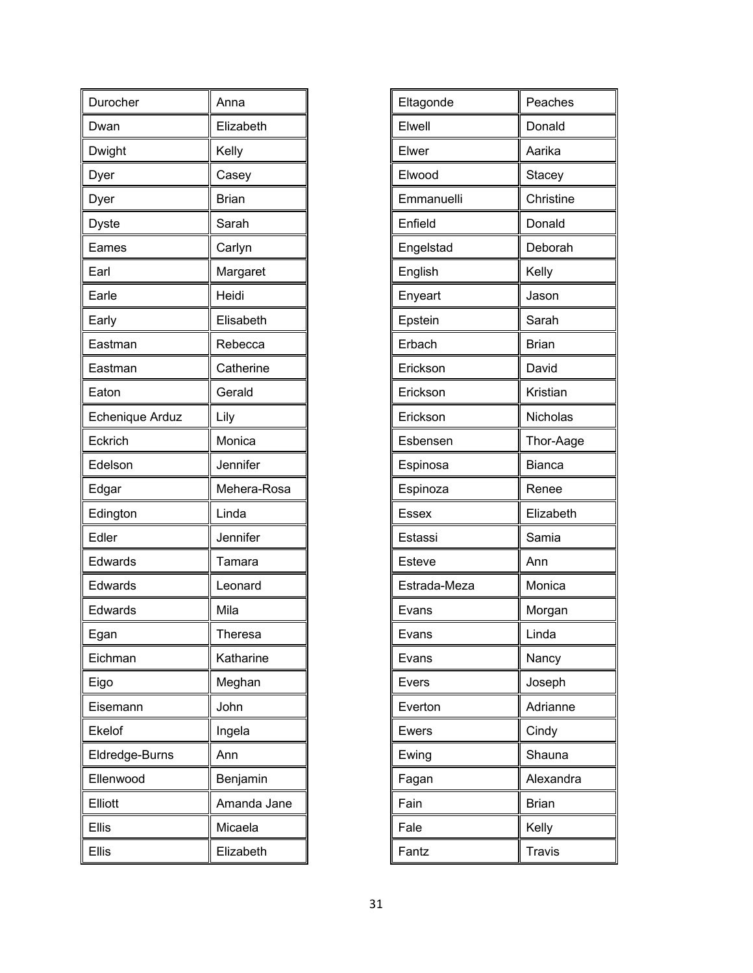| Durocher        | Anna         |
|-----------------|--------------|
| Dwan            | Elizabeth    |
| Dwight          | Kelly        |
| Dyer            | Casey        |
| Dyer            | <b>Brian</b> |
| <b>Dyste</b>    | Sarah        |
| Eames           | Carlyn       |
| Earl            | Margaret     |
| Earle           | Heidi        |
| Early           | Elisabeth    |
| Eastman         | Rebecca      |
| Eastman         | Catherine    |
| Eaton           | Gerald       |
| Echenique Arduz | Lily         |
| Eckrich         | Monica       |
| Edelson         | Jennifer     |
| Edgar           | Mehera-Rosa  |
| Edington        | Linda        |
| Edler           | Jennifer     |
| Edwards         | Tamara       |
| Edwards         | Leonard      |
| Edwards         | Mila         |
| Egan            | Theresa      |
| Eichman         | Katharine    |
| Eigo            | Meghan       |
| Eisemann        | John         |
| Ekelof          | Ingela       |
| Eldredge-Burns  | Ann          |
| Ellenwood       | Benjamin     |
| Elliott         | Amanda Jane  |
| <b>Ellis</b>    | Micaela      |
| <b>Ellis</b>    | Elizabeth    |

| Peaches       |
|---------------|
| Donald        |
| Aarika        |
| Stacey        |
| Christine     |
| Donald        |
| Deborah       |
| Kelly         |
| Jason         |
| Sarah         |
| <b>Brian</b>  |
| David         |
| Kristian      |
| Nicholas      |
| Thor-Aage     |
| <b>Bianca</b> |
| Renee         |
| Elizabeth     |
| Samia         |
| Ann           |
| Monica        |
| Morgan        |
| Linda         |
| Nancy         |
| Joseph        |
| Adrianne      |
| Cindy         |
| Shauna        |
| Alexandra     |
| <b>Brian</b>  |
| Kelly         |
| <b>Travis</b> |
|               |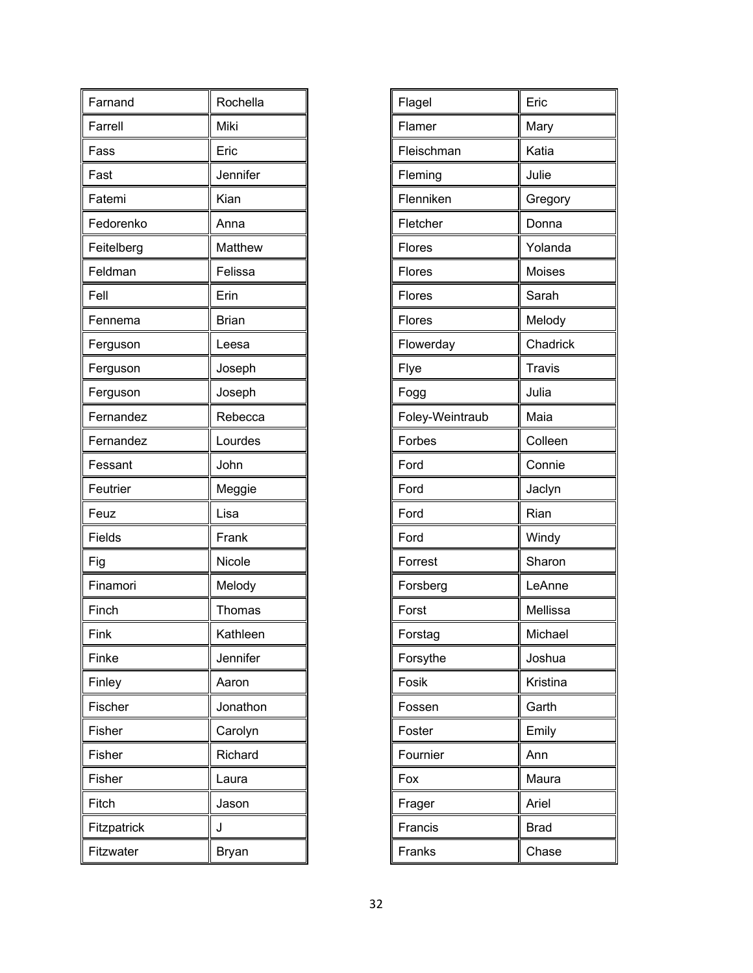| Farnand     | Rochella     |
|-------------|--------------|
| Farrell     | Miki         |
| Fass        | Eric         |
| Fast        | Jennifer     |
| Fatemi      | Kian         |
| Fedorenko   | Anna         |
| Feitelberg  | Matthew      |
| Feldman     | Felissa      |
| Fell        | Erin         |
| Fennema     | <b>Brian</b> |
| Ferguson    | Leesa        |
| Ferguson    | Joseph       |
| Ferguson    | Joseph       |
| Fernandez   | Rebecca      |
| Fernandez   | Lourdes      |
| Fessant     | John         |
| Feutrier    | Meggie       |
| Feuz        | Lisa         |
| Fields      | Frank        |
| Fig         | Nicole       |
| Finamori    | Melody       |
| Finch       | Thomas       |
| Fink        | Kathleen     |
| Finke       | Jennifer     |
| Finley      | Aaron        |
| Fischer     | Jonathon     |
| Fisher      | Carolyn      |
| Fisher      | Richard      |
| Fisher      | Laura        |
| Fitch       | Jason        |
| Fitzpatrick | J            |
| Fitzwater   | Bryan        |

| Flagel          | Eric          |
|-----------------|---------------|
| Flamer          | Mary          |
| Fleischman      | Katia         |
| Fleming         | Julie         |
| Flenniken       | Gregory       |
| Fletcher        | Donna         |
| Flores          | Yolanda       |
| Flores          | Moises        |
| Flores          | Sarah         |
| Flores          | Melody        |
| Flowerday       | Chadrick      |
| Flye            | <b>Travis</b> |
| Fogg            | Julia         |
| Foley-Weintraub | Maia          |
| Forbes          | Colleen       |
| Ford            | Connie        |
| Ford            | Jaclyn        |
| Ford            | Rian          |
| Ford            | Windy         |
| Forrest         | Sharon        |
| Forsberg        | LeAnne        |
| Forst           | Mellissa      |
| Forstag         | Michael       |
| Forsythe        | Joshua        |
| Fosik           | Kristina      |
| Fossen          | Garth         |
| Foster          | Emily         |
| Fournier        | Ann           |
| Fox             | Maura         |
| Frager          | Ariel         |
| Francis         | <b>Brad</b>   |
| Franks          | Chase         |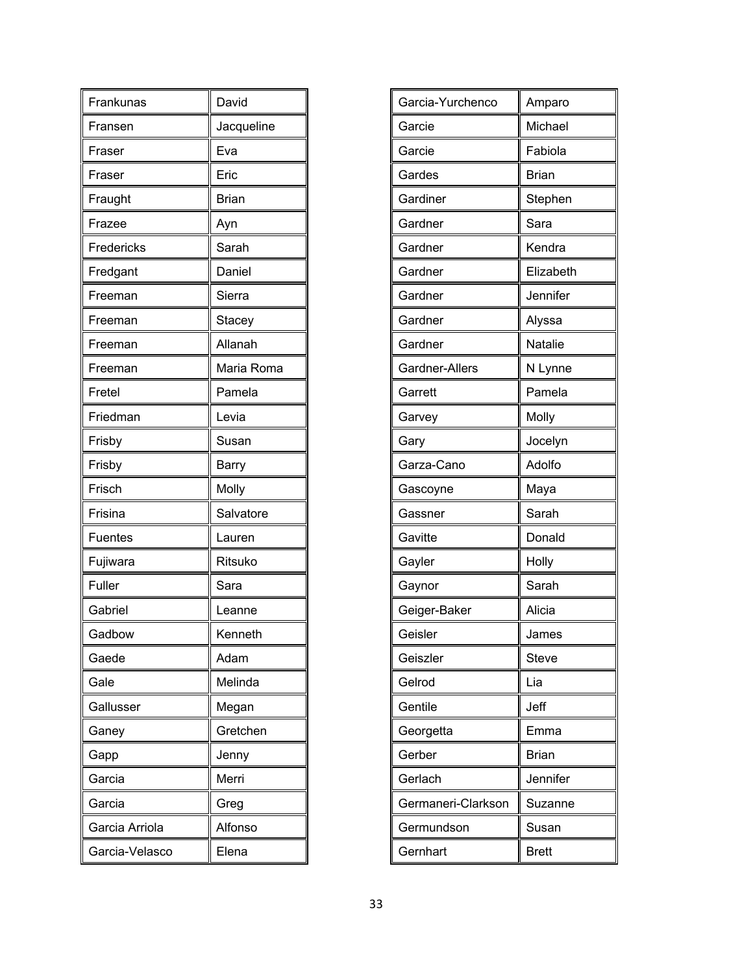| Frankunas      | David        |
|----------------|--------------|
| Fransen        | Jacqueline   |
| Fraser         | Eva          |
| Fraser         | Eric         |
| Fraught        | <b>Brian</b> |
| Frazee         | Ayn          |
| Fredericks     | Sarah        |
| Fredgant       | Daniel       |
| Freeman        | Sierra       |
| Freeman        | Stacey       |
| Freeman        | Allanah      |
| Freeman        | Maria Roma   |
| Fretel         | Pamela       |
| Friedman       | Levia        |
| Frisby         | Susan        |
| Frisby         | <b>Barry</b> |
| Frisch         | Molly        |
| Frisina        | Salvatore    |
| <b>Fuentes</b> | Lauren       |
| Fujiwara       | Ritsuko      |
| Fuller         | Sara         |
| Gabriel        | Leanne       |
| Gadbow         | Kenneth      |
| Gaede          | Adam         |
| Gale           | Melinda      |
| Gallusser      | Megan        |
| Ganey          | Gretchen     |
| Gapp           | Jenny        |
| Garcia         | Merri        |
| Garcia         | Greg         |
| Garcia Arriola | Alfonso      |
| Garcia-Velasco | Elena        |

| Garcia-Yurchenco   | Amparo         |
|--------------------|----------------|
| Garcie             | Michael        |
| Garcie             | Fabiola        |
| Gardes             | <b>Brian</b>   |
| Gardiner           | Stephen        |
| Gardner            | Sara           |
| Gardner            | Kendra         |
| Gardner            | Elizabeth      |
| Gardner            | Jennifer       |
| Gardner            | Alyssa         |
| Gardner            | <b>Natalie</b> |
| Gardner-Allers     | N Lynne        |
| Garrett            | Pamela         |
| Garvey             | Molly          |
| Gary               | Jocelyn        |
| Garza-Cano         | Adolfo         |
| Gascoyne           | Maya           |
| Gassner            | Sarah          |
| Gavitte            | Donald         |
| Gayler             | Holly          |
| Gaynor             | Sarah          |
| Geiger-Baker       | Alicia         |
| Geisler            | James          |
| Geiszler           | <b>Steve</b>   |
| Gelrod             | Lia            |
| Gentile            | Jeff           |
| Georgetta          | Emma           |
| Gerber             | <b>Brian</b>   |
| Gerlach            | Jennifer       |
| Germaneri-Clarkson | Suzanne        |
| Germundson         | Susan          |
|                    |                |
| Gernhart           | <b>Brett</b>   |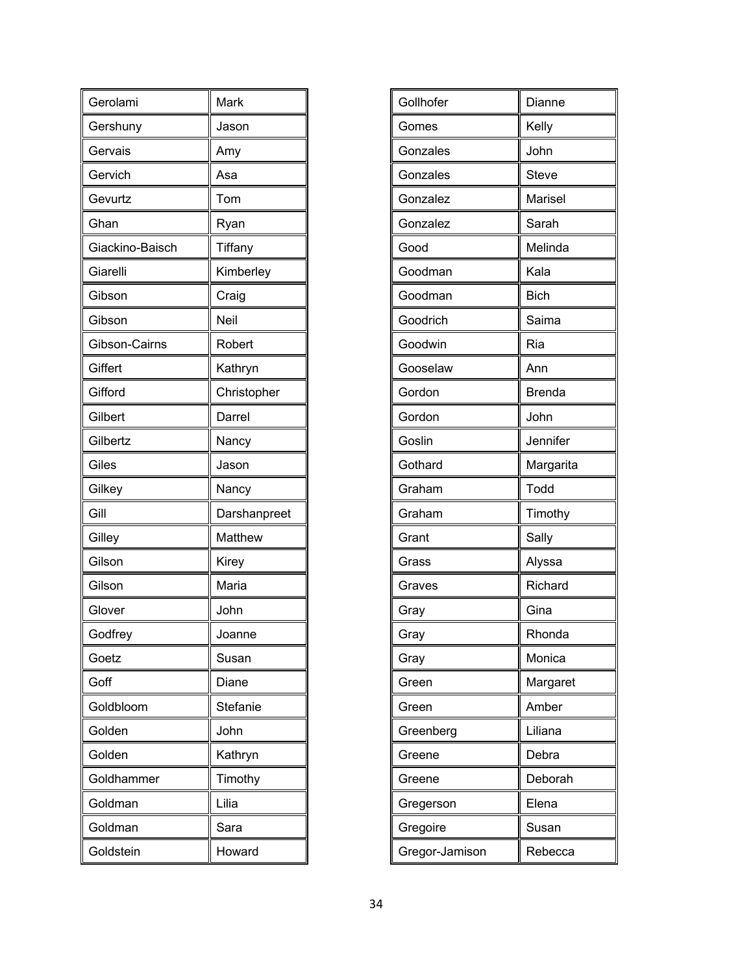| Gerolami        | Mark         |
|-----------------|--------------|
| Gershuny        | Jason        |
| Gervais         | Amy          |
| Gervich         | Asa          |
| Gevurtz         | Tom          |
| Ghan            | Ryan         |
| Giackino-Baisch | Tiffany      |
| Giarelli        | Kimberley    |
| Gibson          | Craig        |
| Gibson          | Neil         |
| Gibson-Cairns   | Robert       |
| Giffert         | Kathryn      |
| Gifford         | Christopher  |
| Gilbert         | Darrel       |
| Gilbertz        | Nancy        |
| Giles           | Jason        |
| Gilkey          | Nancy        |
| Gill            | Darshanpreet |
| Gilley          | Matthew      |
| Gilson          | Kirey        |
| Gilson          | Maria        |
| Glover          | John         |
| Godfrey         | Joanne       |
| Goetz           | Susan        |
| Goff            | Diane        |
| Goldbloom       | Stefanie     |
| Golden          | John         |
| Golden          | Kathryn      |
| Goldhammer      | Timothy      |
| Goldman         | Lilia        |
| Goldman         | Sara         |
| Goldstein       | Howard       |

| Gollhofer      | Dianne        |
|----------------|---------------|
|                |               |
| Gomes          | Kelly         |
| Gonzales       | John          |
| Gonzales       | <b>Steve</b>  |
| Gonzalez       | Marisel       |
| Gonzalez       | Sarah         |
| Good           | Melinda       |
| Goodman        | Kala          |
| Goodman        | <b>Bich</b>   |
| Goodrich       | Saima         |
| Goodwin        | Ria           |
| Gooselaw       | Ann           |
| Gordon         | <b>Brenda</b> |
| Gordon         | John          |
| Goslin         | Jennifer      |
| Gothard        | Margarita     |
| Graham         | Todd          |
| Graham         | Timothy       |
| Grant          | Sally         |
| Grass          | Alyssa        |
| Graves         | Richard       |
| Gray           | Gina          |
| Gray           | Rhonda        |
| Gray           | Monica        |
| Green          | Margaret      |
| Green          | Amber         |
| Greenberg      | Liliana       |
| Greene         | Debra         |
| Greene         | Deborah       |
| Gregerson      | Elena         |
| Gregoire       | Susan         |
| Gregor-Jamison | Rebecca       |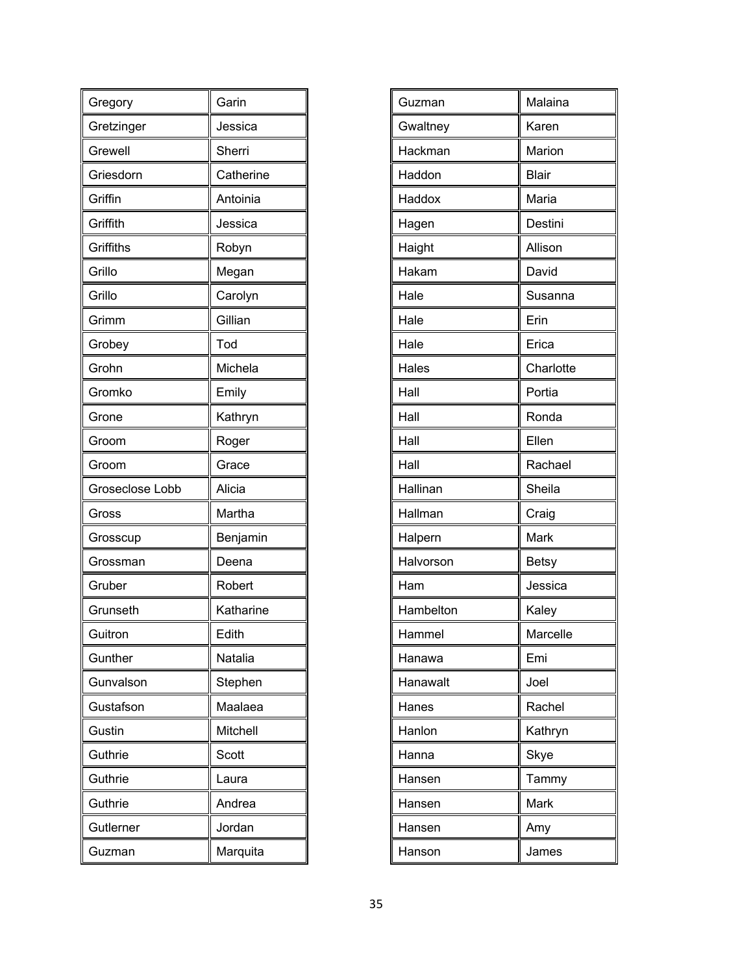| Gregory         | Garin     |
|-----------------|-----------|
| Gretzinger      | Jessica   |
| Grewell         | Sherri    |
| Griesdorn       | Catherine |
| Griffin         | Antoinia  |
| Griffith        | Jessica   |
| Griffiths       | Robyn     |
| Grillo          | Megan     |
| Grillo          | Carolyn   |
| Grimm           | Gillian   |
| Grobey          | Tod       |
| Grohn           | Michela   |
| Gromko          | Emily     |
| Grone           | Kathryn   |
| Groom           | Roger     |
| Groom           | Grace     |
|                 |           |
| Groseclose Lobb | Alicia    |
| Gross           | Martha    |
| Grosscup        | Benjamin  |
| Grossman        | Deena     |
| Gruber          | Robert    |
| Grunseth        | Katharine |
| Guitron         | Edith     |
| Gunther         | Natalia   |
| Gunvalson       | Stephen   |
| Gustafson       | Maalaea   |
| Gustin          | Mitchell  |
| Guthrie         | Scott     |
| Guthrie         | Laura     |
| Guthrie         | Andrea    |
| Gutlerner       | Jordan    |

| Guzman    | Malaina      |
|-----------|--------------|
| Gwaltney  | Karen        |
| Hackman   | Marion       |
| Haddon    | <b>Blair</b> |
| Haddox    | Maria        |
| Hagen     | Destini      |
| Haight    | Allison      |
| Hakam     | David        |
| Hale      | Susanna      |
| Hale      | Erin         |
| Hale      | Erica        |
| Hales     | Charlotte    |
| Hall      | Portia       |
| Hall      | Ronda        |
| Hall      | Ellen        |
| Hall      | Rachael      |
| Hallinan  | Sheila       |
| Hallman   | Craig        |
| Halpern   | Mark         |
| Halvorson | <b>Betsy</b> |
| Ham       | Jessica      |
| Hambelton | Kaley        |
| Hammel    | Marcelle     |
| Hanawa    | Emi          |
| Hanawalt  | Joel         |
| Hanes     | Rachel       |
| Hanlon    | Kathryn      |
| Hanna     | Skye         |
| Hansen    | Tammy        |
| Hansen    | Mark         |
| Hansen    | Amy          |
| Hanson    | James        |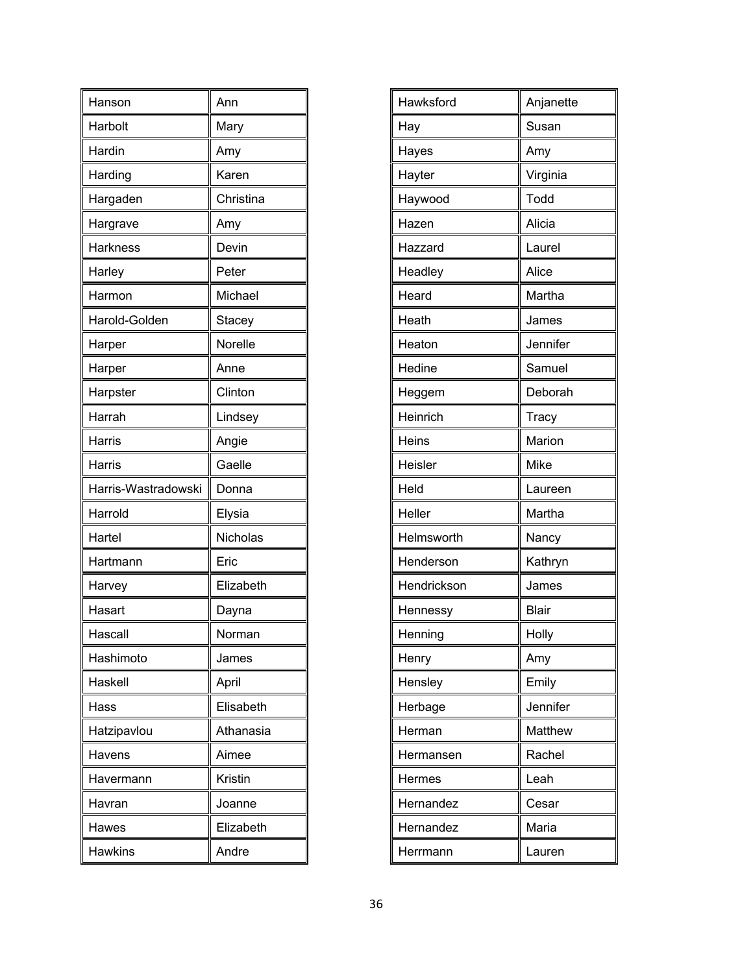| Hanson              | Ann       |
|---------------------|-----------|
| Harbolt             | Mary      |
| Hardin              | Amy       |
| Harding             | Karen     |
| Hargaden            | Christina |
| Hargrave            | Amy       |
| <b>Harkness</b>     | Devin     |
| Harley              | Peter     |
| Harmon              | Michael   |
| Harold-Golden       | Stacey    |
| Harper              | Norelle   |
| Harper              | Anne      |
| Harpster            | Clinton   |
| Harrah              | Lindsey   |
| Harris              | Angie     |
| Harris              | Gaelle    |
|                     |           |
| Harris-Wastradowski | Donna     |
| Harrold             | Elysia    |
| Hartel              | Nicholas  |
| Hartmann            | Eric      |
| Harvey              | Elizabeth |
| Hasart              | Dayna     |
| Hascall             | Norman    |
| Hashimoto           | James     |
| Haskell             | April     |
| Hass                | Elisabeth |
| Hatzipavlou         | Athanasia |
| Havens              | Aimee     |
| Havermann           | Kristin   |
| Havran              | Joanne    |
| Hawes               | Elizabeth |

| Hawksford   | Anjanette    |
|-------------|--------------|
| Hay         | Susan        |
| Hayes       | Amy          |
| Hayter      | Virginia     |
| Haywood     | Todd         |
| Hazen       | Alicia       |
| Hazzard     | Laurel       |
| Headley     | Alice        |
| Heard       | Martha       |
| Heath       | James        |
| Heaton      | Jennifer     |
| Hedine      | Samuel       |
| Heggem      | Deborah      |
| Heinrich    | Tracy        |
| Heins       | Marion       |
| Heisler     | Mike         |
| Held        | Laureen      |
| Heller      | Martha       |
| Helmsworth  | Nancy        |
| Henderson   | Kathryn      |
| Hendrickson | James        |
| Hennessy    | <b>Blair</b> |
| Henning     | Holly        |
| Henry       | Amy          |
| Hensley     | Emily        |
| Herbage     | Jennifer     |
| Herman      | Matthew      |
| Hermansen   | Rachel       |
| Hermes      | Leah         |
| Hernandez   | Cesar        |
| Hernandez   | Maria        |
| Herrmann    | Lauren       |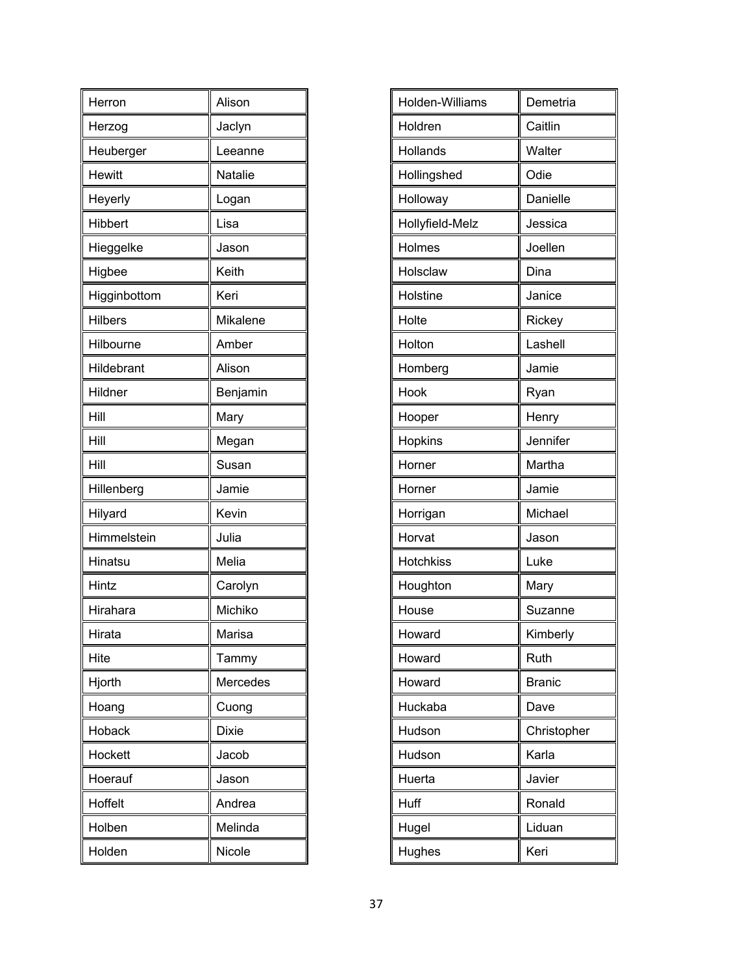| Herron         | Alison       |
|----------------|--------------|
| Herzog         | Jaclyn       |
| Heuberger      | Leeanne      |
| <b>Hewitt</b>  | Natalie      |
| Heyerly        | Logan        |
| Hibbert        | Lisa         |
| Hieggelke      | Jason        |
| Higbee         | Keith        |
| Higginbottom   | Keri         |
| <b>Hilbers</b> | Mikalene     |
| Hilbourne      | Amber        |
| Hildebrant     | Alison       |
| Hildner        | Benjamin     |
| Hill           | Mary         |
| Hill           | Megan        |
| Hill           | Susan        |
| Hillenberg     | Jamie        |
| Hilyard        | Kevin        |
| Himmelstein    | Julia        |
| Hinatsu        | Melia        |
| Hintz          | Carolyn      |
| Hirahara       | Michiko      |
| Hirata         | Marisa       |
| Hite           | Tammy        |
| Hjorth         | Mercedes     |
| Hoang          | Cuong        |
| Hoback         | <b>Dixie</b> |
| Hockett        | Jacob        |
| Hoerauf        | Jason        |
| Hoffelt        | Andrea       |
| Holben         | Melinda      |
| Holden         | Nicole       |

| Holden-Williams  | Demetria      |
|------------------|---------------|
| Holdren          | Caitlin       |
| Hollands         | Walter        |
| Hollingshed      | Odie          |
| Holloway         | Danielle      |
| Hollyfield-Melz  | Jessica       |
| Holmes           | Joellen       |
| Holsclaw         | Dina          |
| Holstine         | Janice        |
| Holte            | Rickey        |
| Holton           | Lashell       |
| Homberg          | Jamie         |
| Hook             | Ryan          |
| Hooper           | Henry         |
| Hopkins          | Jennifer      |
| Horner           | Martha        |
| Horner           | Jamie         |
| Horrigan         | Michael       |
| Horvat           | Jason         |
| <b>Hotchkiss</b> | Luke          |
| Houghton         | Mary          |
| House            | Suzanne       |
| Howard           | Kimberly      |
| Howard           | Ruth          |
| Howard           | <b>Branic</b> |
| Huckaba          | Dave          |
| Hudson           | Christopher   |
| Hudson           | Karla         |
| Huerta           | Javier        |
| Huff             | Ronald        |
| Hugel            | Liduan        |
| Hughes           | Keri          |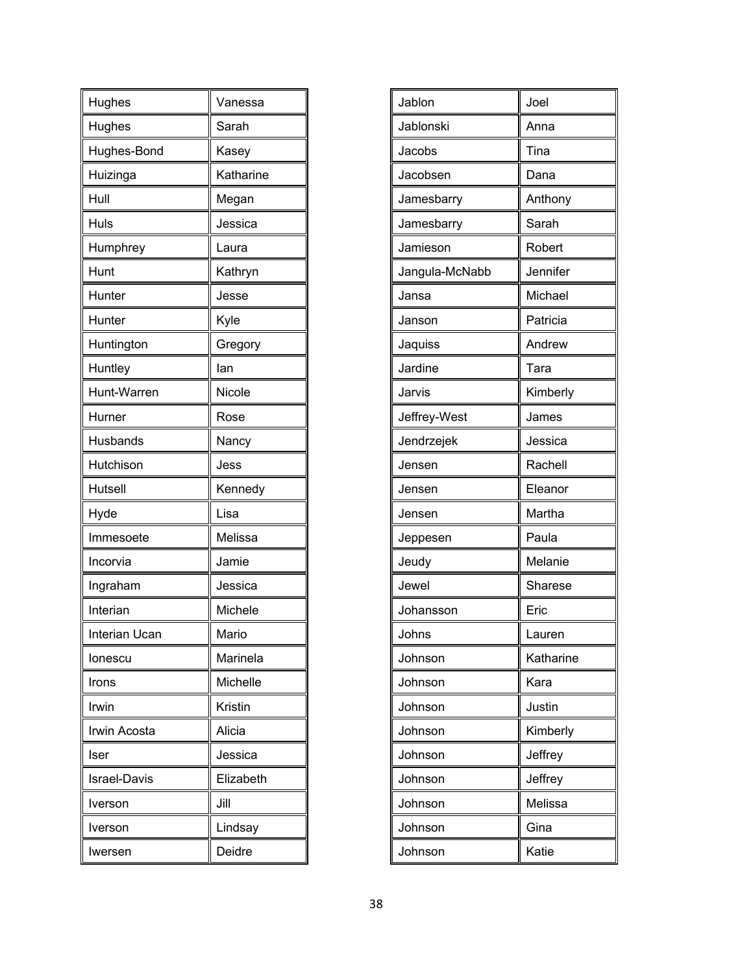| Hughes              | Vanessa   |
|---------------------|-----------|
| Hughes              | Sarah     |
| Hughes-Bond         | Kasey     |
| Huizinga            | Katharine |
| Hull                | Megan     |
| Huls                | Jessica   |
| Humphrey            | Laura     |
| Hunt                | Kathryn   |
| Hunter              | Jesse     |
| Hunter              | Kyle      |
| Huntington          | Gregory   |
| Huntley             | lan       |
| Hunt-Warren         | Nicole    |
| Hurner              | Rose      |
| Husbands            | Nancy     |
| Hutchison           | Jess      |
| Hutsell             | Kennedy   |
| Hyde                | Lisa      |
| Immesoete           | Melissa   |
| Incorvia            | Jamie     |
| Ingraham            | Jessica   |
| Interian            | Michele   |
| Interian Ucan       | Mario     |
| lonescu             | Marinela  |
| Irons               | Michelle  |
| Irwin               | Kristin   |
| Irwin Acosta        | Alicia    |
| Iser                | Jessica   |
| <b>Israel-Davis</b> | Elizabeth |
| Iverson             | Jill      |
| Iverson             | Lindsay   |
|                     |           |

| Jablon         | Joel      |
|----------------|-----------|
| Jablonski      | Anna      |
| Jacobs         | Tina      |
| Jacobsen       | Dana      |
| Jamesbarry     | Anthony   |
| Jamesbarry     | Sarah     |
| Jamieson       | Robert    |
| Jangula-McNabb | Jennifer  |
| Jansa          | Michael   |
| Janson         | Patricia  |
| Jaquiss        | Andrew    |
| Jardine        | Tara      |
| Jarvis         | Kimberly  |
| Jeffrey-West   | James     |
| Jendrzejek     | Jessica   |
| Jensen         | Rachell   |
| Jensen         | Eleanor   |
| Jensen         | Martha    |
| Jeppesen       | Paula     |
| Jeudy          | Melanie   |
| Jewel          | Sharese   |
| Johansson      | Eric      |
| Johns          | Lauren    |
| Johnson        | Katharine |
| Johnson        | Kara      |
| Johnson        | Justin    |
| Johnson        | Kimberly  |
| Johnson        | Jeffrey   |
| Johnson        | Jeffrey   |
| Johnson        | Melissa   |
| Johnson        | Gina      |
| Johnson        | Katie     |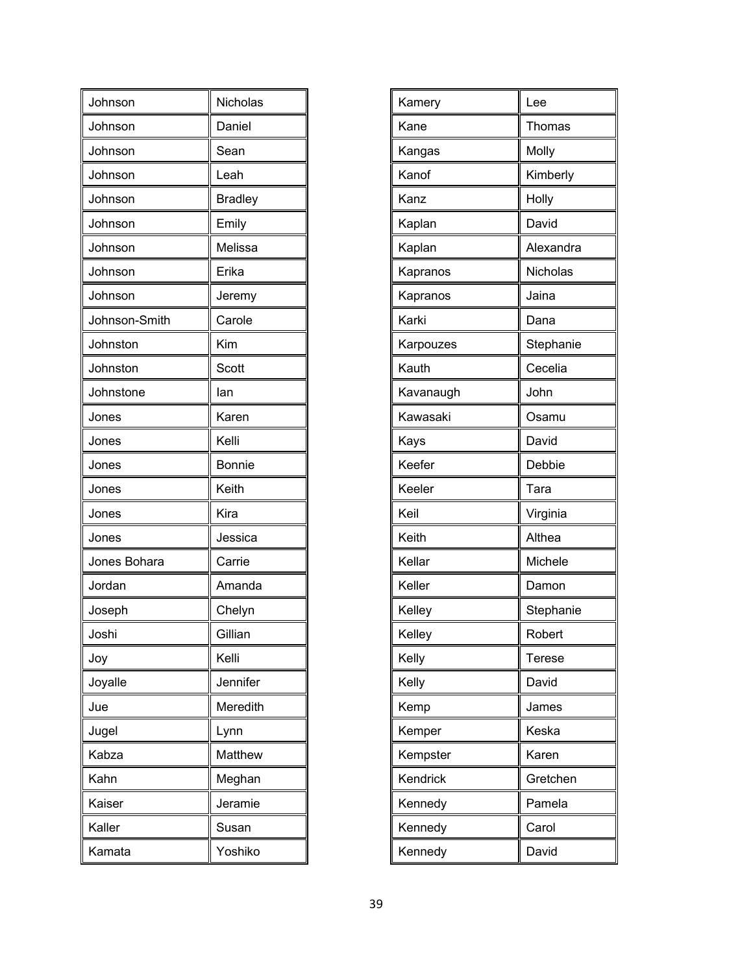| Johnson       | Nicholas       |
|---------------|----------------|
| Johnson       | Daniel         |
| Johnson       | Sean           |
| Johnson       | Leah           |
| Johnson       | <b>Bradley</b> |
| Johnson       | Emily          |
| Johnson       | Melissa        |
| Johnson       | Erika          |
| Johnson       | Jeremy         |
| Johnson-Smith | Carole         |
| Johnston      | Kim            |
| Johnston      | <b>Scott</b>   |
| Johnstone     | lan            |
| Jones         | Karen          |
| Jones         | Kelli          |
| Jones         | <b>Bonnie</b>  |
| Jones         | Keith          |
| Jones         | Kira           |
| Jones         | Jessica        |
| Jones Bohara  | Carrie         |
| Jordan        | Amanda         |
| Joseph        | Chelyn         |
| Joshi         | Gillian        |
| Joy           | Kelli          |
| Joyalle       | Jennifer       |
| Jue           | Meredith       |
| Jugel         | Lynn           |
| Kabza         | Matthew        |
| Kahn          | Meghan         |
| Kaiser        | Jeramie        |
| Kaller        | Susan          |
| Kamata        | Yoshiko        |

| Kamery    | Lee           |
|-----------|---------------|
| Kane      | Thomas        |
|           |               |
| Kangas    | Molly         |
| Kanof     | Kimberly      |
| Kanz      | Holly         |
| Kaplan    | David         |
| Kaplan    | Alexandra     |
| Kapranos  | Nicholas      |
| Kapranos  | Jaina         |
| Karki     | Dana          |
| Karpouzes | Stephanie     |
| Kauth     | Cecelia       |
| Kavanaugh | John          |
| Kawasaki  | Osamu         |
| Kays      | David         |
| Keefer    | Debbie        |
| Keeler    | Tara          |
| Keil      | Virginia      |
| Keith     | Althea        |
| Kellar    | Michele       |
| Keller    | Damon         |
| Kelley    | Stephanie     |
| Kelley    | Robert        |
| Kelly     | <b>Terese</b> |
| Kelly     | David         |
| Kemp      | James         |
| Kemper    | Keska         |
| Kempster  | Karen         |
| Kendrick  | Gretchen      |
| Kennedy   | Pamela        |
| Kennedy   | Carol         |
| Kennedy   | David         |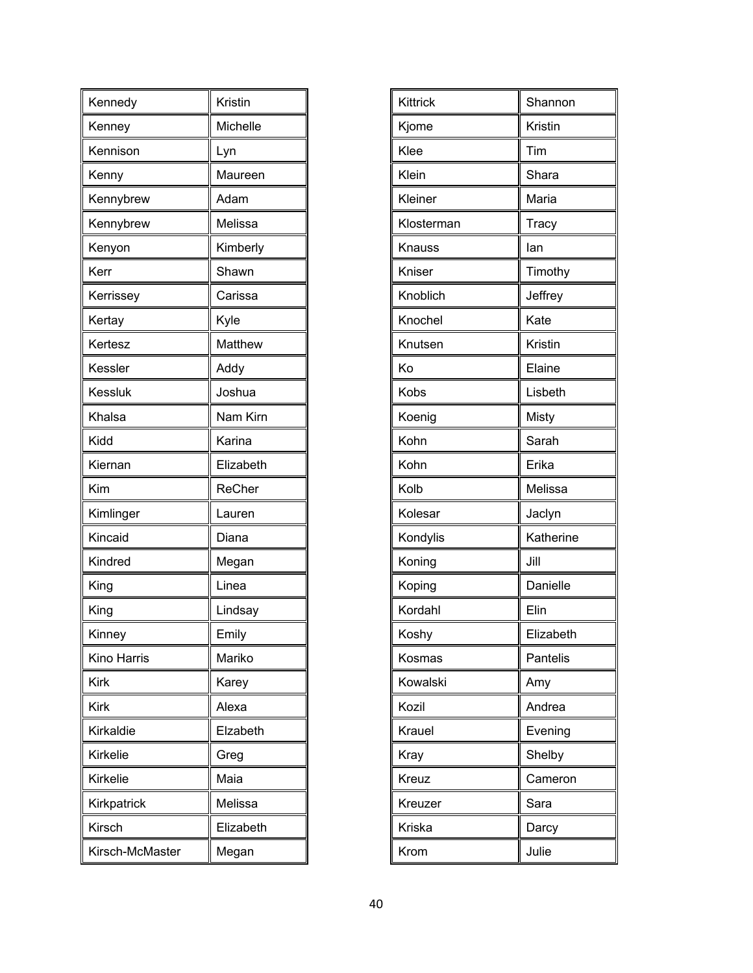| Kennedy         | Kristin   |
|-----------------|-----------|
| Kenney          | Michelle  |
| Kennison        | Lyn       |
| Kenny           | Maureen   |
| Kennybrew       | Adam      |
| Kennybrew       | Melissa   |
| Kenyon          | Kimberly  |
| Kerr            | Shawn     |
| Kerrissey       | Carissa   |
| Kertay          | Kyle      |
| Kertesz         | Matthew   |
| Kessler         | Addy      |
| Kessluk         | Joshua    |
| Khalsa          | Nam Kirn  |
| Kidd            | Karina    |
| Kiernan         | Elizabeth |
| Kim             | ReCher    |
| Kimlinger       | Lauren    |
| Kincaid         | Diana     |
| Kindred         | Megan     |
| King            | Linea     |
| King            | Lindsay   |
| Kinney          | Emily     |
| Kino Harris     | Mariko    |
| Kirk            | Karey     |
| Kirk            | Alexa     |
| Kirkaldie       | Elzabeth  |
| Kirkelie        | Greg      |
| Kirkelie        | Maia      |
| Kirkpatrick     | Melissa   |
| Kirsch          | Elizabeth |
| Kirsch-McMaster | Megan     |

| Kittrick   | Shannon   |
|------------|-----------|
| Kjome      | Kristin   |
| Klee       | Tim       |
| Klein      | Shara     |
| Kleiner    | Maria     |
| Klosterman | Tracy     |
| Knauss     | lan       |
| Kniser     | Timothy   |
| Knoblich   | Jeffrey   |
| Knochel    | Kate      |
| Knutsen    | Kristin   |
| Ko         | Elaine    |
| Kobs       | Lisbeth   |
| Koenig     | Misty     |
| Kohn       | Sarah     |
| Kohn       | Erika     |
| Kolb       | Melissa   |
| Kolesar    | Jaclyn    |
| Kondylis   | Katherine |
| Koning     | Jill      |
| Koping     | Danielle  |
| Kordahl    | Elin      |
| Koshy      | Elizabeth |
| Kosmas     | Pantelis  |
| Kowalski   | Amy       |
| Kozil      | Andrea    |
| Krauel     | Evening   |
| Kray       | Shelby    |
| Kreuz      | Cameron   |
| Kreuzer    | Sara      |
| Kriska     | Darcy     |
| Krom       | Julie     |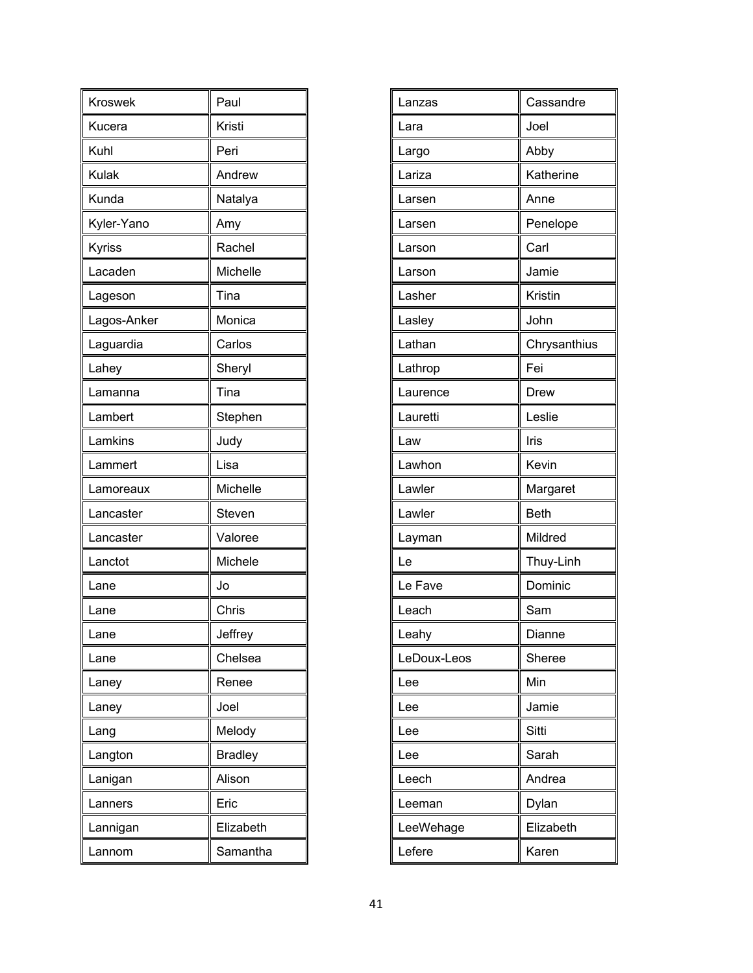| <b>Kroswek</b> | Paul           |
|----------------|----------------|
| Kucera         | Kristi         |
| Kuhl           | Peri           |
| Kulak          | Andrew         |
| Kunda          | Natalya        |
| Kyler-Yano     | Amy            |
| Kyriss         | Rachel         |
| Lacaden        | Michelle       |
| Lageson        | Tina           |
| Lagos-Anker    | Monica         |
| Laguardia      | Carlos         |
| Lahey          | Sheryl         |
| Lamanna        | Tina           |
| Lambert        | Stephen        |
| Lamkins        | Judy           |
| Lammert        | Lisa           |
| Lamoreaux      | Michelle       |
| Lancaster      | Steven         |
| Lancaster      | Valoree        |
| Lanctot        | Michele        |
| Lane           | Jo             |
| Lane           | Chris          |
| Lane           | Jeffrey        |
| Lane           | Chelsea        |
| Laney          | Renee          |
| Laney          | Joel           |
| Lang           | Melody         |
| Langton        | <b>Bradley</b> |
| Lanigan        | Alison         |
| Lanners        | Eric           |
| Lannigan       | Elizabeth      |
| Lannom         | Samantha       |

| Cassandre<br>Lanzas<br>Joel<br>Lara<br>Abby<br>Largo<br>Lariza<br>Katherine<br>Anne<br>Larsen<br>Penelope<br>Larsen<br>Carl<br>Larson<br>Jamie<br>Larson<br>Kristin<br>Lasher<br>John<br>Lasley<br>Lathan<br>Chrysanthius<br>Fei<br>Lathrop<br><b>Drew</b><br>Laurence<br>Leslie<br>Lauretti<br>Iris<br>Law<br>Kevin<br>Lawhon<br>Lawler<br>Margaret<br>Lawler<br><b>Beth</b><br>Mildred<br>Layman<br>Thuy-Linh<br>Le<br>Dominic<br>Le Fave<br>Sam<br>Leach<br>Dianne<br>Leahy<br>LeDoux-Leos<br>Sheree<br>Min<br>Lee<br>Jamie<br>Lee<br>Sitti<br>Lee<br>Sarah<br>Lee<br>Andrea<br>Leech<br>Dylan<br>Leeman<br>Elizabeth<br>LeeWehage<br>Lefere<br>Karen |  |
|----------------------------------------------------------------------------------------------------------------------------------------------------------------------------------------------------------------------------------------------------------------------------------------------------------------------------------------------------------------------------------------------------------------------------------------------------------------------------------------------------------------------------------------------------------------------------------------------------------------------------------------------------------|--|
|                                                                                                                                                                                                                                                                                                                                                                                                                                                                                                                                                                                                                                                          |  |
|                                                                                                                                                                                                                                                                                                                                                                                                                                                                                                                                                                                                                                                          |  |
|                                                                                                                                                                                                                                                                                                                                                                                                                                                                                                                                                                                                                                                          |  |
|                                                                                                                                                                                                                                                                                                                                                                                                                                                                                                                                                                                                                                                          |  |
|                                                                                                                                                                                                                                                                                                                                                                                                                                                                                                                                                                                                                                                          |  |
|                                                                                                                                                                                                                                                                                                                                                                                                                                                                                                                                                                                                                                                          |  |
|                                                                                                                                                                                                                                                                                                                                                                                                                                                                                                                                                                                                                                                          |  |
|                                                                                                                                                                                                                                                                                                                                                                                                                                                                                                                                                                                                                                                          |  |
|                                                                                                                                                                                                                                                                                                                                                                                                                                                                                                                                                                                                                                                          |  |
|                                                                                                                                                                                                                                                                                                                                                                                                                                                                                                                                                                                                                                                          |  |
|                                                                                                                                                                                                                                                                                                                                                                                                                                                                                                                                                                                                                                                          |  |
|                                                                                                                                                                                                                                                                                                                                                                                                                                                                                                                                                                                                                                                          |  |
|                                                                                                                                                                                                                                                                                                                                                                                                                                                                                                                                                                                                                                                          |  |
|                                                                                                                                                                                                                                                                                                                                                                                                                                                                                                                                                                                                                                                          |  |
|                                                                                                                                                                                                                                                                                                                                                                                                                                                                                                                                                                                                                                                          |  |
|                                                                                                                                                                                                                                                                                                                                                                                                                                                                                                                                                                                                                                                          |  |
|                                                                                                                                                                                                                                                                                                                                                                                                                                                                                                                                                                                                                                                          |  |
|                                                                                                                                                                                                                                                                                                                                                                                                                                                                                                                                                                                                                                                          |  |
|                                                                                                                                                                                                                                                                                                                                                                                                                                                                                                                                                                                                                                                          |  |
|                                                                                                                                                                                                                                                                                                                                                                                                                                                                                                                                                                                                                                                          |  |
|                                                                                                                                                                                                                                                                                                                                                                                                                                                                                                                                                                                                                                                          |  |
|                                                                                                                                                                                                                                                                                                                                                                                                                                                                                                                                                                                                                                                          |  |
|                                                                                                                                                                                                                                                                                                                                                                                                                                                                                                                                                                                                                                                          |  |
|                                                                                                                                                                                                                                                                                                                                                                                                                                                                                                                                                                                                                                                          |  |
|                                                                                                                                                                                                                                                                                                                                                                                                                                                                                                                                                                                                                                                          |  |
|                                                                                                                                                                                                                                                                                                                                                                                                                                                                                                                                                                                                                                                          |  |
|                                                                                                                                                                                                                                                                                                                                                                                                                                                                                                                                                                                                                                                          |  |
|                                                                                                                                                                                                                                                                                                                                                                                                                                                                                                                                                                                                                                                          |  |
|                                                                                                                                                                                                                                                                                                                                                                                                                                                                                                                                                                                                                                                          |  |
|                                                                                                                                                                                                                                                                                                                                                                                                                                                                                                                                                                                                                                                          |  |
|                                                                                                                                                                                                                                                                                                                                                                                                                                                                                                                                                                                                                                                          |  |
|                                                                                                                                                                                                                                                                                                                                                                                                                                                                                                                                                                                                                                                          |  |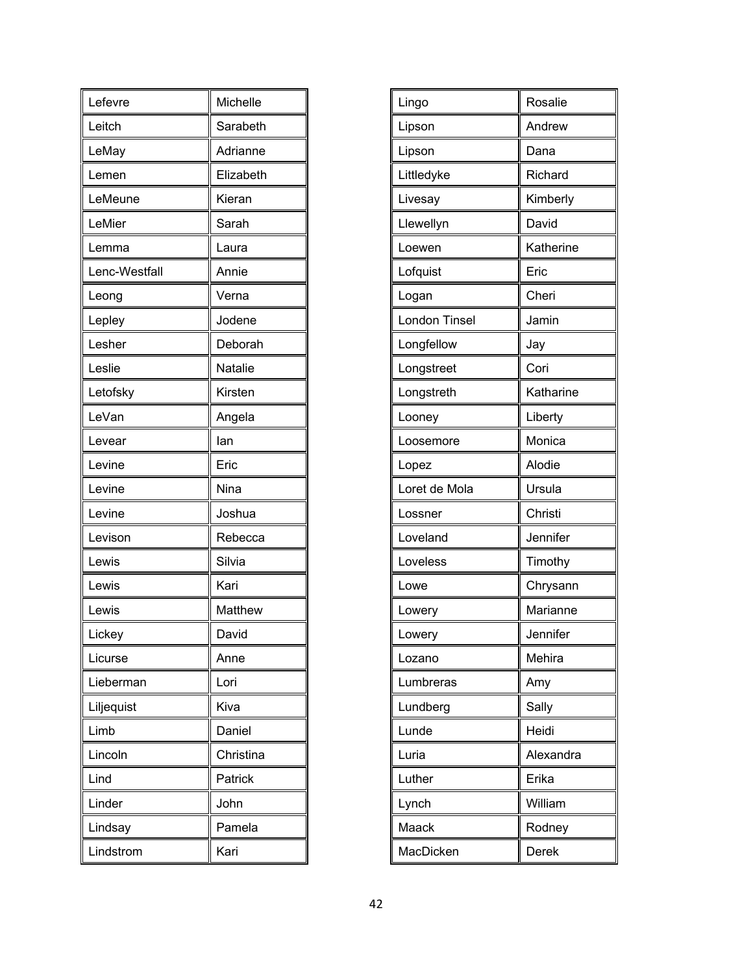| Lefevre       | Michelle  |
|---------------|-----------|
| Leitch        | Sarabeth  |
| LeMay         | Adrianne  |
| Lemen         | Elizabeth |
| LeMeune       | Kieran    |
| LeMier        | Sarah     |
| Lemma         | Laura     |
| Lenc-Westfall | Annie     |
| Leong         | Verna     |
| Lepley        | Jodene    |
| Lesher        | Deborah   |
| Leslie        | Natalie   |
| Letofsky      | Kirsten   |
| LeVan         | Angela    |
| Levear        | lan       |
| Levine        | Eric      |
| Levine        | Nina      |
| Levine        | Joshua    |
| Levison       | Rebecca   |
| Lewis         | Silvia    |
| Lewis         | Kari      |
| Lewis         | Matthew   |
| Lickey        | David     |
| Licurse       | Anne      |
| Lieberman     | Lori      |
| Liljequist    | Kiva      |
| Limb          | Daniel    |
| Lincoln       | Christina |
| Lind          | Patrick   |
| Linder        | John      |
| Lindsay       | Pamela    |
| Lindstrom     | Kari      |

| Lingo                | Rosalie   |
|----------------------|-----------|
| Lipson               | Andrew    |
| Lipson               | Dana      |
| Littledyke           | Richard   |
| Livesay              | Kimberly  |
| Llewellyn            | David     |
| Loewen               | Katherine |
| Lofquist             | Eric      |
| Logan                | Cheri     |
| <b>London Tinsel</b> | Jamin     |
| Longfellow           | Jay       |
| Longstreet           | Cori      |
| Longstreth           | Katharine |
| Looney               | Liberty   |
| Loosemore            | Monica    |
| Lopez                | Alodie    |
| Loret de Mola        | Ursula    |
| Lossner              | Christi   |
| Loveland             | Jennifer  |
| Loveless             | Timothy   |
| Lowe                 | Chrysann  |
| Lowery               | Marianne  |
| Lowery               | Jennifer  |
| Lozano               | Mehira    |
| Lumbreras            | Amy       |
| Lundberg             | Sally     |
| Lunde                | Heidi     |
| Luria                | Alexandra |
| Luther               | Erika     |
| Lynch                | William   |
| Maack                | Rodney    |
| MacDicken            | Derek     |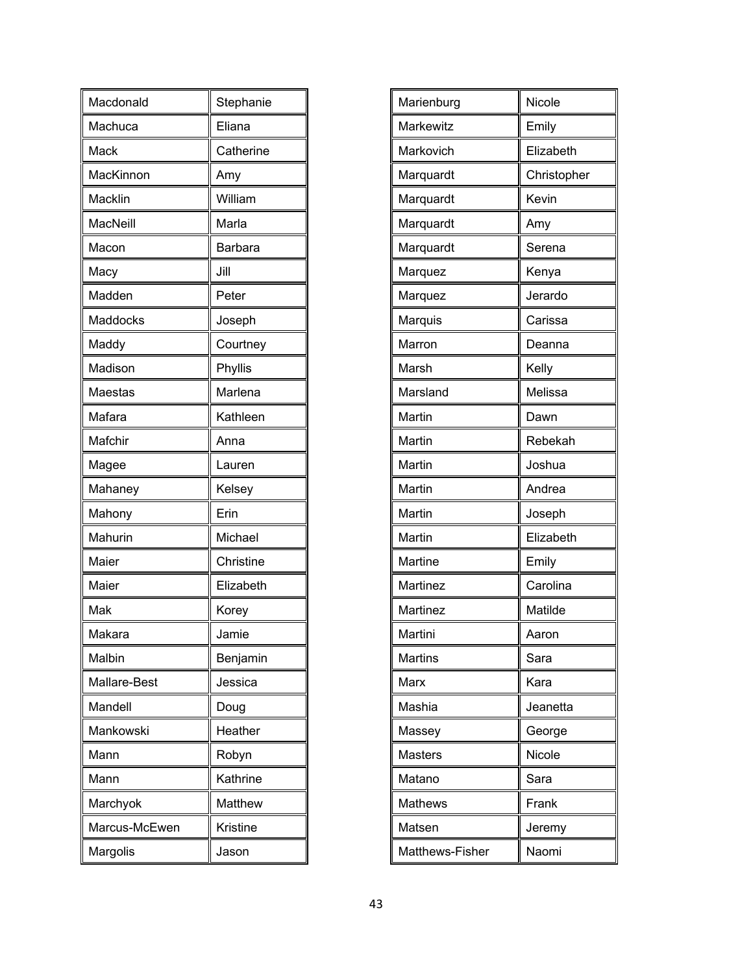| Macdonald     | Stephanie |
|---------------|-----------|
| Machuca       | Eliana    |
| Mack          | Catherine |
| MacKinnon     | Amy       |
| Macklin       | William   |
| MacNeill      | Marla     |
| Macon         | Barbara   |
| Macy          | Jill      |
| Madden        | Peter     |
| Maddocks      | Joseph    |
| Maddy         | Courtney  |
| Madison       | Phyllis   |
| Maestas       | Marlena   |
| Mafara        | Kathleen  |
| Mafchir       | Anna      |
| Magee         | Lauren    |
| Mahaney       | Kelsey    |
| Mahony        | Erin      |
| Mahurin       | Michael   |
| Maier         | Christine |
| Maier         | Elizabeth |
| Mak           | Korey     |
| Makara        | Jamie     |
| Malbin        | Benjamin  |
| Mallare-Best  | Jessica   |
| Mandell       | Doug      |
| Mankowski     | Heather   |
| Mann          | Robyn     |
| Mann          | Kathrine  |
| Marchyok      | Matthew   |
| Marcus-McEwen | Kristine  |
| Margolis      | Jason     |

| Marienburg       | Nicole      |
|------------------|-------------|
| <b>Markewitz</b> | Emily       |
| Markovich        | Elizabeth   |
| Marquardt        | Christopher |
| Marquardt        | Kevin       |
| Marquardt        | Amy         |
| Marquardt        | Serena      |
| Marquez          | Kenya       |
| Marquez          | Jerardo     |
| Marquis          | Carissa     |
| Marron           | Deanna      |
| Marsh            | Kelly       |
| Marsland         | Melissa     |
| Martin           | Dawn        |
| Martin           | Rebekah     |
| Martin           | Joshua      |
| Martin           | Andrea      |
| Martin           | Joseph      |
| Martin           | Elizabeth   |
| Martine          | Emily       |
| Martinez         | Carolina    |
| Martinez         | Matilde     |
| Martini          | Aaron       |
| <b>Martins</b>   | Sara        |
| Marx             | Kara        |
| Mashia           | Jeanetta    |
| Massey           | George      |
| <b>Masters</b>   | Nicole      |
| Matano           | Sara        |
| <b>Mathews</b>   | Frank       |
| Matsen           | Jeremy      |
| Matthews-Fisher  | Naomi       |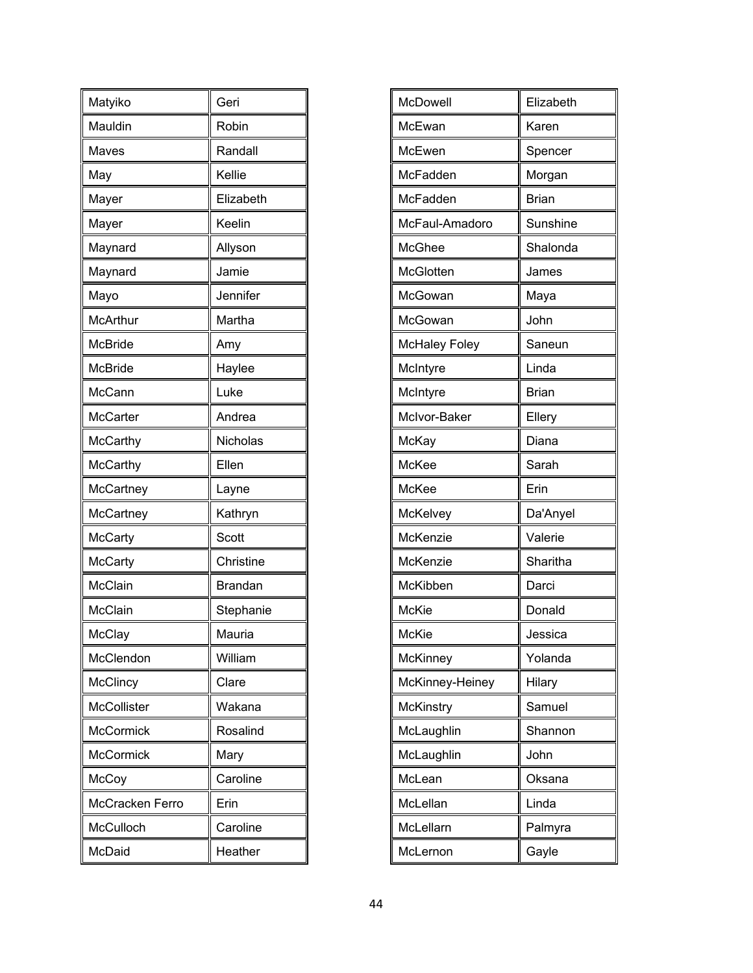| Matyiko          | Geri           |
|------------------|----------------|
| Mauldin          | Robin          |
| Maves            | Randall        |
| May              | Kellie         |
| Mayer            | Elizabeth      |
| Mayer            | Keelin         |
| Maynard          | Allyson        |
| Maynard          | Jamie          |
| Mayo             | Jennifer       |
| <b>McArthur</b>  | Martha         |
| <b>McBride</b>   | Amy            |
| <b>McBride</b>   | Haylee         |
| McCann           | Luke           |
| <b>McCarter</b>  | Andrea         |
| <b>McCarthy</b>  | Nicholas       |
| <b>McCarthy</b>  | Ellen          |
| McCartney        | Layne          |
| McCartney        | Kathryn        |
| <b>McCarty</b>   | Scott          |
| <b>McCarty</b>   | Christine      |
| McClain          | <b>Brandan</b> |
| McClain          | Stephanie      |
| McClay           | Mauria         |
| McClendon        | William        |
| McClincy         | Clare          |
| McCollister      | Wakana         |
| <b>McCormick</b> | Rosalind       |
| <b>McCormick</b> | Mary           |
| McCoy            | Caroline       |
| McCracken Ferro  | Erin           |
| McCulloch        | Caroline       |
| McDaid           | Heather        |

| McDowell             | Elizabeth    |
|----------------------|--------------|
| McEwan               | Karen        |
| McEwen               | Spencer      |
| McFadden             | Morgan       |
| McFadden             | <b>Brian</b> |
| McFaul-Amadoro       | Sunshine     |
| <b>McGhee</b>        | Shalonda     |
| McGlotten            | James        |
| McGowan              | Maya         |
| McGowan              | John         |
| <b>McHaley Foley</b> | Saneun       |
| McIntyre             | Linda        |
| McIntyre             | <b>Brian</b> |
| McIvor-Baker         | Ellery       |
| McKay                | Diana        |
| McKee                | Sarah        |
| McKee                | Erin         |
| McKelvey             | Da'Anyel     |
| McKenzie             | Valerie      |
| McKenzie             | Sharitha     |
| McKibben             | Darci        |
| <b>McKie</b>         | Donald       |
| McKie                | Jessica      |
| McKinney             | Yolanda      |
| McKinney-Heiney      | Hilary       |
| McKinstry            | Samuel       |
| McLaughlin           | Shannon      |
| McLaughlin           | John         |
| McLean               | Oksana       |
| McLellan             | Linda        |
| McLellarn            | Palmyra      |
| McLernon             | Gayle        |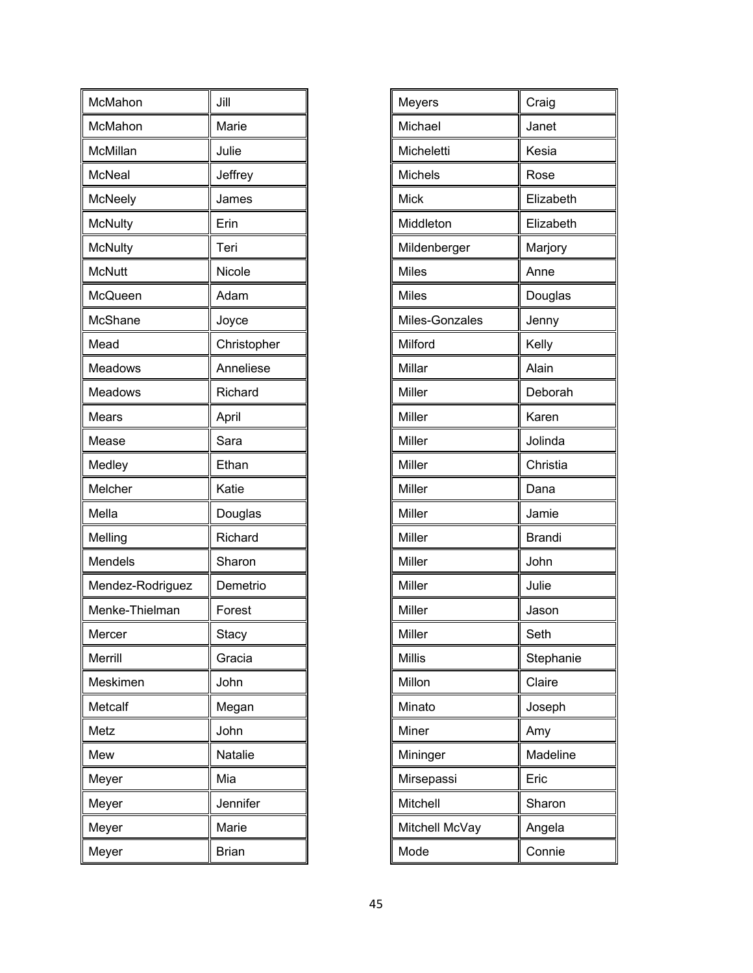| McMahon          | Jill           |
|------------------|----------------|
| McMahon          | Marie          |
| McMillan         | Julie          |
| <b>McNeal</b>    | Jeffrey        |
| McNeely          | James          |
| <b>McNulty</b>   | Erin           |
| <b>McNulty</b>   | Teri           |
| <b>McNutt</b>    | Nicole         |
| McQueen          | Adam           |
| McShane          | Joyce          |
| Mead             | Christopher    |
| Meadows          | Anneliese      |
| Meadows          | Richard        |
| Mears            | April          |
| Mease            | Sara           |
| Medley           | Ethan          |
| Melcher          | Katie          |
| Mella            | Douglas        |
| Melling          | Richard        |
| Mendels          | Sharon         |
| Mendez-Rodriguez | Demetrio       |
| Menke-Thielman   | Forest         |
| Mercer           | Stacy          |
| Merrill          | Gracia         |
| Meskimen         | John           |
| Metcalf          | Megan          |
| Metz             | John           |
| Mew              | <b>Natalie</b> |
| Meyer            | Mia            |
| Meyer            | Jennifer       |
| Meyer            | Marie          |
| Meyer            | <b>Brian</b>   |

| Meyers         | Craig         |
|----------------|---------------|
| Michael        | Janet         |
| Micheletti     | Kesia         |
| Michels        | Rose          |
| Mick           | Elizabeth     |
| Middleton      | Elizabeth     |
| Mildenberger   | Marjory       |
| <b>Miles</b>   | Anne          |
| <b>Miles</b>   | Douglas       |
| Miles-Gonzales | Jenny         |
| Milford        | Kelly         |
| Millar         | Alain         |
| Miller         | Deborah       |
| Miller         | Karen         |
| Miller         | Jolinda       |
| Miller         | Christia      |
| Miller         | Dana          |
| Miller         | Jamie         |
| Miller         | <b>Brandi</b> |
| Miller         | John          |
| Miller         | Julie         |
| Miller         | Jason         |
| Miller         | Seth          |
| <b>Millis</b>  | Stephanie     |
| Millon         | Claire        |
| Minato         | Joseph        |
| Miner          | Amy           |
| Mininger       | Madeline      |
| Mirsepassi     | Eric          |
| Mitchell       | Sharon        |
| Mitchell McVay | Angela        |
| Mode           | Connie        |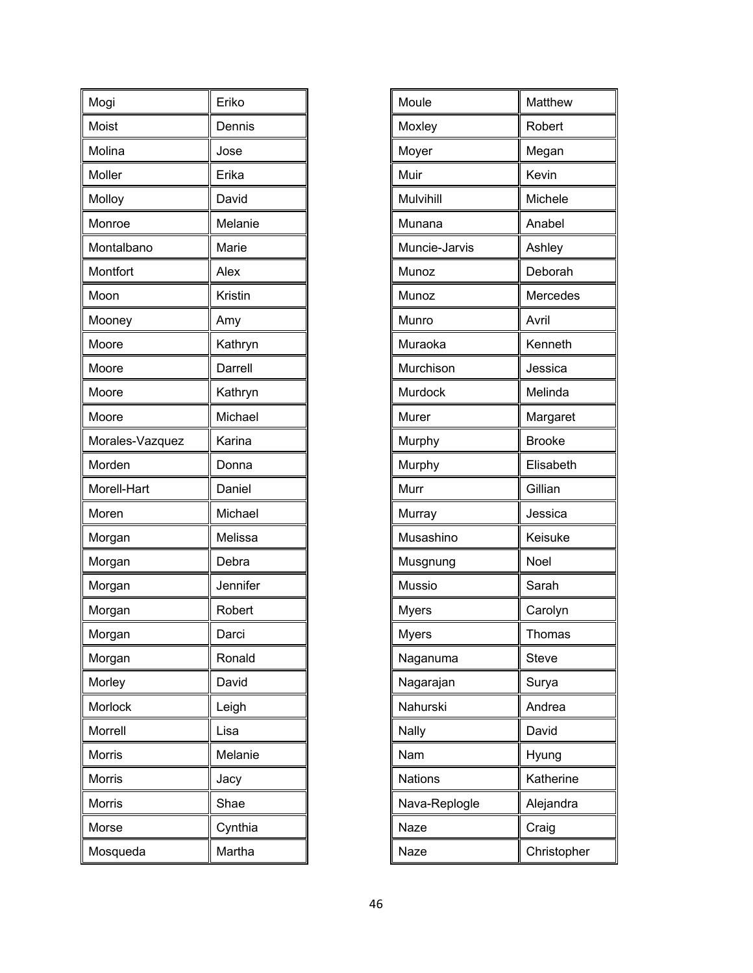| Mogi            | Eriko    |
|-----------------|----------|
| Moist           | Dennis   |
| Molina          | Jose     |
| Moller          | Erika    |
| Molloy          | David    |
| Monroe          | Melanie  |
| Montalbano      | Marie    |
| Montfort        | Alex     |
| Moon            | Kristin  |
| Mooney          | Amy      |
| Moore           | Kathryn  |
| Moore           | Darrell  |
| Moore           | Kathryn  |
| Moore           | Michael  |
| Morales-Vazquez | Karina   |
| Morden          | Donna    |
| Morell-Hart     | Daniel   |
| Moren           | Michael  |
| Morgan          | Melissa  |
| Morgan          | Debra    |
| Morgan          | Jennifer |
| Morgan          | Robert   |
| Morgan          | Darci    |
| Morgan          | Ronald   |
| Morley          | David    |
| Morlock         | Leigh    |
| Morrell         | Lisa     |
| Morris          | Melanie  |
| <b>Morris</b>   | Jacy     |
| Morris          | Shae     |
| Morse           | Cynthia  |
| Mosqueda        | Martha   |

| Moule          | Matthew       |
|----------------|---------------|
| Moxley         | Robert        |
| Moyer          | Megan         |
| Muir           | Kevin         |
| Mulvihill      | Michele       |
| Munana         | Anabel        |
| Muncie-Jarvis  | Ashley        |
| Munoz          | Deborah       |
| Munoz          | Mercedes      |
| Munro          | Avril         |
| Muraoka        | Kenneth       |
| Murchison      | Jessica       |
| Murdock        | Melinda       |
| Murer          | Margaret      |
| Murphy         | <b>Brooke</b> |
| Murphy         | Elisabeth     |
| Murr           | Gillian       |
| Murray         | Jessica       |
| Musashino      | Keisuke       |
| Musgnung       | Noel          |
| Mussio         | Sarah         |
| <b>Myers</b>   | Carolyn       |
| Myers          | Thomas        |
| Naganuma       | <b>Steve</b>  |
| Nagarajan      | Surya         |
| Nahurski       | Andrea        |
| Nally          | David         |
| Nam            | Hyung         |
| <b>Nations</b> | Katherine     |
| Nava-Replogle  | Alejandra     |
| Naze           | Craig         |
| Naze           | Christopher   |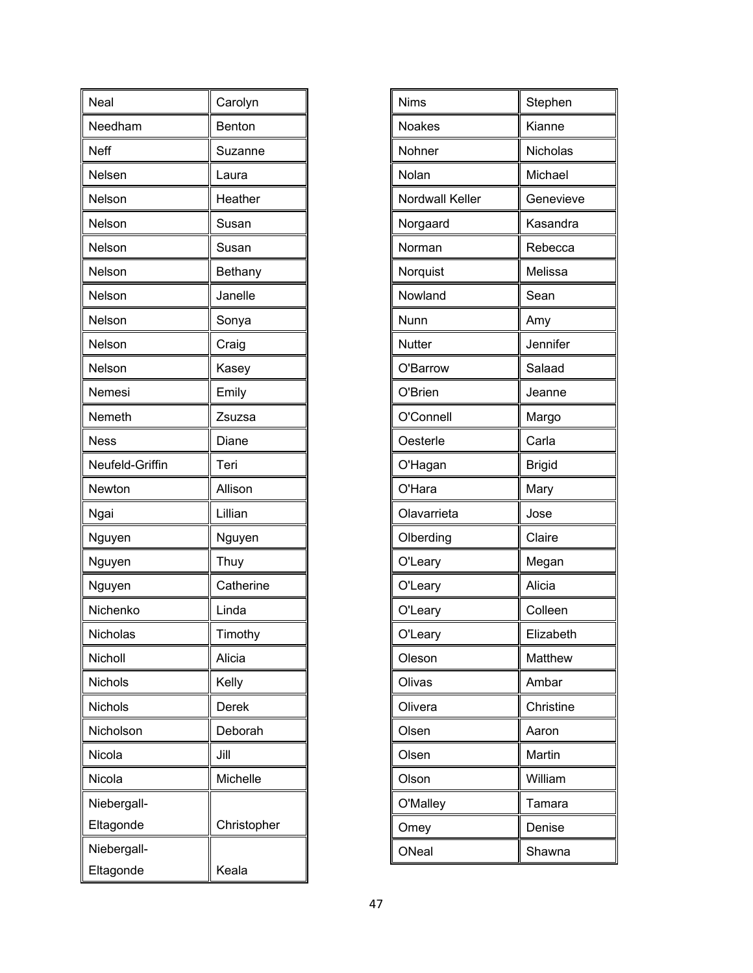| Neal            | Carolyn     |
|-----------------|-------------|
| Needham         | Benton      |
| Neff            | Suzanne     |
| Nelsen          | Laura       |
| Nelson          | Heather     |
| Nelson          | Susan       |
| Nelson          | Susan       |
| Nelson          | Bethany     |
| Nelson          | Janelle     |
| Nelson          | Sonya       |
| Nelson          | Craig       |
| Nelson          | Kasey       |
| Nemesi          | Emily       |
| Nemeth          | Zsuzsa      |
| <b>Ness</b>     | Diane       |
| Neufeld-Griffin | Teri        |
| Newton          | Allison     |
| Ngai            | Lillian     |
| Nguyen          | Nguyen      |
| Nguyen          | Thuy        |
| Nguyen          | Catherine   |
| Nichenko        | Linda       |
| Nicholas        | Timothy     |
| Nicholl         | Alicia      |
| Nichols         | Kelly       |
| Nichols         | Derek       |
| Nicholson       | Deborah     |
| Nicola          | Jill        |
| Nicola          | Michelle    |
| Niebergall-     |             |
| Eltagonde       | Christopher |
| Niebergall-     |             |
| Eltagonde       | Keala       |

| Nims            | Stephen       |
|-----------------|---------------|
| Noakes          | Kianne        |
| Nohner          | Nicholas      |
| Nolan           | Michael       |
| Nordwall Keller | Genevieve     |
| Norgaard        | Kasandra      |
| Norman          | Rebecca       |
| Norquist        | Melissa       |
| Nowland         | Sean          |
| Nunn            | Amy           |
| <b>Nutter</b>   | Jennifer      |
| O'Barrow        | Salaad        |
| O'Brien         | Jeanne        |
| O'Connell       | Margo         |
| Oesterle        | Carla         |
| O'Hagan         | <b>Brigid</b> |
| O'Hara          | Mary          |
| Olavarrieta     | Jose          |
| Olberding       | Claire        |
| O'Leary         | Megan         |
| O'Leary         | Alicia        |
| O'Leary         | Colleen       |
| O'Leary         | Elizabeth     |
| Oleson          | Matthew       |
| Olivas          | Ambar         |
| Olivera         | Christine     |
| Olsen           | Aaron         |
| Olsen           | Martin        |
| Olson           | William       |
| O'Malley        | Tamara        |
| Omey            | Denise        |
| ONeal           | Shawna        |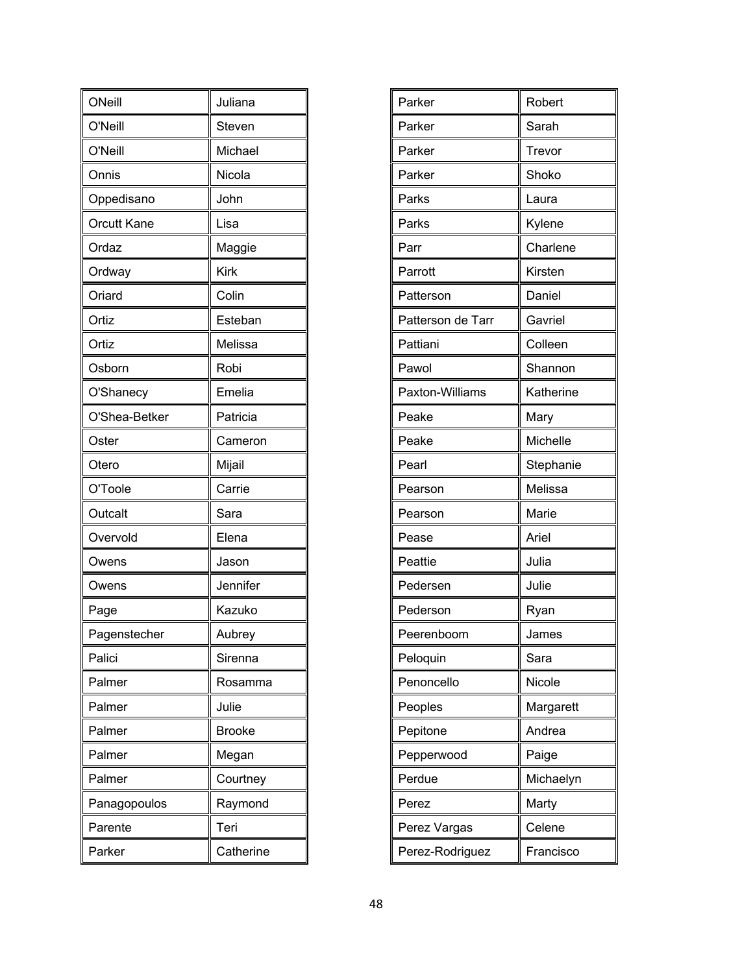| ONeill             | Juliana       |
|--------------------|---------------|
| O'Neill            | Steven        |
| O'Neill            | Michael       |
| Onnis              | Nicola        |
| Oppedisano         | John          |
| <b>Orcutt Kane</b> | Lisa          |
| Ordaz              | Maggie        |
| Ordway             | <b>Kirk</b>   |
| Oriard             | Colin         |
| Ortiz              | Esteban       |
| Ortiz              | Melissa       |
| Osborn             | Robi          |
| O'Shanecy          | Emelia        |
| O'Shea-Betker      | Patricia      |
| Oster              | Cameron       |
| Otero              | Mijail        |
| O'Toole            | Carrie        |
| Outcalt            | Sara          |
| Overvold           | Elena         |
| Owens              | Jason         |
| Owens              | Jennifer      |
| Page               | Kazuko        |
| Pagenstecher       | Aubrey        |
| Palici             | Sirenna       |
| Palmer             | Rosamma       |
| Palmer             | Julie         |
| Palmer             | <b>Brooke</b> |
| Palmer             | Megan         |
| Palmer             | Courtney      |
| Panagopoulos       | Raymond       |
| Parente            | Teri          |
| Parker             | Catherine     |

| Robert    |
|-----------|
| Sarah     |
| Trevor    |
| Shoko     |
| Laura     |
| Kylene    |
| Charlene  |
| Kirsten   |
| Daniel    |
| Gavriel   |
| Colleen   |
| Shannon   |
| Katherine |
| Mary      |
| Michelle  |
| Stephanie |
| Melissa   |
| Marie     |
| Ariel     |
| Julia     |
| Julie     |
| Ryan      |
| James     |
| Sara      |
| Nicole    |
| Margarett |
| Andrea    |
| Paige     |
| Michaelyn |
| Marty     |
|           |
| Celene    |
|           |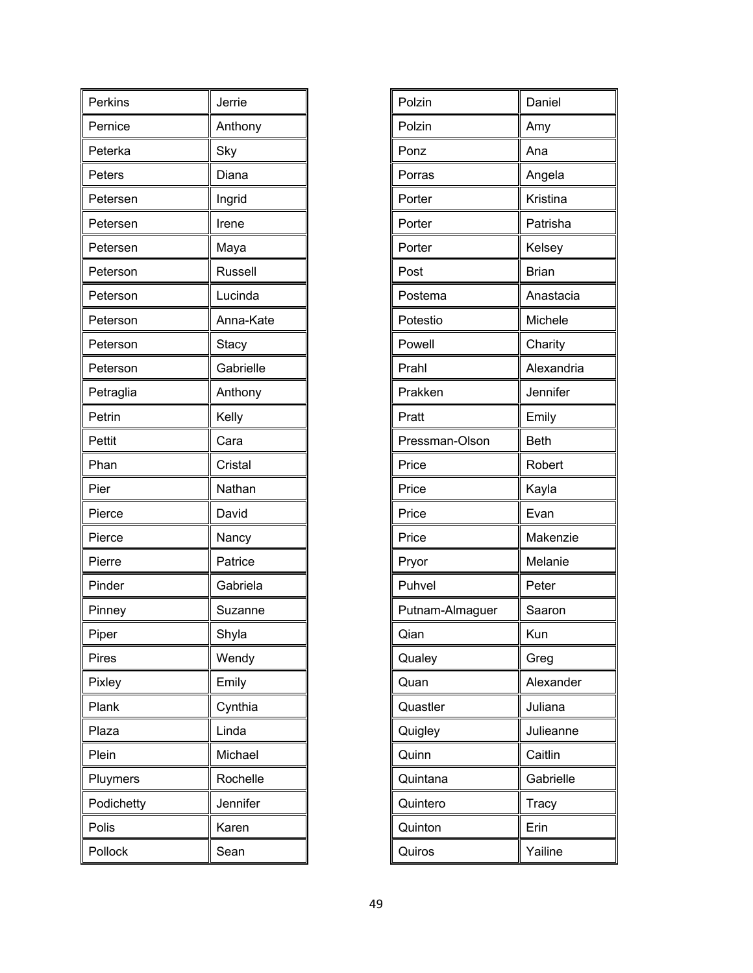| Perkins    | Jerrie         |
|------------|----------------|
| Pernice    | Anthony        |
| Peterka    | Sky            |
| Peters     | Diana          |
| Petersen   | Ingrid         |
| Petersen   | Irene          |
| Petersen   | Maya           |
| Peterson   | <b>Russell</b> |
| Peterson   | Lucinda        |
| Peterson   | Anna-Kate      |
| Peterson   | Stacy          |
| Peterson   | Gabrielle      |
| Petraglia  | Anthony        |
| Petrin     | Kelly          |
| Pettit     | Cara           |
| Phan       | Cristal        |
| Pier       | Nathan         |
| Pierce     | David          |
| Pierce     | Nancy          |
| Pierre     | Patrice        |
| Pinder     | Gabriela       |
| Pinney     | Suzanne        |
| Piper      | Shyla          |
| Pires      | Wendy          |
| Pixley     | Emily          |
| Plank      | Cynthia        |
| Plaza      | Linda          |
| Plein      | Michael        |
| Pluymers   | Rochelle       |
| Podichetty | Jennifer       |
| Polis      | Karen          |
| Pollock    | Sean           |

| Polzin          | Daniel       |
|-----------------|--------------|
| Polzin          | Amy          |
| Ponz            | Ana          |
| Porras          | Angela       |
| Porter          | Kristina     |
| Porter          | Patrisha     |
| Porter          | Kelsey       |
| Post            | <b>Brian</b> |
| Postema         | Anastacia    |
| Potestio        | Michele      |
| Powell          | Charity      |
| Prahl           | Alexandria   |
| Prakken         | Jennifer     |
| Pratt           | Emily        |
| Pressman-Olson  | <b>Beth</b>  |
| Price           | Robert       |
| Price           | Kayla        |
| Price           | Evan         |
| Price           | Makenzie     |
| Pryor           | Melanie      |
| Puhvel          | Peter        |
| Putnam-Almaguer | Saaron       |
| Qian            | Kun          |
| Qualey          | Greg         |
| Quan            | Alexander    |
| Quastler        | Juliana      |
| Quigley         | Julieanne    |
| Quinn           | Caitlin      |
| Quintana        | Gabrielle    |
| Quintero        | Tracy        |
| Quinton         | Erin         |
| Quiros          | Yailine      |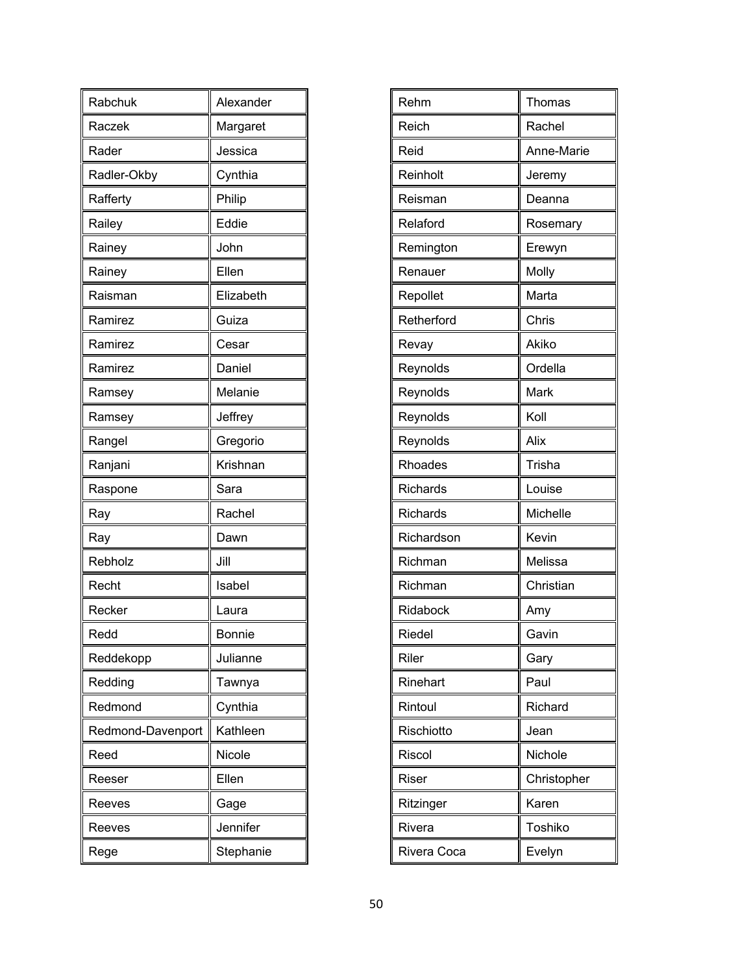| Rabchuk           | Alexander     |
|-------------------|---------------|
| Raczek            | Margaret      |
| Rader             | Jessica       |
| Radler-Okby       | Cynthia       |
| Rafferty          | Philip        |
| Railey            | Eddie         |
| Rainey            | John          |
| Rainey            | Ellen         |
| Raisman           | Elizabeth     |
| Ramirez           | Guiza         |
| Ramirez           | Cesar         |
| Ramirez           | Daniel        |
| Ramsey            | Melanie       |
| Ramsey            | Jeffrey       |
| Rangel            | Gregorio      |
| Ranjani           | Krishnan      |
| Raspone           | Sara          |
| Ray               | Rachel        |
| Ray               | Dawn          |
| Rebholz           | Jill          |
| Recht             | Isabel        |
| Recker            | Laura         |
| Redd              | <b>Bonnie</b> |
| Reddekopp         | Julianne      |
| Redding           | Tawnya        |
| Redmond           | Cynthia       |
| Redmond-Davenport | Kathleen      |
| Reed              | Nicole        |
| Reeser            | Ellen         |
| Reeves            | Gage          |
| Reeves            | Jennifer      |
| Rege              | Stephanie     |

| Rehm            | Thomas      |
|-----------------|-------------|
| Reich           | Rachel      |
| Reid            | Anne-Marie  |
| Reinholt        | Jeremy      |
| Reisman         | Deanna      |
| Relaford        | Rosemary    |
| Remington       | Erewyn      |
| Renauer         | Molly       |
| Repollet        | Marta       |
| Retherford      | Chris       |
| Revay           | Akiko       |
| Reynolds        | Ordella     |
| Reynolds        | Mark        |
| Reynolds        | Koll        |
| Reynolds        | Alix        |
| Rhoades         | Trisha      |
| <b>Richards</b> | Louise      |
| Richards        | Michelle    |
| Richardson      | Kevin       |
| Richman         | Melissa     |
| Richman         | Christian   |
| Ridabock        | Amy         |
| Riedel          | Gavin       |
| Riler           | Gary        |
| Rinehart        | Paul        |
| Rintoul         | Richard     |
| Rischiotto      | Jean        |
| Riscol          | Nichole     |
| Riser           | Christopher |
| Ritzinger       | Karen       |
| Rivera          | Toshiko     |
| Rivera Coca     | Evelyn      |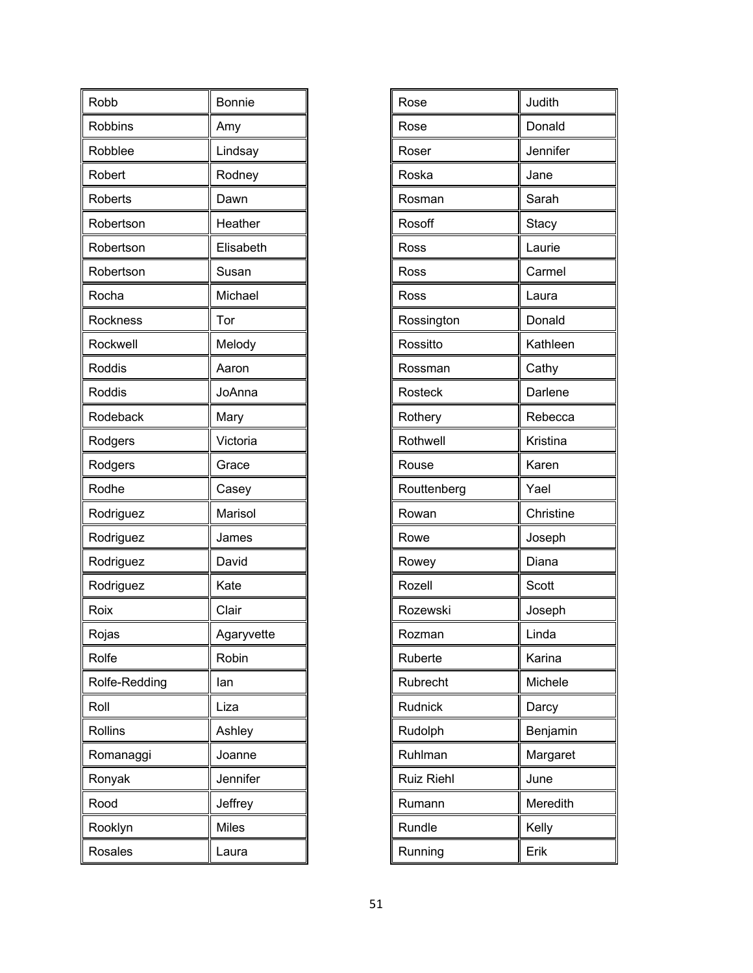| Robb          | Bonnie       |
|---------------|--------------|
| Robbins       | Amy          |
| Robblee       | Lindsay      |
| Robert        | Rodney       |
| Roberts       | Dawn         |
| Robertson     | Heather      |
| Robertson     | Elisabeth    |
| Robertson     | Susan        |
| Rocha         | Michael      |
| Rockness      | Tor          |
| Rockwell      | Melody       |
| Roddis        | Aaron        |
| Roddis        | JoAnna       |
| Rodeback      | Mary         |
| Rodgers       | Victoria     |
| Rodgers       | Grace        |
| Rodhe         | Casey        |
| Rodriguez     | Marisol      |
| Rodriguez     | James        |
| Rodriguez     | David        |
| Rodriguez     | Kate         |
| Roix          | Clair        |
| Rojas         | Agaryvette   |
| Rolfe         | Robin        |
| Rolfe-Redding | lan          |
| Roll          | Liza         |
| Rollins       | Ashley       |
| Romanaggi     | Joanne       |
| Ronyak        | Jennifer     |
| Rood          | Jeffrey      |
| Rooklyn       | <b>Miles</b> |
| Rosales       | Laura        |

| Rose              | Judith    |
|-------------------|-----------|
| Rose              | Donald    |
| Roser             | Jennifer  |
| Roska             | Jane      |
| Rosman            | Sarah     |
| Rosoff            | Stacy     |
| Ross              | Laurie    |
| Ross              | Carmel    |
| Ross              | Laura     |
| Rossington        | Donald    |
| Rossitto          | Kathleen  |
| Rossman           | Cathy     |
| Rosteck           | Darlene   |
| Rothery           | Rebecca   |
| Rothwell          | Kristina  |
| Rouse             | Karen     |
| Routtenberg       | Yael      |
| Rowan             | Christine |
| Rowe              | Joseph    |
| Rowey             | Diana     |
| Rozell            | Scott     |
| Rozewski          | Joseph    |
| Rozman            | Linda     |
| Ruberte           | Karina    |
| Rubrecht          | Michele   |
| Rudnick           | Darcy     |
| Rudolph           | Benjamin  |
| Ruhlman           | Margaret  |
| <b>Ruiz Riehl</b> | June      |
| Rumann            | Meredith  |
| Rundle            | Kelly     |
| Running           | Erik      |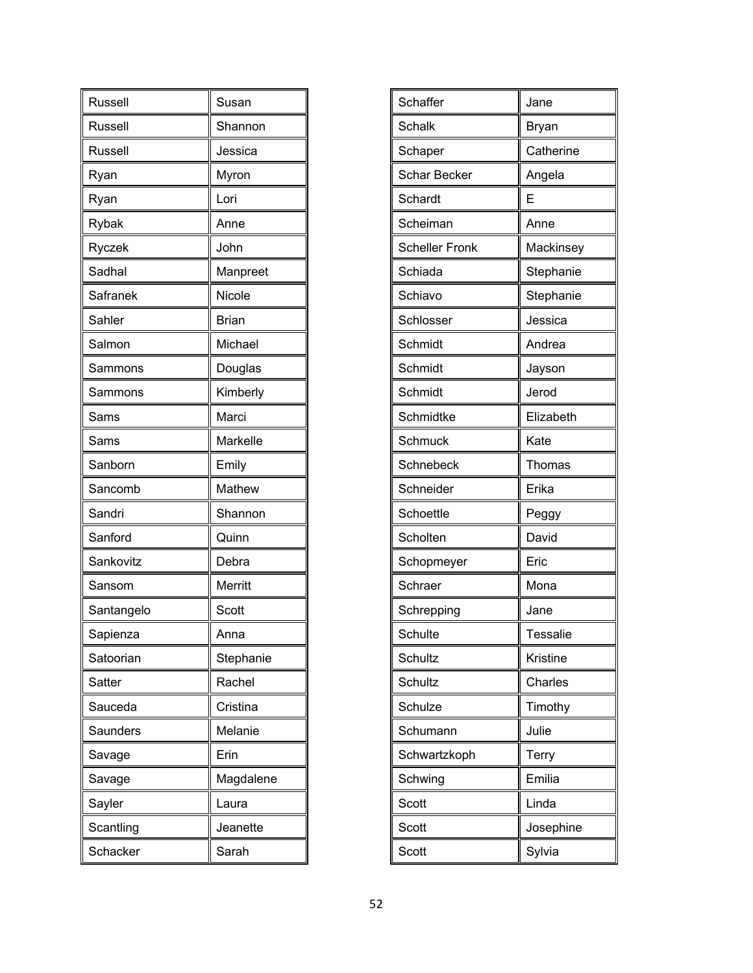| Russell    | Susan        |
|------------|--------------|
| Russell    | Shannon      |
| Russell    | Jessica      |
| Ryan       | Myron        |
| Ryan       | Lori         |
| Rybak      | Anne         |
| Ryczek     | John         |
| Sadhal     | Manpreet     |
| Safranek   | Nicole       |
| Sahler     | <b>Brian</b> |
| Salmon     | Michael      |
| Sammons    | Douglas      |
| Sammons    | Kimberly     |
| Sams       | Marci        |
| Sams       | Markelle     |
| Sanborn    | Emily        |
| Sancomb    | Mathew       |
| Sandri     | Shannon      |
| Sanford    | Quinn        |
| Sankovitz  | Debra        |
| Sansom     | Merritt      |
| Santangelo | Scott        |
| Sapienza   | Anna         |
| Satoorian  | Stephanie    |
| Satter     | Rachel       |
| Sauceda    | Cristina     |
| Saunders   | Melanie      |
| Savage     | Erin         |
| Savage     | Magdalene    |
| Sayler     | Laura        |
| Scantling  | Jeanette     |
| Schacker   | Sarah        |

| Schaffer              | Jane      |
|-----------------------|-----------|
| Schalk                | Bryan     |
| Schaper               | Catherine |
| <b>Schar Becker</b>   | Angela    |
| Schardt               | E         |
| Scheiman              | Anne      |
| <b>Scheller Fronk</b> | Mackinsey |
| Schiada               | Stephanie |
| Schiavo               | Stephanie |
| Schlosser             | Jessica   |
| Schmidt               | Andrea    |
| Schmidt               | Jayson    |
| Schmidt               | Jerod     |
| Schmidtke             | Elizabeth |
| Schmuck               | Kate      |
| Schnebeck             | Thomas    |
| Schneider             | Erika     |
| Schoettle             | Peggy     |
| Scholten              | David     |
| Schopmeyer            | Eric      |
| Schraer               | Mona      |
| Schrepping            | Jane      |
| Schulte               | Tessalie  |
| Schultz               | Kristine  |
| Schultz               | Charles   |
| Schulze               | Timothy   |
| Schumann              | Julie     |
| Schwartzkoph          | Terry     |
| Schwing               | Emilia    |
| Scott                 | Linda     |
| Scott                 | Josephine |
| Scott                 | Sylvia    |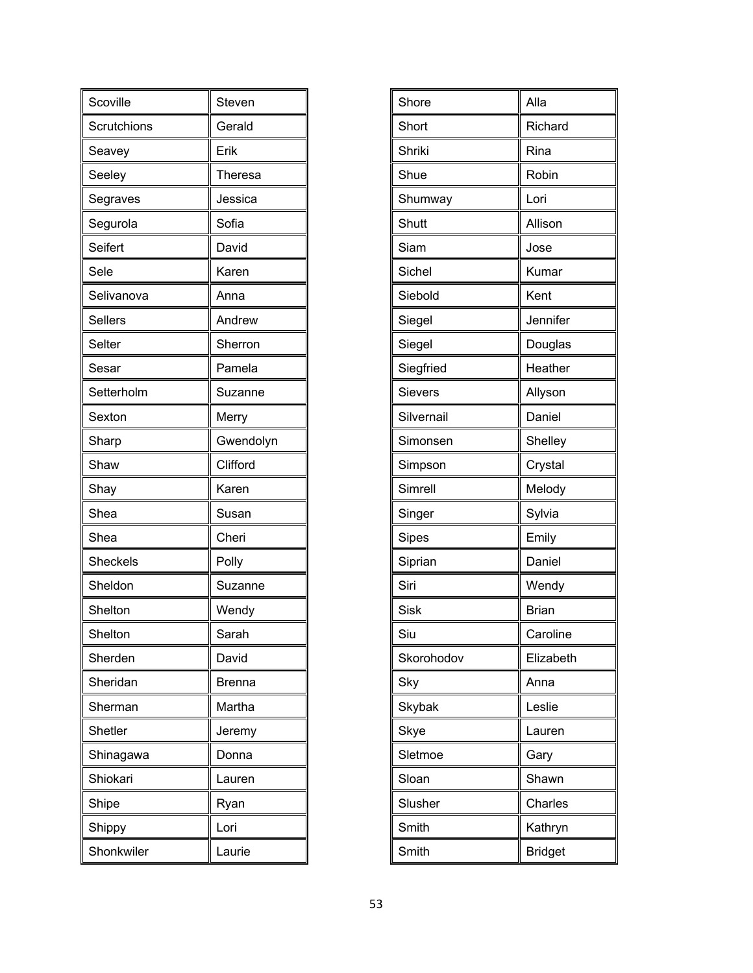| Scoville        | Steven        |
|-----------------|---------------|
| Scrutchions     | Gerald        |
| Seavey          | Erik          |
| Seeley          | Theresa       |
| Segraves        | Jessica       |
| Segurola        | Sofia         |
| Seifert         | David         |
| Sele            | Karen         |
| Selivanova      | Anna          |
| Sellers         | Andrew        |
| Selter          | Sherron       |
| Sesar           | Pamela        |
| Setterholm      | Suzanne       |
| Sexton          | Merry         |
| Sharp           | Gwendolyn     |
| Shaw            | Clifford      |
| Shay            | Karen         |
| Shea            | Susan         |
| Shea            | Cheri         |
| <b>Sheckels</b> | Polly         |
| Sheldon         | Suzanne       |
| Shelton         | Wendy         |
| Shelton         | Sarah         |
| Sherden         | David         |
| Sheridan        | <b>Brenna</b> |
| Sherman         | Martha        |
| <b>Shetler</b>  | Jeremy        |
| Shinagawa       | Donna         |
| Shiokari        | Lauren        |
| Shipe           | Ryan          |
| Shippy          | Lori          |
| Shonkwiler      | Laurie        |

| Shore       | Alla           |
|-------------|----------------|
| Short       | Richard        |
| Shriki      | Rina           |
| Shue        | Robin          |
| Shumway     | Lori           |
| Shutt       | Allison        |
| Siam        | Jose           |
| Sichel      | Kumar          |
| Siebold     | Kent           |
| Siegel      | Jennifer       |
| Siegel      | Douglas        |
| Siegfried   | Heather        |
| Sievers     | Allyson        |
| Silvernail  | Daniel         |
| Simonsen    | Shelley        |
| Simpson     | Crystal        |
| Simrell     | Melody         |
| Singer      | Sylvia         |
| Sipes       | Emily          |
| Siprian     | Daniel         |
| Siri        | Wendy          |
| <b>Sisk</b> | <b>Brian</b>   |
| Siu         | Caroline       |
| Skorohodov  | Elizabeth      |
| Sky         | Anna           |
| Skybak      | Leslie         |
| Skye        | Lauren         |
| Sletmoe     | Gary           |
| Sloan       | Shawn          |
| Slusher     | Charles        |
| Smith       | Kathryn        |
| Smith       | <b>Bridget</b> |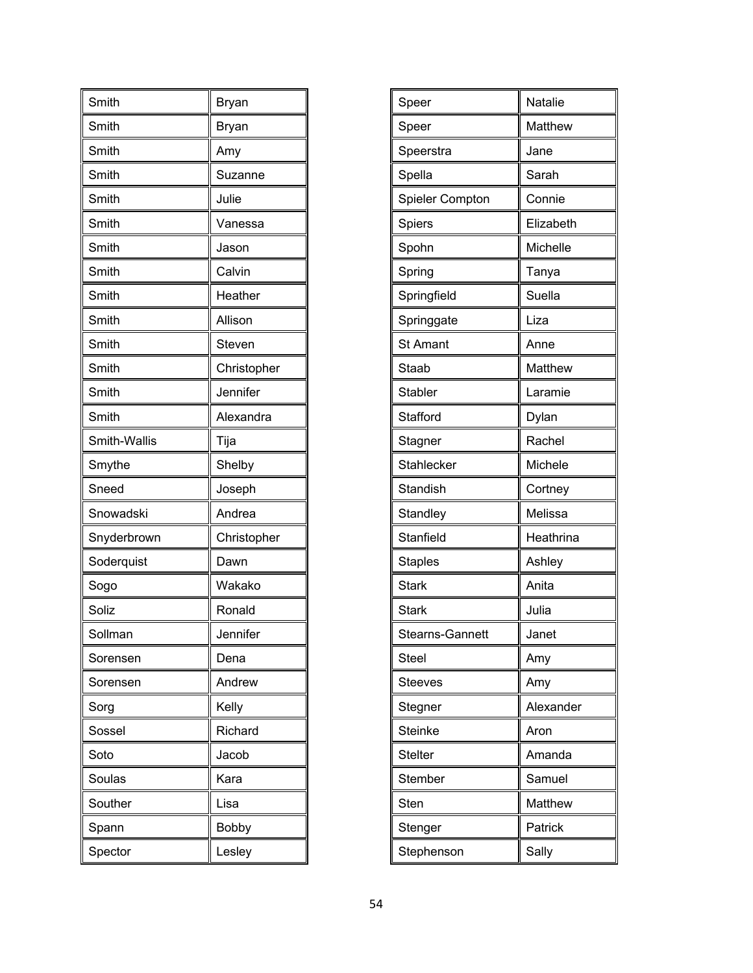| Smith        | Bryan        |
|--------------|--------------|
| Smith        | Bryan        |
| Smith        | Amy          |
| Smith        | Suzanne      |
| Smith        | Julie        |
| Smith        | Vanessa      |
| Smith        | Jason        |
| Smith        | Calvin       |
| Smith        | Heather      |
| Smith        | Allison      |
| Smith        | Steven       |
| Smith        | Christopher  |
| Smith        | Jennifer     |
| Smith        | Alexandra    |
| Smith-Wallis | Tija         |
| Smythe       | Shelby       |
| Sneed        | Joseph       |
| Snowadski    | Andrea       |
| Snyderbrown  | Christopher  |
| Soderquist   | Dawn         |
| Sogo         | Wakako       |
| Soliz        | Ronald       |
| Sollman      | Jennifer     |
| Sorensen     | Dena         |
| Sorensen     | Andrew       |
| Sorg         | Kelly        |
| Sossel       | Richard      |
| Soto         | Jacob        |
| Soulas       | Kara         |
| Souther      | Lisa         |
| Spann        | <b>Bobby</b> |
| Spector      | Lesley       |

| <b>Natalie</b> |
|----------------|
| Matthew        |
| Jane           |
| Sarah          |
| Connie         |
| Elizabeth      |
| Michelle       |
| Tanya          |
| Suella         |
| Liza           |
| Anne           |
| Matthew        |
| Laramie        |
| Dylan          |
| Rachel         |
| Michele        |
| Cortney        |
| Melissa        |
| Heathrina      |
| Ashley         |
| Anita          |
| Julia          |
| Janet          |
| Amy            |
| Amy            |
| Alexander      |
| Aron           |
| Amanda         |
| Samuel         |
| Matthew        |
| Patrick        |
| Sally          |
|                |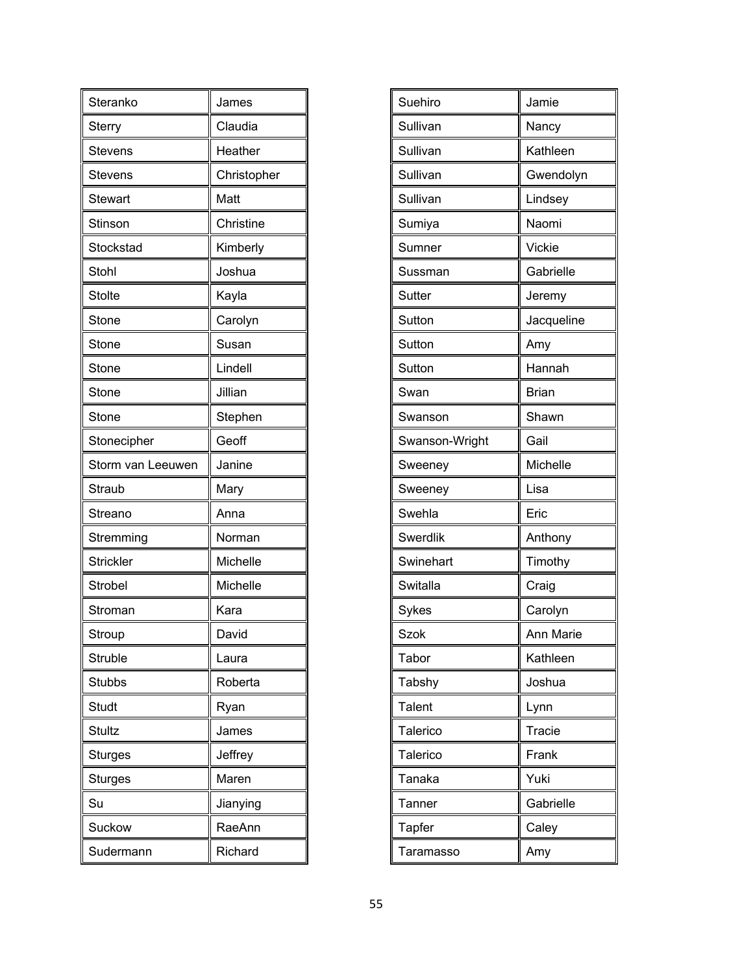| Steranko          | James       |
|-------------------|-------------|
| <b>Sterry</b>     | Claudia     |
| Stevens           | Heather     |
| <b>Stevens</b>    | Christopher |
| Stewart           | Matt        |
| Stinson           | Christine   |
| Stockstad         | Kimberly    |
| Stohl             | Joshua      |
| <b>Stolte</b>     | Kayla       |
| Stone             | Carolyn     |
| Stone             | Susan       |
| Stone             | Lindell     |
| Stone             | Jillian     |
| Stone             | Stephen     |
| Stonecipher       | Geoff       |
| Storm van Leeuwen | Janine      |
| Straub            | Mary        |
| Streano           | Anna        |
| Stremming         | Norman      |
| Strickler         | Michelle    |
| Strobel           | Michelle    |
| Stroman           | Kara        |
| Stroup            | David       |
| Struble           | Laura       |
| Stubbs            | Roberta     |
| Studt             | Ryan        |
| <b>Stultz</b>     | James       |
| <b>Sturges</b>    | Jeffrey     |
| <b>Sturges</b>    | Maren       |
| Su                | Jianying    |
| Suckow            | RaeAnn      |
| Sudermann         | Richard     |

| Suehiro        | Jamie        |
|----------------|--------------|
| Sullivan       | Nancy        |
| Sullivan       | Kathleen     |
| Sullivan       | Gwendolyn    |
| Sullivan       | Lindsey      |
| Sumiya         | Naomi        |
| Sumner         | Vickie       |
| Sussman        | Gabrielle    |
| <b>Sutter</b>  | Jeremy       |
| Sutton         | Jacqueline   |
| Sutton         | Amy          |
| Sutton         | Hannah       |
| Swan           | <b>Brian</b> |
| Swanson        | Shawn        |
| Swanson-Wright | Gail         |
| Sweeney        | Michelle     |
| Sweeney        | Lisa         |
| Swehla         | Eric         |
| Swerdlik       | Anthony      |
| Swinehart      | Timothy      |
| Switalla       | Craig        |
| Sykes          | Carolyn      |
| Szok           | Ann Marie    |
| Tabor          | Kathleen     |
| Tabshy         | Joshua       |
| <b>Talent</b>  | Lynn         |
| Talerico       | Tracie       |
| Talerico       | Frank        |
| Tanaka         | Yuki         |
| Tanner         | Gabrielle    |
| <b>Tapfer</b>  | Caley        |
| Taramasso      | Amy          |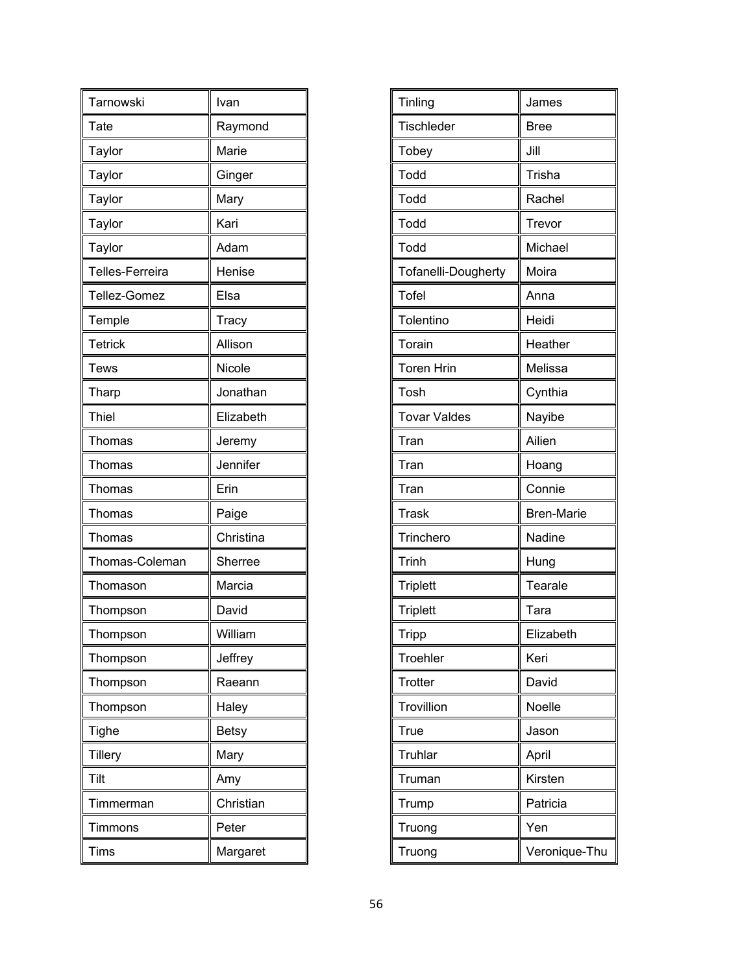| Tarnowski       | Ivan         |
|-----------------|--------------|
| Tate            | Raymond      |
| Taylor          | Marie        |
| Taylor          | Ginger       |
| Taylor          | Mary         |
| Taylor          | Kari         |
| Taylor          | Adam         |
| Telles-Ferreira | Henise       |
| Tellez-Gomez    | Elsa         |
| Temple          | <b>Tracy</b> |
| <b>Tetrick</b>  | Allison      |
| Tews            | Nicole       |
| Tharp           | Jonathan     |
| Thiel           | Elizabeth    |
| Thomas          | Jeremy       |
| Thomas          | Jennifer     |
| Thomas          | Erin         |
| Thomas          | Paige        |
| Thomas          | Christina    |
| Thomas-Coleman  | Sherree      |
| Thomason        | Marcia       |
| Thompson        | David        |
| Thompson        | William      |
| Thompson        | Jeffrey      |
| Thompson        | Raeann       |
| Thompson        | Haley        |
| Tighe           | <b>Betsy</b> |
| <b>Tillery</b>  | Mary         |
| Tilt            | Amy          |
| Timmerman       | Christian    |
| Timmons         | Peter        |
| Tims            | Margaret     |

| Tinling             | James             |
|---------------------|-------------------|
| <b>Tischleder</b>   | <b>Bree</b>       |
| Tobey               | Jill              |
| Todd                | Trisha            |
| Todd                | Rachel            |
| Todd                | Trevor            |
| Todd                | Michael           |
| Tofanelli-Dougherty | Moira             |
| <b>Tofel</b>        | Anna              |
| Tolentino           | Heidi             |
| Torain              | Heather           |
| <b>Toren Hrin</b>   | Melissa           |
| Tosh                | Cynthia           |
| <b>Tovar Valdes</b> | Nayibe            |
| Tran                | Ailien            |
| Tran                | Hoang             |
| Tran                | Connie            |
| <b>Trask</b>        | <b>Bren-Marie</b> |
| Trinchero           | Nadine            |
| <b>Trinh</b>        | Hung              |
| <b>Triplett</b>     | Tearale           |
| <b>Triplett</b>     | Tara              |
| <b>Tripp</b>        | Elizabeth         |
| Troehler            | Keri              |
| <b>Trotter</b>      | David             |
| Trovillion          | Noelle            |
| True                | Jason             |
| Truhlar             | April             |
| Truman              | Kirsten           |
| Trump               | Patricia          |
| Truong              | Yen               |
| Truong              | Veronique-Thu     |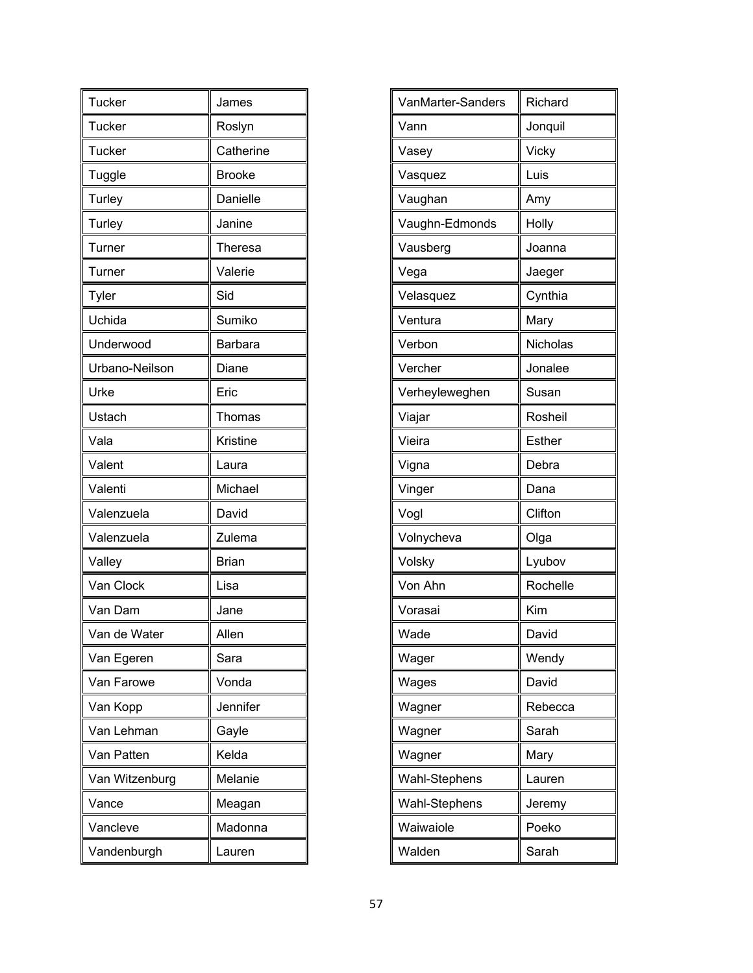| <b>Tucker</b>  | James          |
|----------------|----------------|
| <b>Tucker</b>  | Roslyn         |
| <b>Tucker</b>  | Catherine      |
| Tuggle         | <b>Brooke</b>  |
| Turley         | Danielle       |
| <b>Turley</b>  | Janine         |
| Turner         | Theresa        |
| Turner         | Valerie        |
| Tyler          | Sid            |
| Uchida         | Sumiko         |
| Underwood      | <b>Barbara</b> |
| Urbano-Neilson | Diane          |
| Urke           | Eric           |
| Ustach         | Thomas         |
| Vala           | Kristine       |
| Valent         | Laura          |
| Valenti        | Michael        |
| Valenzuela     | David          |
| Valenzuela     | Zulema         |
| Valley         | <b>Brian</b>   |
| Van Clock      | Lisa           |
| Van Dam        | Jane           |
| Van de Water   | Allen          |
| Van Egeren     | Sara           |
| Van Farowe     | Vonda          |
| Van Kopp       | Jennifer       |
| Van Lehman     | Gayle          |
| Van Patten     | Kelda          |
| Van Witzenburg | Melanie        |
| Vance          | Meagan         |
| Vancleve       | Madonna        |
| Vandenburgh    | Lauren         |

| VanMarter-Sanders | Richard  |
|-------------------|----------|
| Vann              | Jonquil  |
| Vasey             | Vicky    |
| Vasquez           | Luis     |
| Vaughan           | Amy      |
| Vaughn-Edmonds    | Holly    |
| Vausberg          | Joanna   |
| Vega              | Jaeger   |
| Velasquez         | Cynthia  |
| Ventura           | Mary     |
| Verbon            | Nicholas |
| Vercher           | Jonalee  |
| Verheyleweghen    | Susan    |
| Viajar            | Rosheil  |
| Vieira            | Esther   |
| Vigna             | Debra    |
| Vinger            | Dana     |
| Vogl              | Clifton  |
| Volnycheva        | Olga     |
| Volsky            | Lyubov   |
| Von Ahn           | Rochelle |
| Vorasai           | Kim      |
| Wade              | David    |
| Wager             | Wendy    |
| Wages             | David    |
| Wagner            | Rebecca  |
| Wagner            | Sarah    |
| Wagner            | Mary     |
| Wahl-Stephens     | Lauren   |
| Wahl-Stephens     | Jeremy   |
| Waiwaiole         | Poeko    |
| Walden            | Sarah    |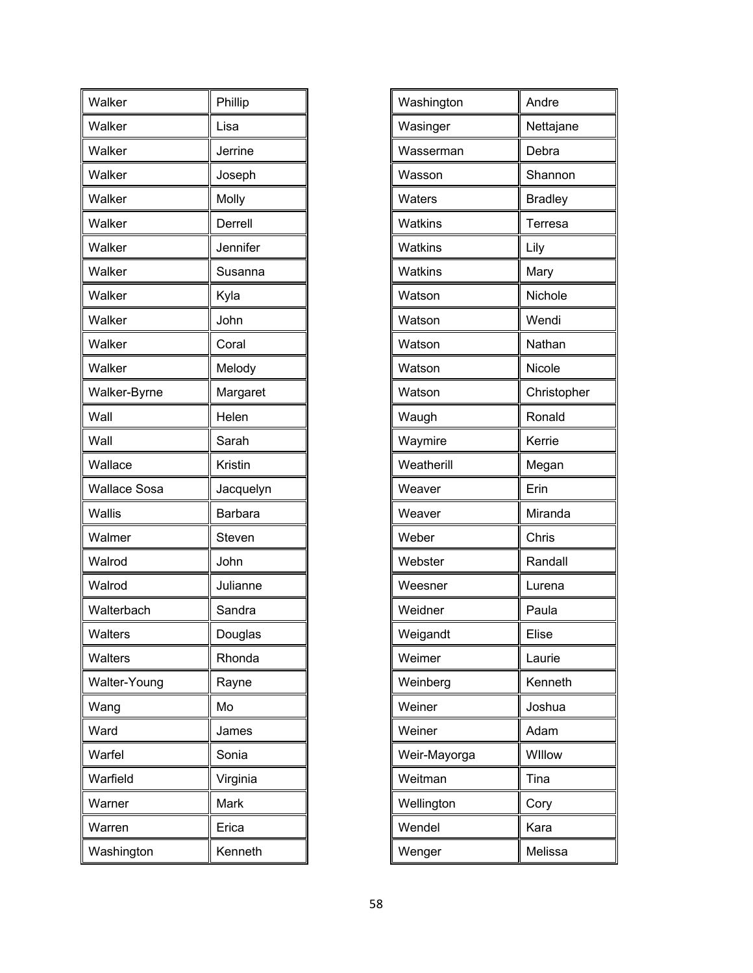| Walker              | Phillip        |
|---------------------|----------------|
| Walker              | Lisa           |
| Walker              | Jerrine        |
| Walker              | Joseph         |
| Walker              | Molly          |
| Walker              | Derrell        |
| Walker              | Jennifer       |
| Walker              | Susanna        |
| Walker              | Kyla           |
| Walker              | John           |
| Walker              | Coral          |
| Walker              | Melody         |
| Walker-Byrne        | Margaret       |
| Wall                | Helen          |
| Wall                | Sarah          |
| Wallace             | Kristin        |
| <b>Wallace Sosa</b> | Jacquelyn      |
| Wallis              | <b>Barbara</b> |
| Walmer              | Steven         |
| Walrod              | John           |
| Walrod              | Julianne       |
| Walterbach          | Sandra         |
| Walters             | Douglas        |
| Walters             | Rhonda         |
| Walter-Young        | Rayne          |
| Wang                | Mo             |
| Ward                | James          |
| Warfel              | Sonia          |
| Warfield            | Virginia       |
| Warner              | Mark           |
| Warren              | Erica          |
| Washington          | Kenneth        |

| Washington   | Andre          |
|--------------|----------------|
| Wasinger     | Nettajane      |
| Wasserman    | Debra          |
| Wasson       | Shannon        |
| Waters       | <b>Bradley</b> |
| Watkins      | Terresa        |
| Watkins      | Lily           |
| Watkins      | Mary           |
| Watson       | Nichole        |
| Watson       | Wendi          |
| Watson       | Nathan         |
| Watson       | Nicole         |
| Watson       | Christopher    |
| Waugh        | Ronald         |
| Waymire      | Kerrie         |
| Weatherill   | Megan          |
| Weaver       | Erin           |
| Weaver       | Miranda        |
| Weber        | Chris          |
| Webster      | Randall        |
| Weesner      | Lurena         |
| Weidner      | Paula          |
| Weigandt     | Elise          |
| Weimer       | Laurie         |
| Weinberg     | Kenneth        |
| Weiner       | Joshua         |
| Weiner       | Adam           |
| Weir-Mayorga | Willow         |
| Weitman      | Tina           |
| Wellington   | Cory           |
| Wendel       | Kara           |
| Wenger       | Melissa        |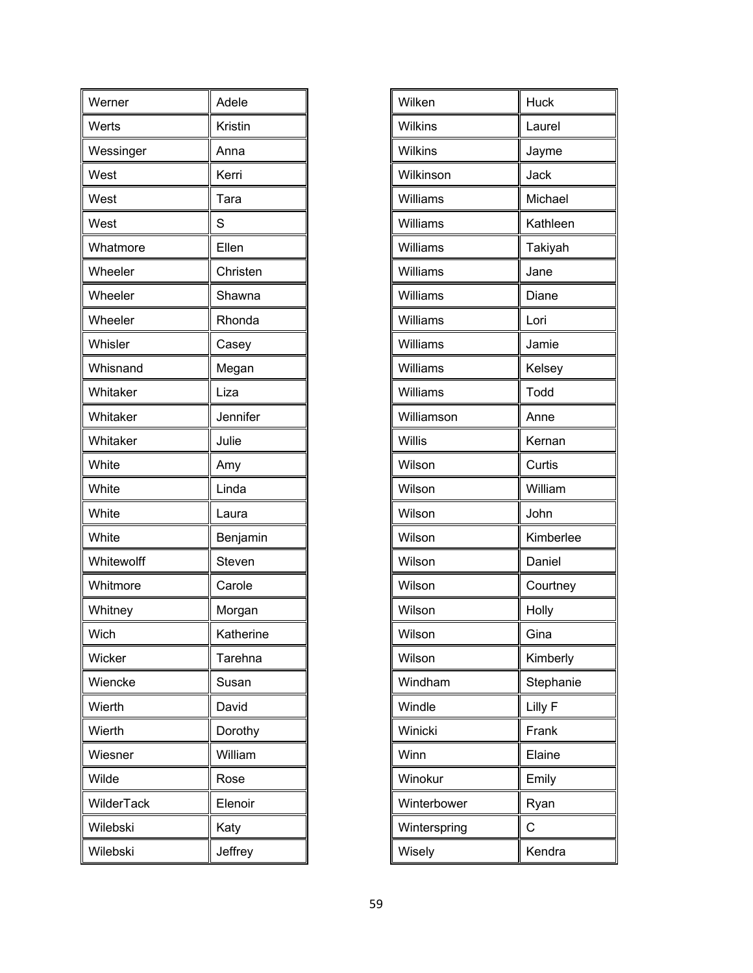| Werner     | Adele     |
|------------|-----------|
| Werts      | Kristin   |
| Wessinger  | Anna      |
| West       | Kerri     |
| West       | Tara      |
| West       | S         |
| Whatmore   | Ellen     |
| Wheeler    | Christen  |
| Wheeler    | Shawna    |
| Wheeler    | Rhonda    |
| Whisler    | Casey     |
| Whisnand   | Megan     |
| Whitaker   | Liza      |
| Whitaker   | Jennifer  |
| Whitaker   | Julie     |
| White      | Amy       |
| White      | Linda     |
| White      | Laura     |
| White      | Benjamin  |
| Whitewolff | Steven    |
| Whitmore   | Carole    |
| Whitney    | Morgan    |
| Wich       | Katherine |
| Wicker     | Tarehna   |
| Wiencke    | Susan     |
| Wierth     | David     |
| Wierth     | Dorothy   |
| Wiesner    | William   |
| Wilde      | Rose      |
| WilderTack | Elenoir   |
| Wilebski   | Katy      |
| Wilebski   | Jeffrey   |

| Wilken       | <b>Huck</b> |
|--------------|-------------|
| Wilkins      | Laurel      |
| Wilkins      | Jayme       |
| Wilkinson    | Jack        |
| Williams     | Michael     |
| Williams     | Kathleen    |
| Williams     | Takiyah     |
| Williams     | Jane        |
| Williams     | Diane       |
| Williams     | Lori        |
| Williams     | Jamie       |
| Williams     | Kelsey      |
| Williams     | Todd        |
| Williamson   | Anne        |
| Willis       | Kernan      |
| Wilson       | Curtis      |
| Wilson       | William     |
| Wilson       | John        |
| Wilson       | Kimberlee   |
| Wilson       | Daniel      |
| Wilson       | Courtney    |
| Wilson       | Holly       |
| Wilson       | Gina        |
| Wilson       | Kimberly    |
| Windham      | Stephanie   |
| Windle       | Lilly F     |
| Winicki      | Frank       |
| Winn         | Elaine      |
| Winokur      | Emily       |
| Winterbower  | Ryan        |
| Winterspring | Ċ           |
| Wisely       | Kendra      |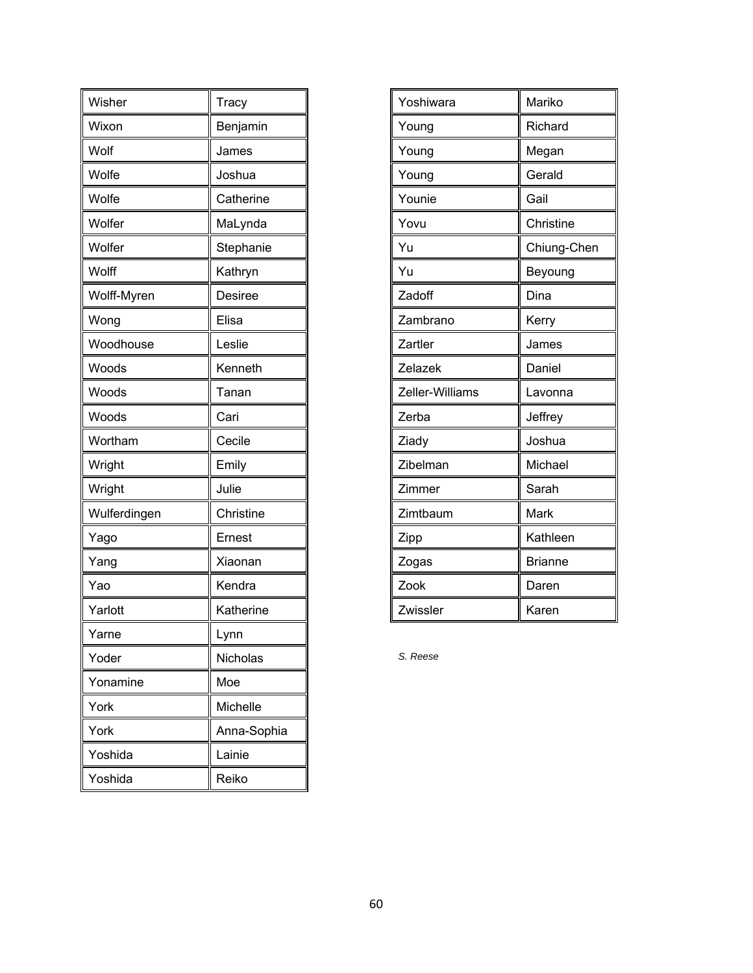| Wisher       | Tracy       |  |
|--------------|-------------|--|
| Wixon        | Benjamin    |  |
| Wolf         | James       |  |
| Wolfe        | Joshua      |  |
| Wolfe        | Catherine   |  |
| Wolfer       | MaLynda     |  |
| Wolfer       | Stephanie   |  |
| Wolff        | Kathryn     |  |
| Wolff-Myren  | Desiree     |  |
| Wong         | Elisa       |  |
| Woodhouse    | Leslie      |  |
| Woods        | Kenneth     |  |
| Woods        | Tanan       |  |
| Woods        | Cari        |  |
| Wortham      | Cecile      |  |
| Wright       | Emily       |  |
| Wright       | Julie       |  |
| Wulferdingen | Christine   |  |
| Yago         | Ernest      |  |
| Yang         | Xiaonan     |  |
| Yao          | Kendra      |  |
| Yarlott      | Katherine   |  |
| Yarne        | Lynn        |  |
| Yoder        | Nicholas    |  |
| Yonamine     | Moe         |  |
| York         | Michelle    |  |
| York         | Anna-Sophia |  |
| Yoshida      | Lainie      |  |
| Yoshida      | Reiko       |  |

| Yoshiwara       | Mariko         |  |
|-----------------|----------------|--|
| Young           | Richard        |  |
| Young           | Megan          |  |
| Young           | Gerald         |  |
| Younie          | Gail           |  |
| Yovu            | Christine      |  |
| Yu              | Chiung-Chen    |  |
| Yu              | Beyoung        |  |
| Zadoff          | Dina           |  |
| Zambrano        | Kerry          |  |
| Zartler         | James          |  |
| Zelazek         | Daniel         |  |
| Zeller-Williams | Lavonna        |  |
| Zerba           | Jeffrey        |  |
| Ziady           | Joshua         |  |
| Zibelman        | Michael        |  |
| Zimmer          | Sarah          |  |
| Zimtbaum        | Mark           |  |
| Zipp            | Kathleen       |  |
| Zogas           | <b>Brianne</b> |  |
| Zook            | Daren          |  |
| Zwissler        | Karen          |  |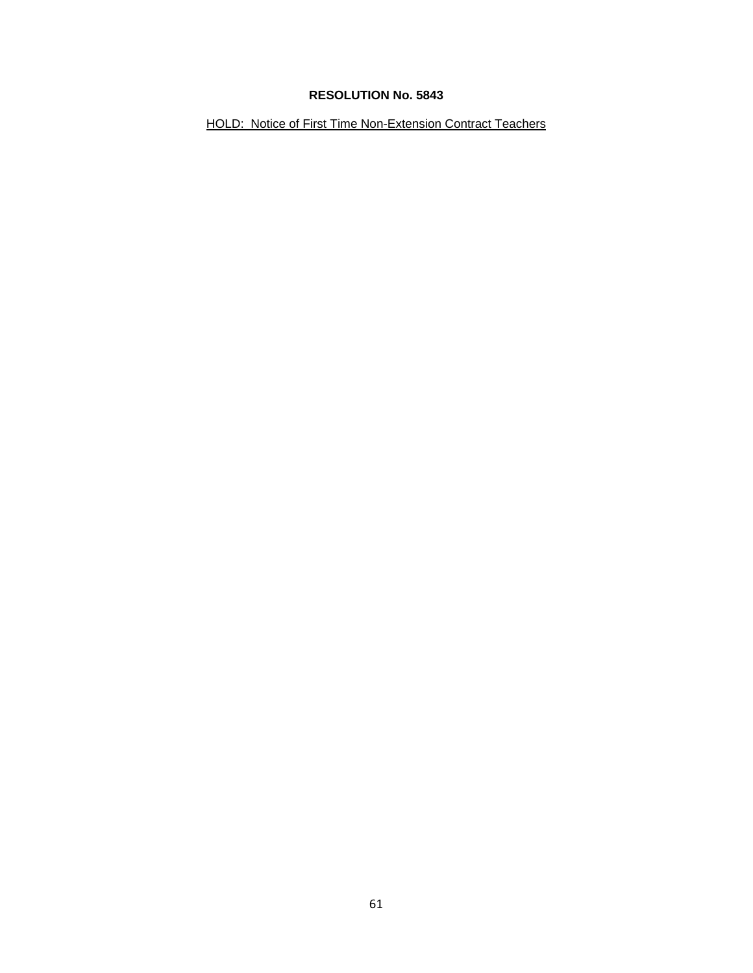HOLD: Notice of First Time Non-Extension Contract Teachers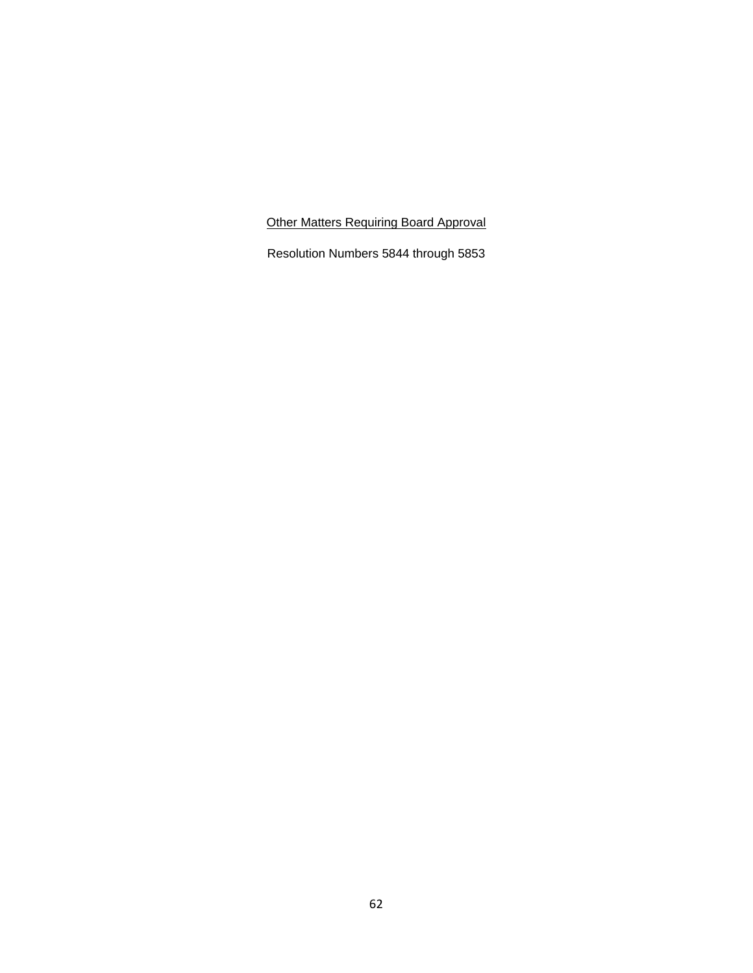Other Matters Requiring Board Approval

Resolution Numbers 5844 through 5853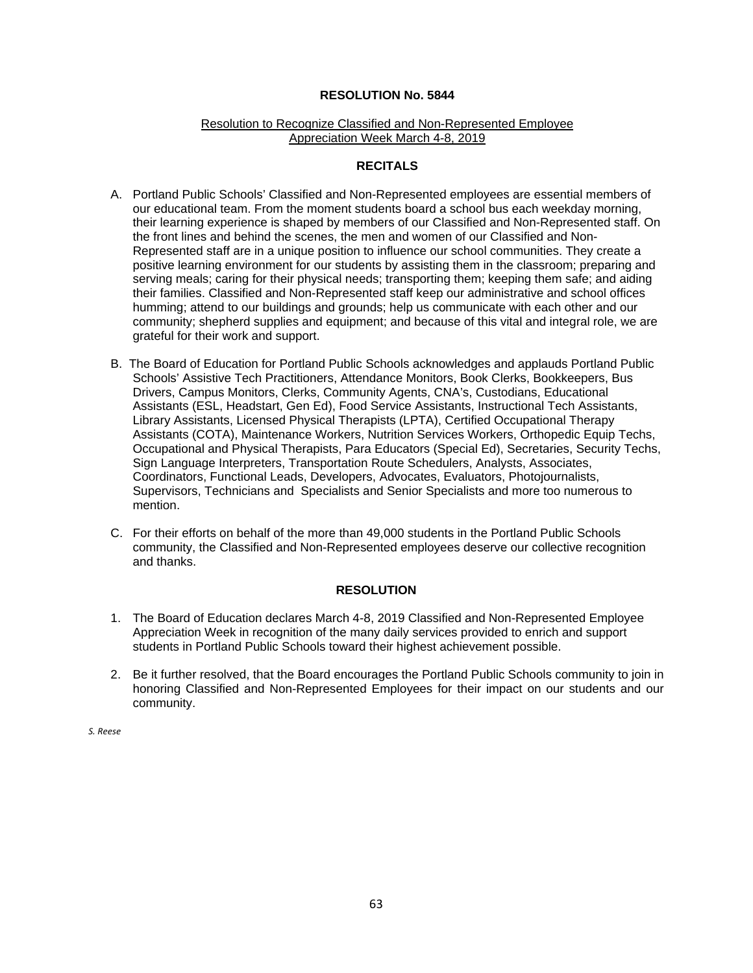#### Resolution to Recognize Classified and Non-Represented Employee Appreciation Week March 4-8, 2019

#### **RECITALS**

- A. Portland Public Schools' Classified and Non-Represented employees are essential members of our educational team. From the moment students board a school bus each weekday morning, their learning experience is shaped by members of our Classified and Non-Represented staff. On the front lines and behind the scenes, the men and women of our Classified and Non-Represented staff are in a unique position to influence our school communities. They create a positive learning environment for our students by assisting them in the classroom; preparing and serving meals; caring for their physical needs; transporting them; keeping them safe; and aiding their families. Classified and Non-Represented staff keep our administrative and school offices humming; attend to our buildings and grounds; help us communicate with each other and our community; shepherd supplies and equipment; and because of this vital and integral role, we are grateful for their work and support.
- B. The Board of Education for Portland Public Schools acknowledges and applauds Portland Public Schools' Assistive Tech Practitioners, Attendance Monitors, Book Clerks, Bookkeepers, Bus Drivers, Campus Monitors, Clerks, Community Agents, CNA's, Custodians, Educational Assistants (ESL, Headstart, Gen Ed), Food Service Assistants, Instructional Tech Assistants, Library Assistants, Licensed Physical Therapists (LPTA), Certified Occupational Therapy Assistants (COTA), Maintenance Workers, Nutrition Services Workers, Orthopedic Equip Techs, Occupational and Physical Therapists, Para Educators (Special Ed), Secretaries, Security Techs, Sign Language Interpreters, Transportation Route Schedulers, Analysts, Associates, Coordinators, Functional Leads, Developers, Advocates, Evaluators, Photojournalists, Supervisors, Technicians and Specialists and Senior Specialists and more too numerous to mention.
- C. For their efforts on behalf of the more than 49,000 students in the Portland Public Schools community, the Classified and Non-Represented employees deserve our collective recognition and thanks.

#### **RESOLUTION**

- 1. The Board of Education declares March 4-8, 2019 Classified and Non-Represented Employee Appreciation Week in recognition of the many daily services provided to enrich and support students in Portland Public Schools toward their highest achievement possible.
- 2. Be it further resolved, that the Board encourages the Portland Public Schools community to join in honoring Classified and Non-Represented Employees for their impact on our students and our community.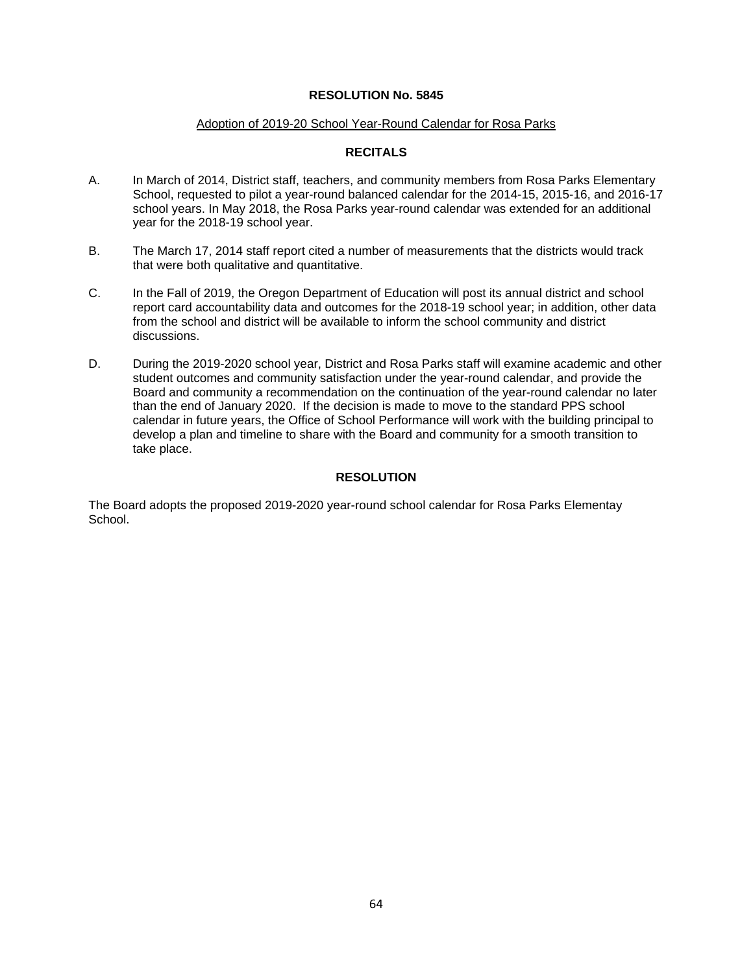#### Adoption of 2019-20 School Year-Round Calendar for Rosa Parks

### **RECITALS**

- A. In March of 2014, District staff, teachers, and community members from Rosa Parks Elementary School, requested to pilot a year-round balanced calendar for the 2014-15, 2015-16, and 2016-17 school years. In May 2018, the Rosa Parks year-round calendar was extended for an additional year for the 2018-19 school year.
- B. The March 17, 2014 staff report cited a number of measurements that the districts would track that were both qualitative and quantitative.
- C. In the Fall of 2019, the Oregon Department of Education will post its annual district and school report card accountability data and outcomes for the 2018-19 school year; in addition, other data from the school and district will be available to inform the school community and district discussions.
- D. During the 2019-2020 school year, District and Rosa Parks staff will examine academic and other student outcomes and community satisfaction under the year-round calendar, and provide the Board and community a recommendation on the continuation of the year-round calendar no later than the end of January 2020. If the decision is made to move to the standard PPS school calendar in future years, the Office of School Performance will work with the building principal to develop a plan and timeline to share with the Board and community for a smooth transition to take place.

### **RESOLUTION**

The Board adopts the proposed 2019-2020 year-round school calendar for Rosa Parks Elementay School.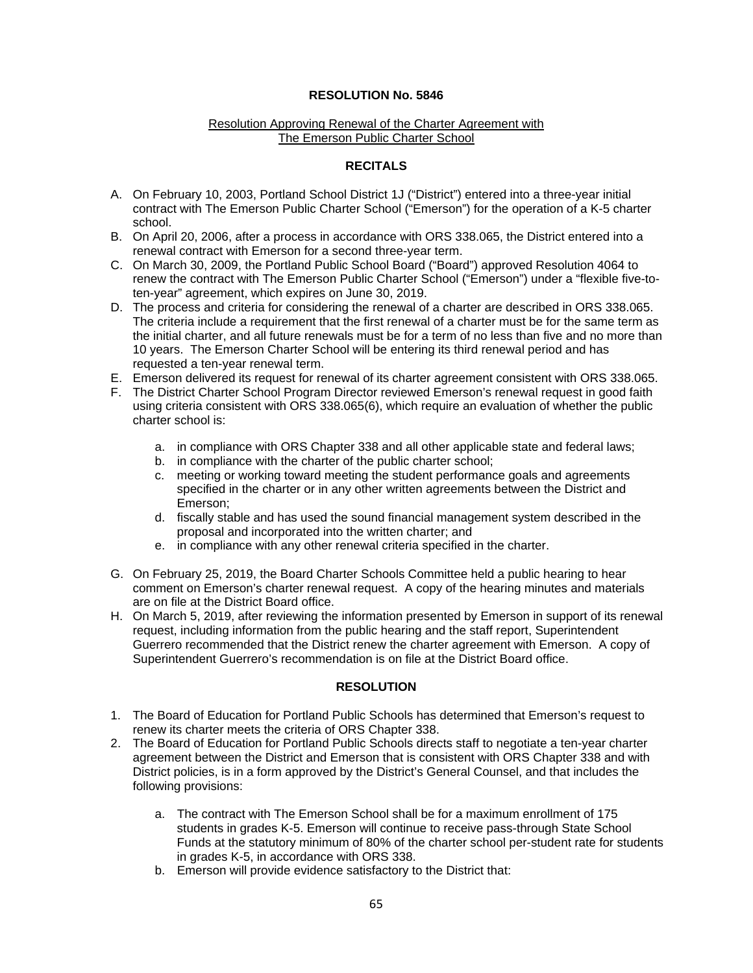#### Resolution Approving Renewal of the Charter Agreement with The Emerson Public Charter School

### **RECITALS**

- A. On February 10, 2003, Portland School District 1J ("District") entered into a three-year initial contract with The Emerson Public Charter School ("Emerson") for the operation of a K-5 charter school.
- B. On April 20, 2006, after a process in accordance with ORS 338.065, the District entered into a renewal contract with Emerson for a second three-year term.
- C. On March 30, 2009, the Portland Public School Board ("Board") approved Resolution 4064 to renew the contract with The Emerson Public Charter School ("Emerson") under a "flexible five-toten-year" agreement, which expires on June 30, 2019.
- D. The process and criteria for considering the renewal of a charter are described in ORS 338.065. The criteria include a requirement that the first renewal of a charter must be for the same term as the initial charter, and all future renewals must be for a term of no less than five and no more than 10 years. The Emerson Charter School will be entering its third renewal period and has requested a ten-year renewal term.
- E. Emerson delivered its request for renewal of its charter agreement consistent with ORS 338.065.
- F. The District Charter School Program Director reviewed Emerson's renewal request in good faith using criteria consistent with ORS 338.065(6), which require an evaluation of whether the public charter school is:
	- a. in compliance with ORS Chapter 338 and all other applicable state and federal laws;
	- b. in compliance with the charter of the public charter school;
	- c. meeting or working toward meeting the student performance goals and agreements specified in the charter or in any other written agreements between the District and Emerson;
	- d. fiscally stable and has used the sound financial management system described in the proposal and incorporated into the written charter; and
	- e. in compliance with any other renewal criteria specified in the charter.
- G. On February 25, 2019, the Board Charter Schools Committee held a public hearing to hear comment on Emerson's charter renewal request. A copy of the hearing minutes and materials are on file at the District Board office.
- H. On March 5, 2019, after reviewing the information presented by Emerson in support of its renewal request, including information from the public hearing and the staff report, Superintendent Guerrero recommended that the District renew the charter agreement with Emerson. A copy of Superintendent Guerrero's recommendation is on file at the District Board office.

### **RESOLUTION**

- 1. The Board of Education for Portland Public Schools has determined that Emerson's request to renew its charter meets the criteria of ORS Chapter 338.
- 2. The Board of Education for Portland Public Schools directs staff to negotiate a ten-year charter agreement between the District and Emerson that is consistent with ORS Chapter 338 and with District policies, is in a form approved by the District's General Counsel, and that includes the following provisions:
	- a. The contract with The Emerson School shall be for a maximum enrollment of 175 students in grades K-5. Emerson will continue to receive pass-through State School Funds at the statutory minimum of 80% of the charter school per-student rate for students in grades K-5, in accordance with ORS 338.
	- b. Emerson will provide evidence satisfactory to the District that: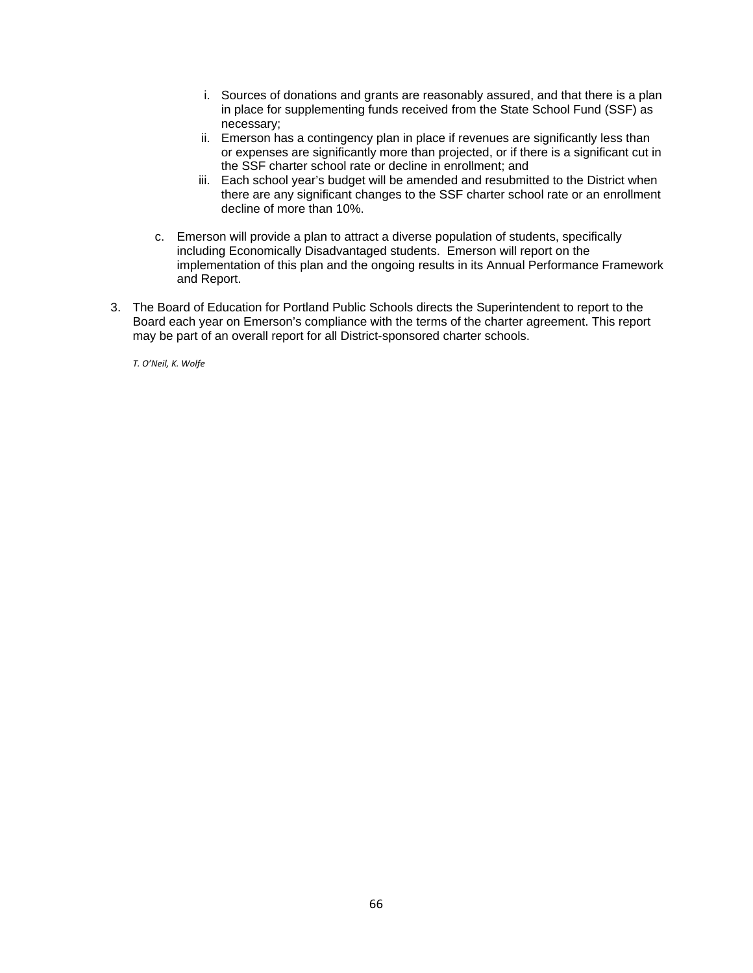- i. Sources of donations and grants are reasonably assured, and that there is a plan in place for supplementing funds received from the State School Fund (SSF) as necessary;
- ii. Emerson has a contingency plan in place if revenues are significantly less than or expenses are significantly more than projected, or if there is a significant cut in the SSF charter school rate or decline in enrollment; and
- iii. Each school year's budget will be amended and resubmitted to the District when there are any significant changes to the SSF charter school rate or an enrollment decline of more than 10%.
- c. Emerson will provide a plan to attract a diverse population of students, specifically including Economically Disadvantaged students. Emerson will report on the implementation of this plan and the ongoing results in its Annual Performance Framework and Report.
- 3. The Board of Education for Portland Public Schools directs the Superintendent to report to the Board each year on Emerson's compliance with the terms of the charter agreement. This report may be part of an overall report for all District-sponsored charter schools.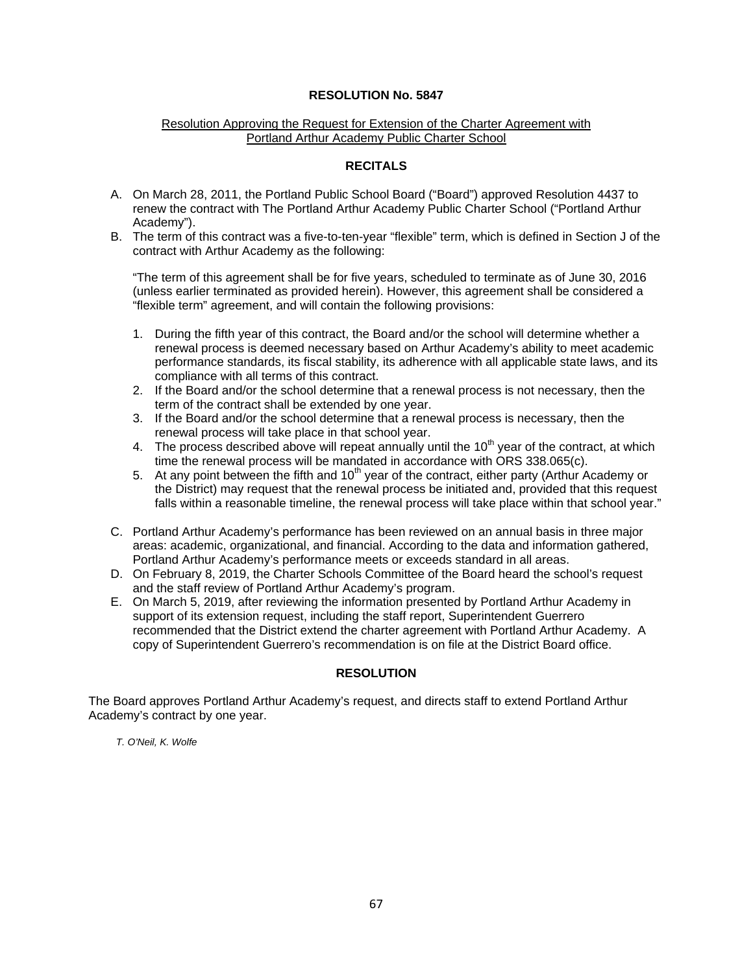#### Resolution Approving the Request for Extension of the Charter Agreement with Portland Arthur Academy Public Charter School

### **RECITALS**

- A. On March 28, 2011, the Portland Public School Board ("Board") approved Resolution 4437 to renew the contract with The Portland Arthur Academy Public Charter School ("Portland Arthur Academy").
- B. The term of this contract was a five-to-ten-year "flexible" term, which is defined in Section J of the contract with Arthur Academy as the following:

"The term of this agreement shall be for five years, scheduled to terminate as of June 30, 2016 (unless earlier terminated as provided herein). However, this agreement shall be considered a "flexible term" agreement, and will contain the following provisions:

- 1. During the fifth year of this contract, the Board and/or the school will determine whether a renewal process is deemed necessary based on Arthur Academy's ability to meet academic performance standards, its fiscal stability, its adherence with all applicable state laws, and its compliance with all terms of this contract.
- 2. If the Board and/or the school determine that a renewal process is not necessary, then the term of the contract shall be extended by one year.
- 3. If the Board and/or the school determine that a renewal process is necessary, then the renewal process will take place in that school year.
- 4. The process described above will repeat annually until the 10<sup>th</sup> year of the contract, at which time the renewal process will be mandated in accordance with ORS 338.065(c).
- 5. At any point between the fifth and  $10<sup>th</sup>$  year of the contract, either party (Arthur Academy or the District) may request that the renewal process be initiated and, provided that this request falls within a reasonable timeline, the renewal process will take place within that school year."
- C. Portland Arthur Academy's performance has been reviewed on an annual basis in three major areas: academic, organizational, and financial. According to the data and information gathered, Portland Arthur Academy's performance meets or exceeds standard in all areas.
- D. On February 8, 2019, the Charter Schools Committee of the Board heard the school's request and the staff review of Portland Arthur Academy's program.
- E. On March 5, 2019, after reviewing the information presented by Portland Arthur Academy in support of its extension request, including the staff report, Superintendent Guerrero recommended that the District extend the charter agreement with Portland Arthur Academy. A copy of Superintendent Guerrero's recommendation is on file at the District Board office.

### **RESOLUTION**

The Board approves Portland Arthur Academy's request, and directs staff to extend Portland Arthur Academy's contract by one year.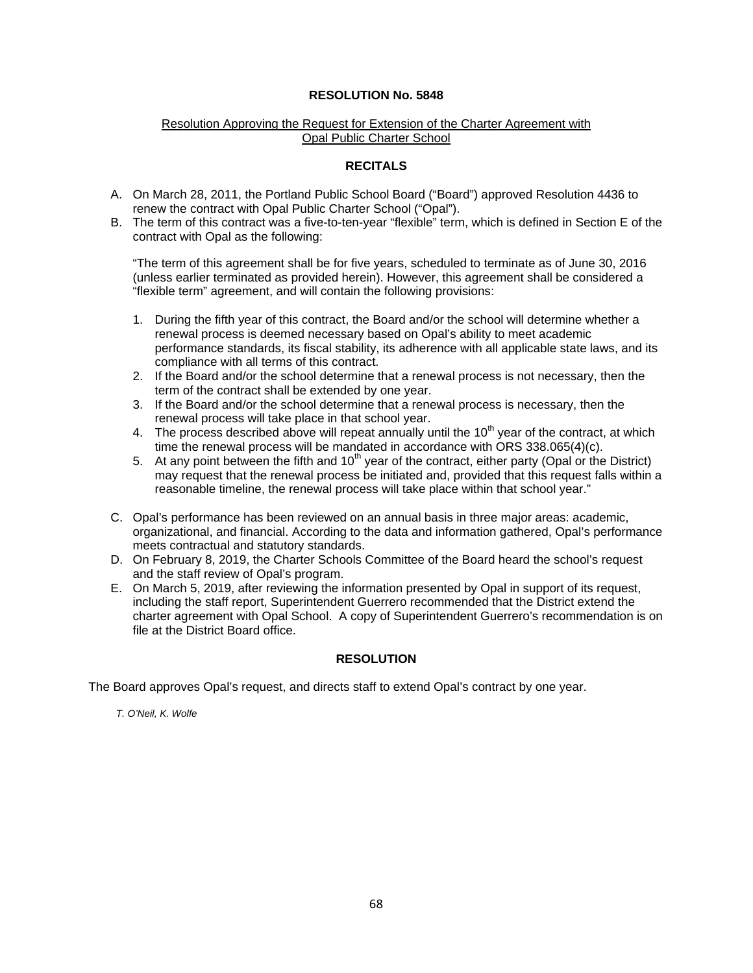### Resolution Approving the Request for Extension of the Charter Agreement with Opal Public Charter School

### **RECITALS**

- A. On March 28, 2011, the Portland Public School Board ("Board") approved Resolution 4436 to renew the contract with Opal Public Charter School ("Opal").
- B. The term of this contract was a five-to-ten-year "flexible" term, which is defined in Section E of the contract with Opal as the following:

"The term of this agreement shall be for five years, scheduled to terminate as of June 30, 2016 (unless earlier terminated as provided herein). However, this agreement shall be considered a "flexible term" agreement, and will contain the following provisions:

- 1. During the fifth year of this contract, the Board and/or the school will determine whether a renewal process is deemed necessary based on Opal's ability to meet academic performance standards, its fiscal stability, its adherence with all applicable state laws, and its compliance with all terms of this contract.
- 2. If the Board and/or the school determine that a renewal process is not necessary, then the term of the contract shall be extended by one year.
- 3. If the Board and/or the school determine that a renewal process is necessary, then the renewal process will take place in that school year.
- 4. The process described above will repeat annually until the  $10<sup>th</sup>$  year of the contract, at which time the renewal process will be mandated in accordance with ORS 338.065(4)(c).
- 5. At any point between the fifth and 10<sup>th</sup> year of the contract, either party (Opal or the District) may request that the renewal process be initiated and, provided that this request falls within a reasonable timeline, the renewal process will take place within that school year."
- C. Opal's performance has been reviewed on an annual basis in three major areas: academic, organizational, and financial. According to the data and information gathered, Opal's performance meets contractual and statutory standards.
- D. On February 8, 2019, the Charter Schools Committee of the Board heard the school's request and the staff review of Opal's program.
- E. On March 5, 2019, after reviewing the information presented by Opal in support of its request, including the staff report, Superintendent Guerrero recommended that the District extend the charter agreement with Opal School. A copy of Superintendent Guerrero's recommendation is on file at the District Board office.

#### **RESOLUTION**

The Board approves Opal's request, and directs staff to extend Opal's contract by one year.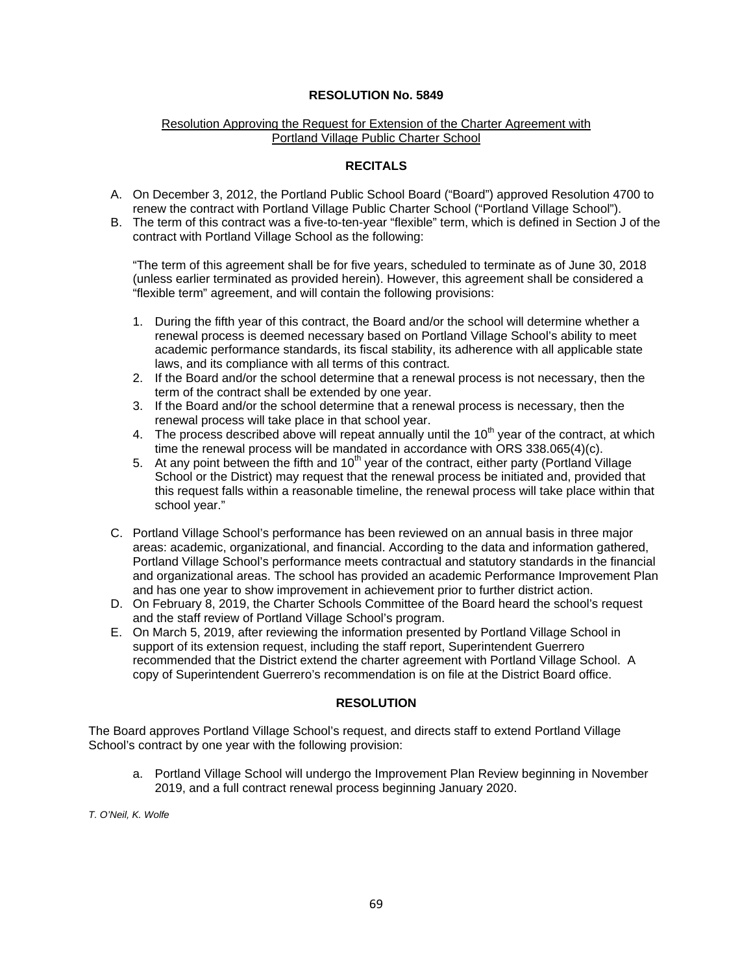### Resolution Approving the Request for Extension of the Charter Agreement with Portland Village Public Charter School

### **RECITALS**

- A. On December 3, 2012, the Portland Public School Board ("Board") approved Resolution 4700 to renew the contract with Portland Village Public Charter School ("Portland Village School").
- B. The term of this contract was a five-to-ten-year "flexible" term, which is defined in Section J of the contract with Portland Village School as the following:

"The term of this agreement shall be for five years, scheduled to terminate as of June 30, 2018 (unless earlier terminated as provided herein). However, this agreement shall be considered a "flexible term" agreement, and will contain the following provisions:

- 1. During the fifth year of this contract, the Board and/or the school will determine whether a renewal process is deemed necessary based on Portland Village School's ability to meet academic performance standards, its fiscal stability, its adherence with all applicable state laws, and its compliance with all terms of this contract.
- 2. If the Board and/or the school determine that a renewal process is not necessary, then the term of the contract shall be extended by one year.
- 3. If the Board and/or the school determine that a renewal process is necessary, then the renewal process will take place in that school year.
- 4. The process described above will repeat annually until the  $10<sup>th</sup>$  year of the contract, at which time the renewal process will be mandated in accordance with ORS 338.065(4)(c).
- 5. At any point between the fifth and  $10<sup>th</sup>$  year of the contract, either party (Portland Village School or the District) may request that the renewal process be initiated and, provided that this request falls within a reasonable timeline, the renewal process will take place within that school year."
- C. Portland Village School's performance has been reviewed on an annual basis in three major areas: academic, organizational, and financial. According to the data and information gathered, Portland Village School's performance meets contractual and statutory standards in the financial and organizational areas. The school has provided an academic Performance Improvement Plan and has one year to show improvement in achievement prior to further district action.
- D. On February 8, 2019, the Charter Schools Committee of the Board heard the school's request and the staff review of Portland Village School's program.
- E. On March 5, 2019, after reviewing the information presented by Portland Village School in support of its extension request, including the staff report, Superintendent Guerrero recommended that the District extend the charter agreement with Portland Village School. A copy of Superintendent Guerrero's recommendation is on file at the District Board office.

### **RESOLUTION**

The Board approves Portland Village School's request, and directs staff to extend Portland Village School's contract by one year with the following provision:

a. Portland Village School will undergo the Improvement Plan Review beginning in November 2019, and a full contract renewal process beginning January 2020.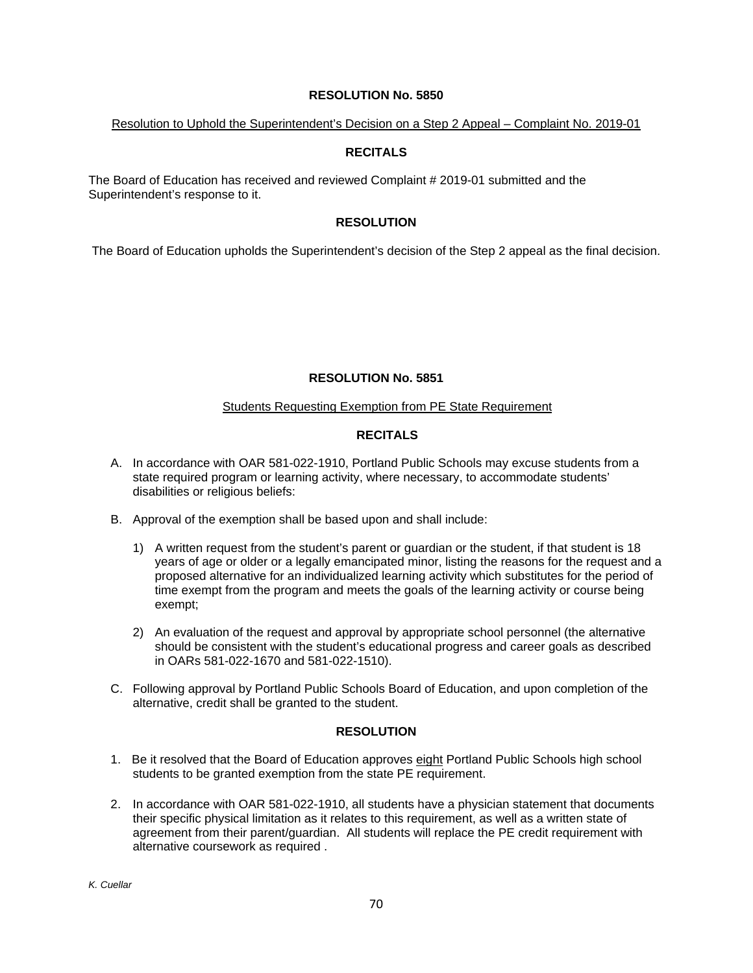#### Resolution to Uphold the Superintendent's Decision on a Step 2 Appeal – Complaint No. 2019-01

## **RECITALS**

The Board of Education has received and reviewed Complaint # 2019-01 submitted and the Superintendent's response to it.

### **RESOLUTION**

The Board of Education upholds the Superintendent's decision of the Step 2 appeal as the final decision.

## **RESOLUTION No. 5851**

### Students Requesting Exemption from PE State Requirement

## **RECITALS**

- A. In accordance with OAR 581-022-1910, Portland Public Schools may excuse students from a state required program or learning activity, where necessary, to accommodate students' disabilities or religious beliefs:
- B. Approval of the exemption shall be based upon and shall include:
	- 1) A written request from the student's parent or guardian or the student, if that student is 18 years of age or older or a legally emancipated minor, listing the reasons for the request and a proposed alternative for an individualized learning activity which substitutes for the period of time exempt from the program and meets the goals of the learning activity or course being exempt;
	- 2) An evaluation of the request and approval by appropriate school personnel (the alternative should be consistent with the student's educational progress and career goals as described in OARs 581-022-1670 and 581-022-1510).
- C. Following approval by Portland Public Schools Board of Education, and upon completion of the alternative, credit shall be granted to the student.

### **RESOLUTION**

- 1. Be it resolved that the Board of Education approves eight Portland Public Schools high school students to be granted exemption from the state PE requirement.
- 2. In accordance with OAR 581-022-1910, all students have a physician statement that documents their specific physical limitation as it relates to this requirement, as well as a written state of agreement from their parent/guardian. All students will replace the PE credit requirement with alternative coursework as required .

*K. Cuellar*